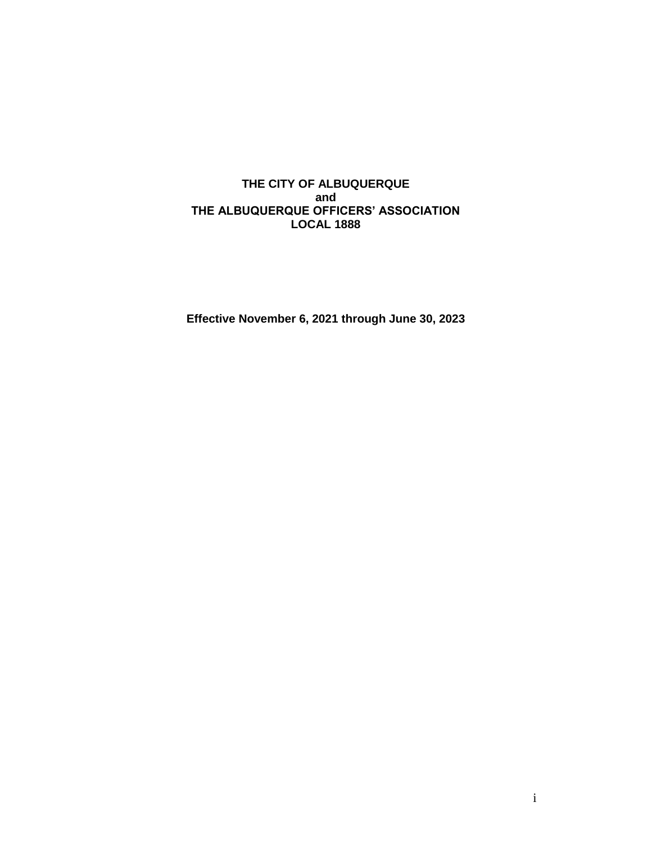## **THE CITY OF ALBUQUERQUE and THE ALBUQUERQUE OFFICERS' ASSOCIATION LOCAL 1888**

**Effective November 6, 2021 through June 30, 2023**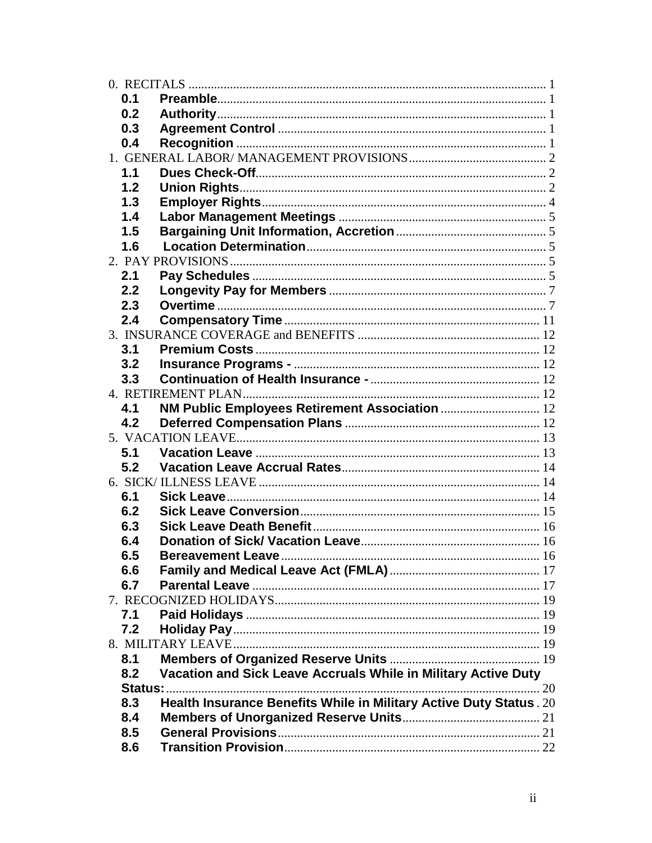| 0.1 |                                                                    |    |
|-----|--------------------------------------------------------------------|----|
| 0.2 |                                                                    |    |
| 0.3 |                                                                    |    |
| 0.4 |                                                                    |    |
|     |                                                                    |    |
| 1.1 |                                                                    |    |
| 1.2 |                                                                    |    |
| 1.3 |                                                                    |    |
| 1.4 |                                                                    |    |
| 1.5 |                                                                    |    |
| 1.6 |                                                                    |    |
|     |                                                                    |    |
| 2.1 |                                                                    |    |
| 2.2 |                                                                    |    |
| 2.3 |                                                                    |    |
| 2.4 |                                                                    |    |
|     |                                                                    |    |
| 3.1 |                                                                    |    |
| 3.2 |                                                                    |    |
| 3.3 |                                                                    |    |
|     |                                                                    |    |
| 4.1 | NM Public Employees Retirement Association  12                     |    |
| 4.2 |                                                                    |    |
|     |                                                                    |    |
| 5.1 |                                                                    |    |
| 5.2 |                                                                    |    |
|     |                                                                    |    |
| 6.1 |                                                                    |    |
| 6.2 |                                                                    |    |
| 6.3 |                                                                    |    |
|     |                                                                    |    |
| 6.4 |                                                                    |    |
| 6.5 |                                                                    |    |
| 6.6 |                                                                    |    |
| 6.7 |                                                                    |    |
|     |                                                                    |    |
| 7.1 |                                                                    |    |
| 7.2 |                                                                    |    |
|     |                                                                    |    |
| 8.1 |                                                                    |    |
| 8.2 | Vacation and Sick Leave Accruals While in Military Active Duty     |    |
|     |                                                                    | 20 |
| 8.3 | Health Insurance Benefits While in Military Active Duty Status. 20 |    |
| 8.4 |                                                                    |    |
| 8.5 |                                                                    |    |
| 8.6 |                                                                    |    |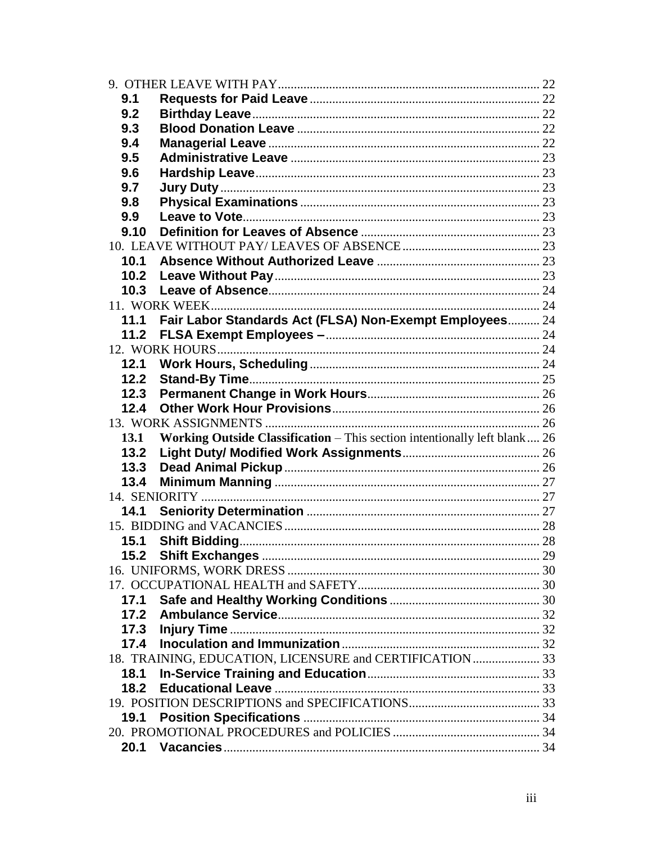| 9.1  |                                                                           |  |
|------|---------------------------------------------------------------------------|--|
| 9.2  |                                                                           |  |
| 9.3  |                                                                           |  |
| 9.4  |                                                                           |  |
| 9.5  |                                                                           |  |
| 9.6  |                                                                           |  |
| 9.7  |                                                                           |  |
| 9.8  |                                                                           |  |
| 9.9  |                                                                           |  |
| 9.10 |                                                                           |  |
|      |                                                                           |  |
| 10.1 |                                                                           |  |
| 10.2 |                                                                           |  |
| 10.3 |                                                                           |  |
|      |                                                                           |  |
|      | 11.1 Fair Labor Standards Act (FLSA) Non-Exempt Employees 24              |  |
| 11.2 |                                                                           |  |
|      |                                                                           |  |
| 12.1 |                                                                           |  |
| 12.2 |                                                                           |  |
| 12.3 |                                                                           |  |
| 12.4 |                                                                           |  |
|      |                                                                           |  |
| 13.1 | Working Outside Classification - This section intentionally left blank 26 |  |
| 13.2 |                                                                           |  |
| 13.3 |                                                                           |  |
| 13.4 |                                                                           |  |
|      |                                                                           |  |
| 14.1 |                                                                           |  |
|      |                                                                           |  |
| 15.1 |                                                                           |  |
|      |                                                                           |  |
|      |                                                                           |  |
|      |                                                                           |  |
|      |                                                                           |  |
| 17.1 |                                                                           |  |
|      |                                                                           |  |
|      |                                                                           |  |
|      |                                                                           |  |
|      | 18. TRAINING, EDUCATION, LICENSURE and CERTIFICATION  33                  |  |
| 18.1 |                                                                           |  |
| 18.2 |                                                                           |  |
|      |                                                                           |  |
| 19.1 |                                                                           |  |
|      |                                                                           |  |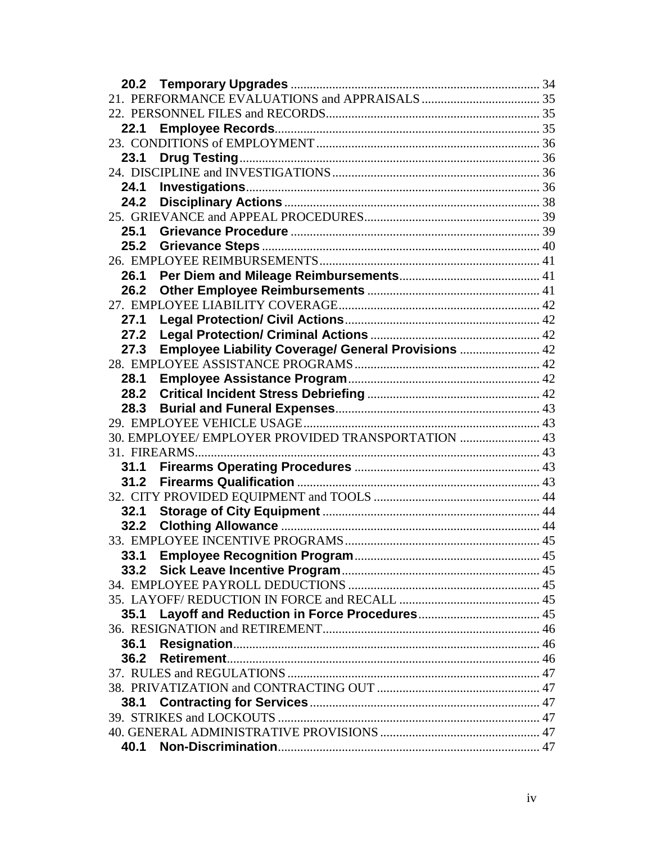| 22.1 |                                                     |  |
|------|-----------------------------------------------------|--|
|      |                                                     |  |
| 23.1 |                                                     |  |
|      |                                                     |  |
| 24.1 |                                                     |  |
|      |                                                     |  |
|      |                                                     |  |
| 25.1 |                                                     |  |
| 25.2 |                                                     |  |
|      |                                                     |  |
| 26.1 |                                                     |  |
| 26.2 |                                                     |  |
|      |                                                     |  |
| 27.1 |                                                     |  |
| 27.2 |                                                     |  |
| 27.3 | Employee Liability Coverage/ General Provisions  42 |  |
|      |                                                     |  |
| 28.1 |                                                     |  |
|      |                                                     |  |
| 28.3 |                                                     |  |
|      |                                                     |  |
|      | 30. EMPLOYEE/ EMPLOYER PROVIDED TRANSPORTATION  43  |  |
|      | 31. FIREARMS                                        |  |
| 31.1 |                                                     |  |
|      |                                                     |  |
|      |                                                     |  |
| 32.1 |                                                     |  |
| 32.2 |                                                     |  |
|      |                                                     |  |
| 33.1 |                                                     |  |
| 33.2 |                                                     |  |
|      |                                                     |  |
|      |                                                     |  |
| 35.1 |                                                     |  |
|      |                                                     |  |
| 36.1 |                                                     |  |
| 36.2 |                                                     |  |
|      |                                                     |  |
|      |                                                     |  |
| 38.1 |                                                     |  |
|      |                                                     |  |
|      |                                                     |  |
| 40.1 |                                                     |  |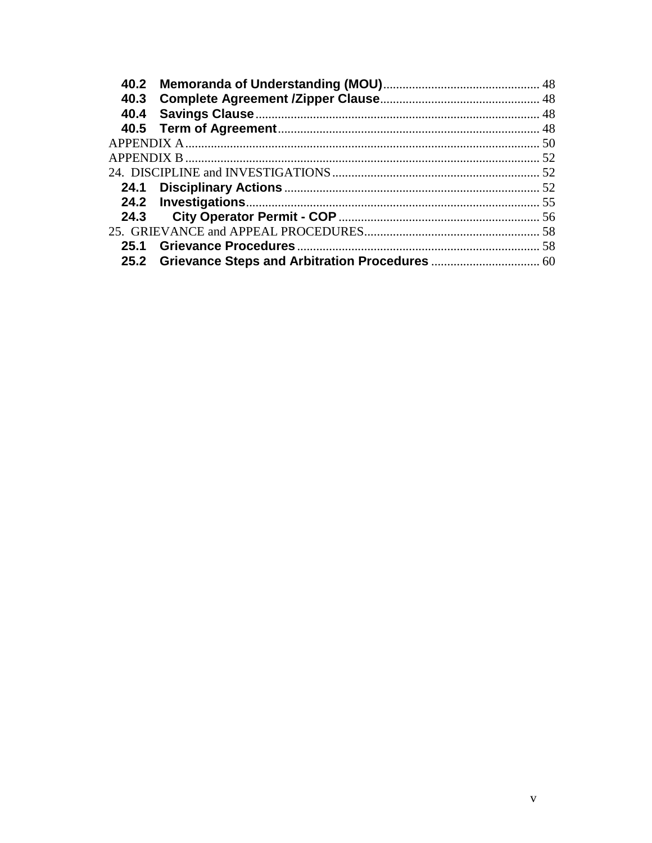| 40.2 |  |
|------|--|
| 40.3 |  |
|      |  |
|      |  |
|      |  |
|      |  |
|      |  |
|      |  |
|      |  |
| 24.3 |  |
|      |  |
| 25.1 |  |
|      |  |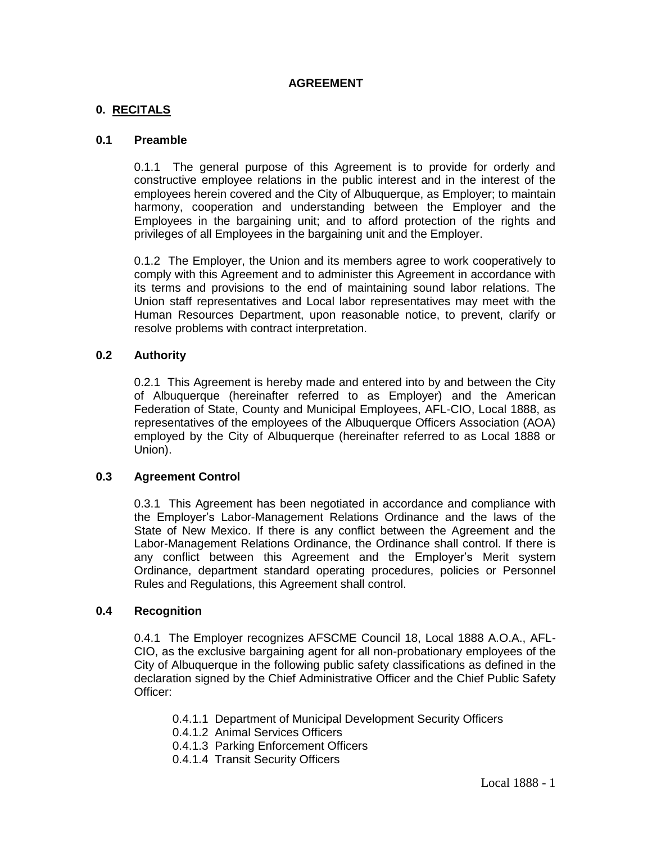### **AGREEMENT**

### **0. RECITALS**

### **0.1 Preamble**

0.1.1 The general purpose of this Agreement is to provide for orderly and constructive employee relations in the public interest and in the interest of the employees herein covered and the City of Albuquerque, as Employer; to maintain harmony, cooperation and understanding between the Employer and the Employees in the bargaining unit; and to afford protection of the rights and privileges of all Employees in the bargaining unit and the Employer.

0.1.2 The Employer, the Union and its members agree to work cooperatively to comply with this Agreement and to administer this Agreement in accordance with its terms and provisions to the end of maintaining sound labor relations. The Union staff representatives and Local labor representatives may meet with the Human Resources Department, upon reasonable notice, to prevent, clarify or resolve problems with contract interpretation.

### **0.2 Authority**

0.2.1 This Agreement is hereby made and entered into by and between the City of Albuquerque (hereinafter referred to as Employer) and the American Federation of State, County and Municipal Employees, AFL-CIO, Local 1888, as representatives of the employees of the Albuquerque Officers Association (AOA) employed by the City of Albuquerque (hereinafter referred to as Local 1888 or Union).

#### **0.3 Agreement Control**

0.3.1 This Agreement has been negotiated in accordance and compliance with the Employer's Labor-Management Relations Ordinance and the laws of the State of New Mexico. If there is any conflict between the Agreement and the Labor-Management Relations Ordinance, the Ordinance shall control. If there is any conflict between this Agreement and the Employer's Merit system Ordinance, department standard operating procedures, policies or Personnel Rules and Regulations, this Agreement shall control.

#### **0.4 Recognition**

0.4.1 The Employer recognizes AFSCME Council 18, Local 1888 A.O.A., AFL-CIO, as the exclusive bargaining agent for all non-probationary employees of the City of Albuquerque in the following public safety classifications as defined in the declaration signed by the Chief Administrative Officer and the Chief Public Safety Officer:

- 0.4.1.1 Department of Municipal Development Security Officers
- 0.4.1.2 Animal Services Officers
- 0.4.1.3 Parking Enforcement Officers
- 0.4.1.4 Transit Security Officers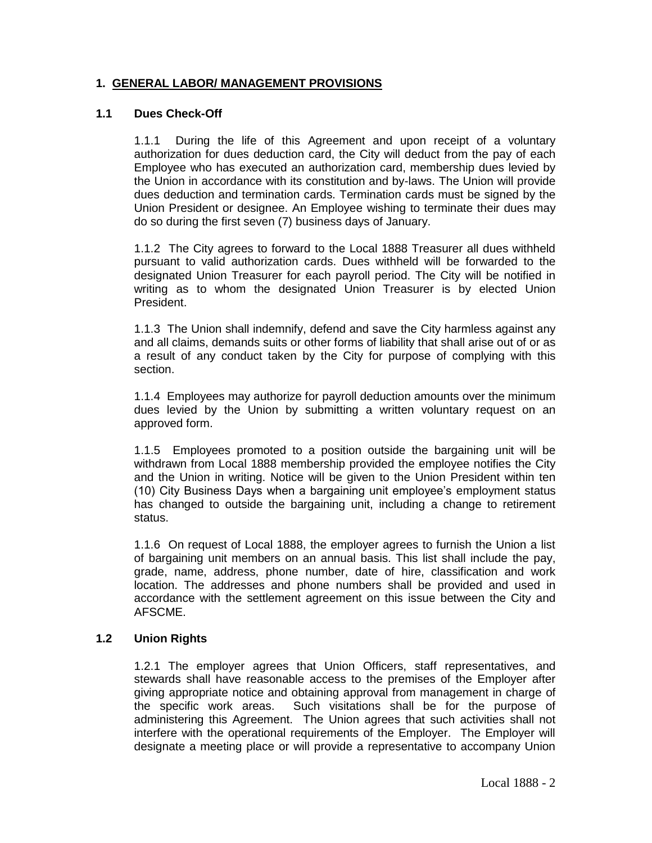## **1. GENERAL LABOR/ MANAGEMENT PROVISIONS**

### **1.1 Dues Check-Off**

1.1.1 During the life of this Agreement and upon receipt of a voluntary authorization for dues deduction card, the City will deduct from the pay of each Employee who has executed an authorization card, membership dues levied by the Union in accordance with its constitution and by-laws. The Union will provide dues deduction and termination cards. Termination cards must be signed by the Union President or designee. An Employee wishing to terminate their dues may do so during the first seven (7) business days of January.

1.1.2 The City agrees to forward to the Local 1888 Treasurer all dues withheld pursuant to valid authorization cards. Dues withheld will be forwarded to the designated Union Treasurer for each payroll period. The City will be notified in writing as to whom the designated Union Treasurer is by elected Union President.

1.1.3 The Union shall indemnify, defend and save the City harmless against any and all claims, demands suits or other forms of liability that shall arise out of or as a result of any conduct taken by the City for purpose of complying with this section.

1.1.4 Employees may authorize for payroll deduction amounts over the minimum dues levied by the Union by submitting a written voluntary request on an approved form.

1.1.5 Employees promoted to a position outside the bargaining unit will be withdrawn from Local 1888 membership provided the employee notifies the City and the Union in writing. Notice will be given to the Union President within ten (10) City Business Days when a bargaining unit employee's employment status has changed to outside the bargaining unit, including a change to retirement status.

1.1.6 On request of Local 1888, the employer agrees to furnish the Union a list of bargaining unit members on an annual basis. This list shall include the pay, grade, name, address, phone number, date of hire, classification and work location. The addresses and phone numbers shall be provided and used in accordance with the settlement agreement on this issue between the City and AFSCME.

## **1.2 Union Rights**

1.2.1 The employer agrees that Union Officers, staff representatives, and stewards shall have reasonable access to the premises of the Employer after giving appropriate notice and obtaining approval from management in charge of the specific work areas. Such visitations shall be for the purpose of administering this Agreement. The Union agrees that such activities shall not interfere with the operational requirements of the Employer. The Employer will designate a meeting place or will provide a representative to accompany Union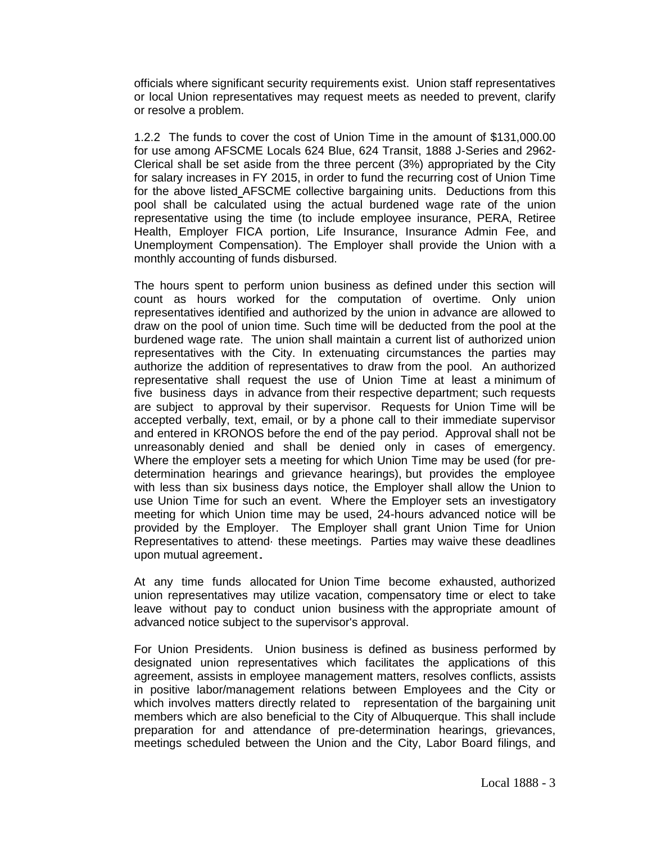officials where significant security requirements exist. Union staff representatives or local Union representatives may request meets as needed to prevent, clarify or resolve a problem.

1.2.2 The funds to cover the cost of Union Time in the amount of \$131,000.00 for use among AFSCME Locals 624 Blue, 624 Transit, 1888 J-Series and 2962- Clerical shall be set aside from the three percent (3%) appropriated by the City for salary increases in FY 2015, in order to fund the recurring cost of Union Time for the above listed AFSCME collective bargaining units. Deductions from this pool shall be calculated using the actual burdened wage rate of the union representative using the time (to include employee insurance, PERA, Retiree Health, Employer FICA portion, Life Insurance, Insurance Admin Fee, and Unemployment Compensation). The Employer shall provide the Union with a monthly accounting of funds disbursed.

The hours spent to perform union business as defined under this section will count as hours worked for the computation of overtime. Only union representatives identified and authorized by the union in advance are allowed to draw on the pool of union time. Such time will be deducted from the pool at the burdened wage rate. The union shall maintain a current list of authorized union representatives with the City. In extenuating circumstances the parties may authorize the addition of representatives to draw from the pool. An authorized representative shall request the use of Union Time at least a minimum of five business days in advance from their respective department; such requests are subject to approval by their supervisor. Requests for Union Time will be accepted verbally, text, email, or by a phone call to their immediate supervisor and entered in KRONOS before the end of the pay period. Approval shall not be unreasonably denied and shall be denied only in cases of emergency. Where the employer sets a meeting for which Union Time may be used (for predetermination hearings and grievance hearings), but provides the employee with less than six business days notice, the Employer shall allow the Union to use Union Time for such an event. Where the Employer sets an investigatory meeting for which Union time may be used, 24-hours advanced notice will be provided by the Employer. The Employer shall grant Union Time for Union Representatives to attend· these meetings. Parties may waive these deadlines upon mutual agreement.

At any time funds allocated for Union Time become exhausted, authorized union representatives may utilize vacation, compensatory time or elect to take leave without pay to conduct union business with the appropriate amount of advanced notice subject to the supervisor's approval.

For Union Presidents. Union business is defined as business performed by designated union representatives which facilitates the applications of this agreement, assists in employee management matters, resolves conflicts, assists in positive labor/management relations between Employees and the City or which involves matters directly related to representation of the bargaining unit members which are also beneficial to the City of Albuquerque. This shall include preparation for and attendance of pre-determination hearings, grievances, meetings scheduled between the Union and the City, Labor Board filings, and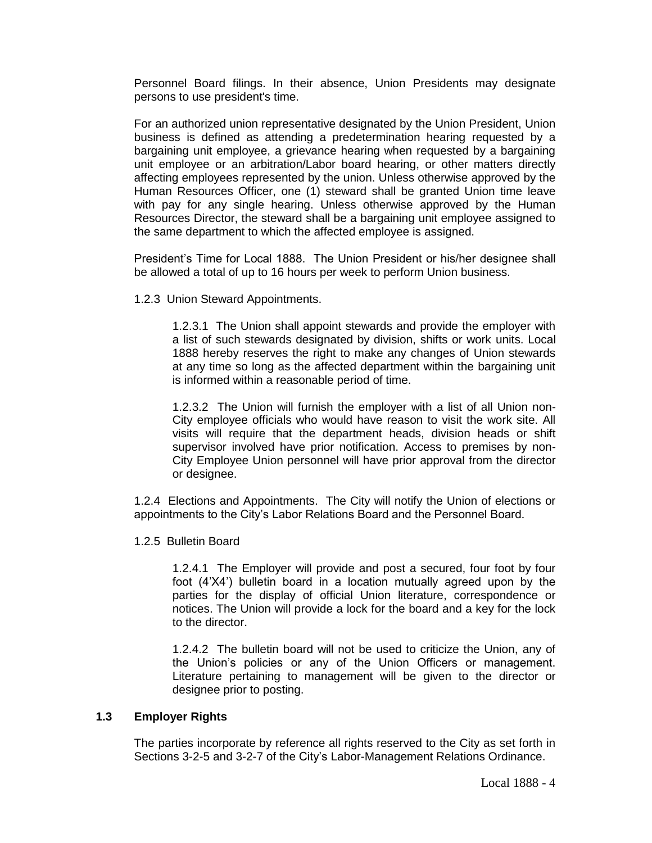Personnel Board filings. In their absence, Union Presidents may designate persons to use president's time.

For an authorized union representative designated by the Union President, Union business is defined as attending a predetermination hearing requested by a bargaining unit employee, a grievance hearing when requested by a bargaining unit employee or an arbitration/Labor board hearing, or other matters directly affecting employees represented by the union. Unless otherwise approved by the Human Resources Officer, one (1) steward shall be granted Union time leave with pay for any single hearing. Unless otherwise approved by the Human Resources Director, the steward shall be a bargaining unit employee assigned to the same department to which the affected employee is assigned.

President's Time for Local 1888. The Union President or his/her designee shall be allowed a total of up to 16 hours per week to perform Union business.

1.2.3 Union Steward Appointments.

1.2.3.1 The Union shall appoint stewards and provide the employer with a list of such stewards designated by division, shifts or work units. Local 1888 hereby reserves the right to make any changes of Union stewards at any time so long as the affected department within the bargaining unit is informed within a reasonable period of time.

1.2.3.2 The Union will furnish the employer with a list of all Union non-City employee officials who would have reason to visit the work site. All visits will require that the department heads, division heads or shift supervisor involved have prior notification. Access to premises by non-City Employee Union personnel will have prior approval from the director or designee.

1.2.4 Elections and Appointments. The City will notify the Union of elections or appointments to the City's Labor Relations Board and the Personnel Board.

1.2.5 Bulletin Board

1.2.4.1 The Employer will provide and post a secured, four foot by four foot (4'X4') bulletin board in a location mutually agreed upon by the parties for the display of official Union literature, correspondence or notices. The Union will provide a lock for the board and a key for the lock to the director.

1.2.4.2 The bulletin board will not be used to criticize the Union, any of the Union's policies or any of the Union Officers or management. Literature pertaining to management will be given to the director or designee prior to posting.

#### **1.3 Employer Rights**

The parties incorporate by reference all rights reserved to the City as set forth in Sections 3-2-5 and 3-2-7 of the City's Labor-Management Relations Ordinance.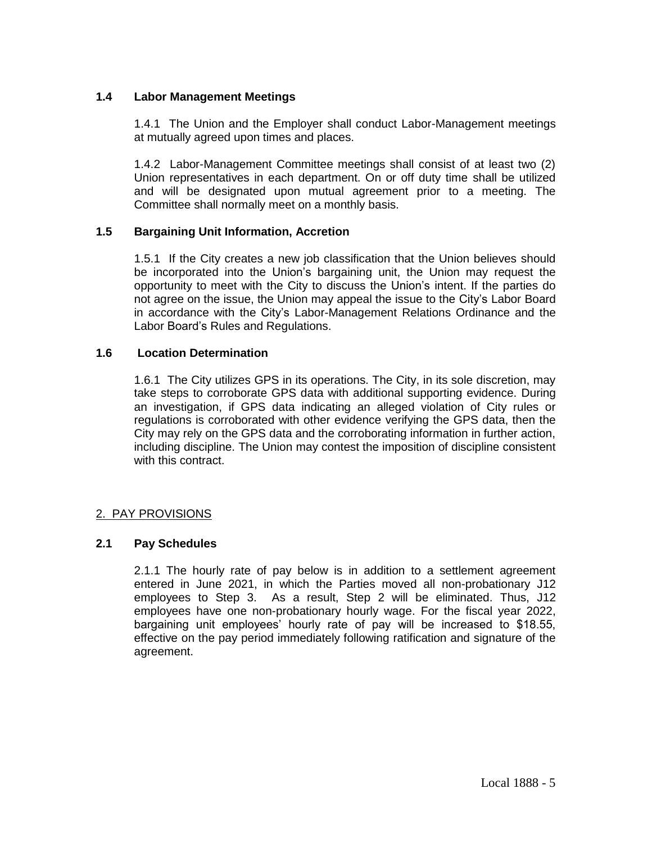# **1.4 Labor Management Meetings**

1.4.1 The Union and the Employer shall conduct Labor-Management meetings at mutually agreed upon times and places.

1.4.2 Labor-Management Committee meetings shall consist of at least two (2) Union representatives in each department. On or off duty time shall be utilized and will be designated upon mutual agreement prior to a meeting. The Committee shall normally meet on a monthly basis.

## **1.5 Bargaining Unit Information, Accretion**

1.5.1 If the City creates a new job classification that the Union believes should be incorporated into the Union's bargaining unit, the Union may request the opportunity to meet with the City to discuss the Union's intent. If the parties do not agree on the issue, the Union may appeal the issue to the City's Labor Board in accordance with the City's Labor-Management Relations Ordinance and the Labor Board's Rules and Regulations.

## **1.6 Location Determination**

1.6.1 The City utilizes GPS in its operations. The City, in its sole discretion, may take steps to corroborate GPS data with additional supporting evidence. During an investigation, if GPS data indicating an alleged violation of City rules or regulations is corroborated with other evidence verifying the GPS data, then the City may rely on the GPS data and the corroborating information in further action, including discipline. The Union may contest the imposition of discipline consistent with this contract.

## 2. PAY PROVISIONS

## **2.1 Pay Schedules**

2.1.1 The hourly rate of pay below is in addition to a settlement agreement entered in June 2021, in which the Parties moved all non-probationary J12 employees to Step 3. As a result, Step 2 will be eliminated. Thus, J12 employees have one non-probationary hourly wage. For the fiscal year 2022, bargaining unit employees' hourly rate of pay will be increased to \$18.55, effective on the pay period immediately following ratification and signature of the agreement.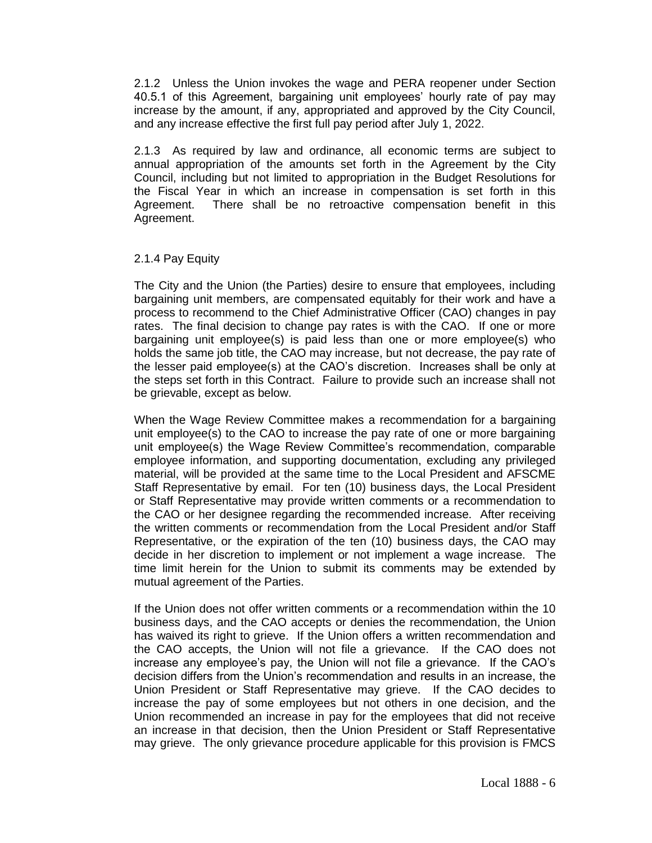2.1.2 Unless the Union invokes the wage and PERA reopener under Section 40.5.1 of this Agreement, bargaining unit employees' hourly rate of pay may increase by the amount, if any, appropriated and approved by the City Council, and any increase effective the first full pay period after July 1, 2022.

2.1.3 As required by law and ordinance, all economic terms are subject to annual appropriation of the amounts set forth in the Agreement by the City Council, including but not limited to appropriation in the Budget Resolutions for the Fiscal Year in which an increase in compensation is set forth in this Agreement. There shall be no retroactive compensation benefit in this Agreement.

## 2.1.4 Pay Equity

The City and the Union (the Parties) desire to ensure that employees, including bargaining unit members, are compensated equitably for their work and have a process to recommend to the Chief Administrative Officer (CAO) changes in pay rates. The final decision to change pay rates is with the CAO. If one or more bargaining unit employee(s) is paid less than one or more employee(s) who holds the same job title, the CAO may increase, but not decrease, the pay rate of the lesser paid employee(s) at the CAO's discretion. Increases shall be only at the steps set forth in this Contract. Failure to provide such an increase shall not be grievable, except as below.

When the Wage Review Committee makes a recommendation for a bargaining unit employee(s) to the CAO to increase the pay rate of one or more bargaining unit employee(s) the Wage Review Committee's recommendation, comparable employee information, and supporting documentation, excluding any privileged material, will be provided at the same time to the Local President and AFSCME Staff Representative by email. For ten (10) business days, the Local President or Staff Representative may provide written comments or a recommendation to the CAO or her designee regarding the recommended increase. After receiving the written comments or recommendation from the Local President and/or Staff Representative, or the expiration of the ten (10) business days, the CAO may decide in her discretion to implement or not implement a wage increase. The time limit herein for the Union to submit its comments may be extended by mutual agreement of the Parties.

If the Union does not offer written comments or a recommendation within the 10 business days, and the CAO accepts or denies the recommendation, the Union has waived its right to grieve. If the Union offers a written recommendation and the CAO accepts, the Union will not file a grievance. If the CAO does not increase any employee's pay, the Union will not file a grievance. If the CAO's decision differs from the Union's recommendation and results in an increase, the Union President or Staff Representative may grieve. If the CAO decides to increase the pay of some employees but not others in one decision, and the Union recommended an increase in pay for the employees that did not receive an increase in that decision, then the Union President or Staff Representative may grieve. The only grievance procedure applicable for this provision is FMCS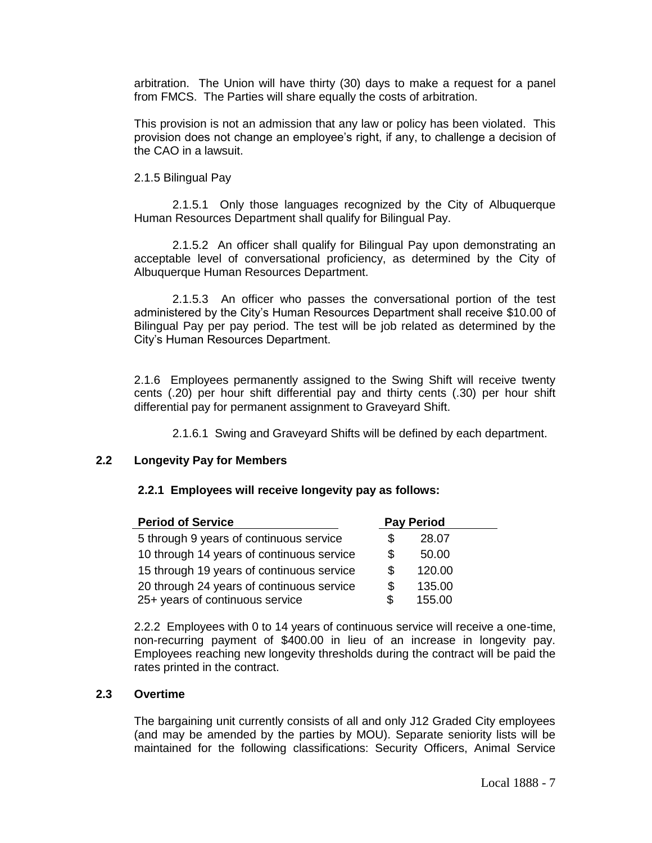arbitration. The Union will have thirty (30) days to make a request for a panel from FMCS. The Parties will share equally the costs of arbitration.

This provision is not an admission that any law or policy has been violated. This provision does not change an employee's right, if any, to challenge a decision of the CAO in a lawsuit.

### 2.1.5 Bilingual Pay

2.1.5.1 Only those languages recognized by the City of Albuquerque Human Resources Department shall qualify for Bilingual Pay.

2.1.5.2 An officer shall qualify for Bilingual Pay upon demonstrating an acceptable level of conversational proficiency, as determined by the City of Albuquerque Human Resources Department.

2.1.5.3 An officer who passes the conversational portion of the test administered by the City's Human Resources Department shall receive \$10.00 of Bilingual Pay per pay period. The test will be job related as determined by the City's Human Resources Department.

2.1.6 Employees permanently assigned to the Swing Shift will receive twenty cents (.20) per hour shift differential pay and thirty cents (.30) per hour shift differential pay for permanent assignment to Graveyard Shift.

2.1.6.1 Swing and Graveyard Shifts will be defined by each department.

### **2.2 Longevity Pay for Members**

#### **2.2.1 Employees will receive longevity pay as follows:**

| <b>Period of Service</b>                  |     | <b>Pay Period</b> |  |
|-------------------------------------------|-----|-------------------|--|
| 5 through 9 years of continuous service   | S   | 28.07             |  |
| 10 through 14 years of continuous service | S   | 50.00             |  |
| 15 through 19 years of continuous service | S   | 120.00            |  |
| 20 through 24 years of continuous service | S   | 135.00            |  |
| 25+ years of continuous service           | \$. | 155.00            |  |

2.2.2 Employees with 0 to 14 years of continuous service will receive a one-time, non-recurring payment of \$400.00 in lieu of an increase in longevity pay. Employees reaching new longevity thresholds during the contract will be paid the rates printed in the contract.

### **2.3 Overtime**

The bargaining unit currently consists of all and only J12 Graded City employees (and may be amended by the parties by MOU). Separate seniority lists will be maintained for the following classifications: Security Officers, Animal Service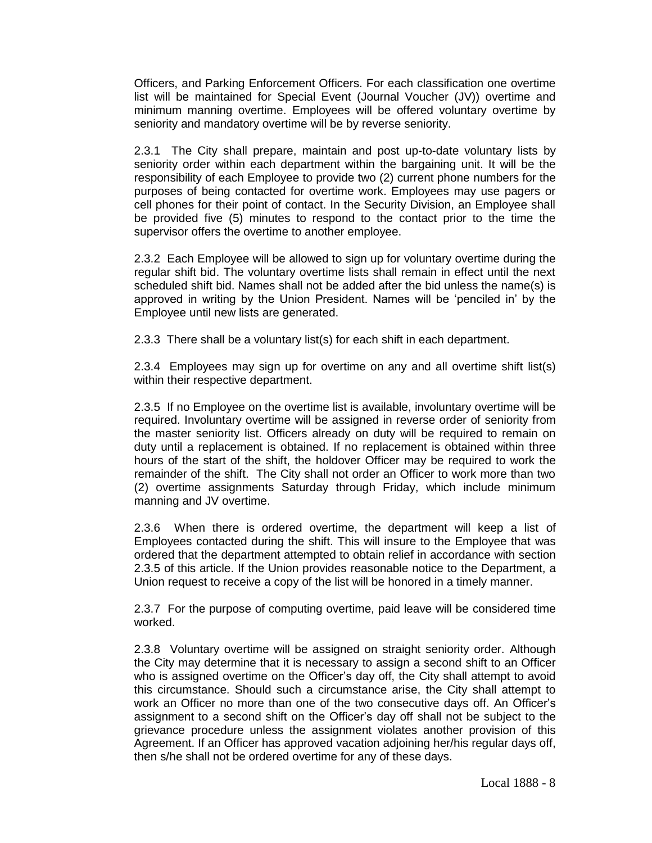Officers, and Parking Enforcement Officers. For each classification one overtime list will be maintained for Special Event (Journal Voucher (JV)) overtime and minimum manning overtime. Employees will be offered voluntary overtime by seniority and mandatory overtime will be by reverse seniority.

2.3.1 The City shall prepare, maintain and post up-to-date voluntary lists by seniority order within each department within the bargaining unit. It will be the responsibility of each Employee to provide two (2) current phone numbers for the purposes of being contacted for overtime work. Employees may use pagers or cell phones for their point of contact. In the Security Division, an Employee shall be provided five (5) minutes to respond to the contact prior to the time the supervisor offers the overtime to another employee.

2.3.2 Each Employee will be allowed to sign up for voluntary overtime during the regular shift bid. The voluntary overtime lists shall remain in effect until the next scheduled shift bid. Names shall not be added after the bid unless the name(s) is approved in writing by the Union President. Names will be 'penciled in' by the Employee until new lists are generated.

2.3.3 There shall be a voluntary list(s) for each shift in each department.

2.3.4 Employees may sign up for overtime on any and all overtime shift list(s) within their respective department.

2.3.5 If no Employee on the overtime list is available, involuntary overtime will be required. Involuntary overtime will be assigned in reverse order of seniority from the master seniority list. Officers already on duty will be required to remain on duty until a replacement is obtained. If no replacement is obtained within three hours of the start of the shift, the holdover Officer may be required to work the remainder of the shift. The City shall not order an Officer to work more than two (2) overtime assignments Saturday through Friday, which include minimum manning and JV overtime.

2.3.6 When there is ordered overtime, the department will keep a list of Employees contacted during the shift. This will insure to the Employee that was ordered that the department attempted to obtain relief in accordance with section 2.3.5 of this article. If the Union provides reasonable notice to the Department, a Union request to receive a copy of the list will be honored in a timely manner.

2.3.7 For the purpose of computing overtime, paid leave will be considered time worked.

2.3.8 Voluntary overtime will be assigned on straight seniority order. Although the City may determine that it is necessary to assign a second shift to an Officer who is assigned overtime on the Officer's day off, the City shall attempt to avoid this circumstance. Should such a circumstance arise, the City shall attempt to work an Officer no more than one of the two consecutive days off. An Officer's assignment to a second shift on the Officer's day off shall not be subject to the grievance procedure unless the assignment violates another provision of this Agreement. If an Officer has approved vacation adjoining her/his regular days off, then s/he shall not be ordered overtime for any of these days.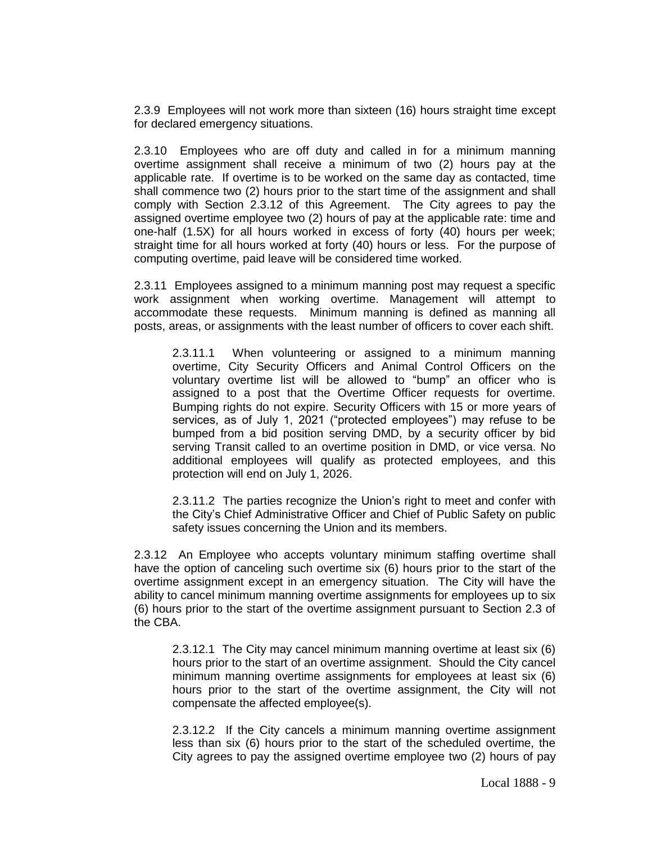2.3.9 Employees will not work more than sixteen (16) hours straight time except for declared emergency situations.

2.3.10 Employees who are off duty and called in for a minimum manning overtime assignment shall receive a minimum of two (2) hours pay at the applicable rate. If overtime is to be worked on the same day as contacted, time shall commence two (2) hours prior to the start time of the assignment and shall comply with Section 2.3.12 of this Agreement. The City agrees to pay the assigned overtime employee two (2) hours of pay at the applicable rate: time and one-half (1.5X) for all hours worked in excess of forty (40) hours per week; straight time for all hours worked at forty (40) hours or less. For the purpose of computing overtime, paid leave will be considered time worked.

2.3.11 Employees assigned to a minimum manning post may request a specific work assignment when working overtime. Management will attempt to accommodate these requests. Minimum manning is defined as manning all posts, areas, or assignments with the least number of officers to cover each shift.

2.3.11.1 When volunteering or assigned to a minimum manning overtime, City Security Officers and Animal Control Officers on the voluntary overtime list will be allowed to "bump" an officer who is assigned to a post that the Overtime Officer requests for overtime. Bumping rights do not expire. Security Officers with 15 or more years of services, as of July 1, 2021 ("protected employees") may refuse to be bumped from a bid position serving DMD, by a security officer by bid serving Transit called to an overtime position in DMD, or vice versa. No additional employees will qualify as protected employees, and this protection will end on July 1, 2026.

2.3.11.2 The parties recognize the Union's right to meet and confer with the City's Chief Administrative Officer and Chief of Public Safety on public safety issues concerning the Union and its members.

2.3.12 An Employee who accepts voluntary minimum staffing overtime shall have the option of canceling such overtime six (6) hours prior to the start of the overtime assignment except in an emergency situation. The City will have the ability to cancel minimum manning overtime assignments for employees up to six (6) hours prior to the start of the overtime assignment pursuant to Section 2.3 of the CBA.

2.3.12.1 The City may cancel minimum manning overtime at least six (6) hours prior to the start of an overtime assignment. Should the City cancel minimum manning overtime assignments for employees at least six (6) hours prior to the start of the overtime assignment, the City will not compensate the affected employee(s).

2.3.12.2 If the City cancels a minimum manning overtime assignment less than six (6) hours prior to the start of the scheduled overtime, the City agrees to pay the assigned overtime employee two (2) hours of pay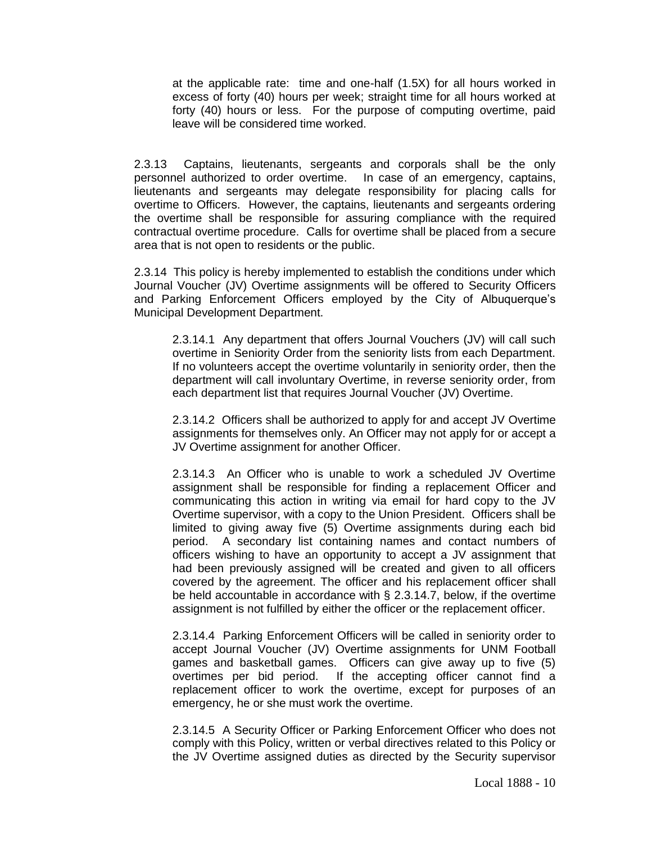at the applicable rate: time and one-half (1.5X) for all hours worked in excess of forty (40) hours per week; straight time for all hours worked at forty (40) hours or less. For the purpose of computing overtime, paid leave will be considered time worked.

2.3.13 Captains, lieutenants, sergeants and corporals shall be the only personnel authorized to order overtime. In case of an emergency, captains, lieutenants and sergeants may delegate responsibility for placing calls for overtime to Officers. However, the captains, lieutenants and sergeants ordering the overtime shall be responsible for assuring compliance with the required contractual overtime procedure. Calls for overtime shall be placed from a secure area that is not open to residents or the public.

2.3.14 This policy is hereby implemented to establish the conditions under which Journal Voucher (JV) Overtime assignments will be offered to Security Officers and Parking Enforcement Officers employed by the City of Albuquerque's Municipal Development Department.

2.3.14.1 Any department that offers Journal Vouchers (JV) will call such overtime in Seniority Order from the seniority lists from each Department. If no volunteers accept the overtime voluntarily in seniority order, then the department will call involuntary Overtime, in reverse seniority order, from each department list that requires Journal Voucher (JV) Overtime.

2.3.14.2 Officers shall be authorized to apply for and accept JV Overtime assignments for themselves only. An Officer may not apply for or accept a JV Overtime assignment for another Officer.

2.3.14.3 An Officer who is unable to work a scheduled JV Overtime assignment shall be responsible for finding a replacement Officer and communicating this action in writing via email for hard copy to the JV Overtime supervisor, with a copy to the Union President. Officers shall be limited to giving away five (5) Overtime assignments during each bid period. A secondary list containing names and contact numbers of officers wishing to have an opportunity to accept a JV assignment that had been previously assigned will be created and given to all officers covered by the agreement. The officer and his replacement officer shall be held accountable in accordance with § 2.3.14.7, below, if the overtime assignment is not fulfilled by either the officer or the replacement officer.

2.3.14.4 Parking Enforcement Officers will be called in seniority order to accept Journal Voucher (JV) Overtime assignments for UNM Football games and basketball games. Officers can give away up to five (5) overtimes per bid period. If the accepting officer cannot find a replacement officer to work the overtime, except for purposes of an emergency, he or she must work the overtime.

2.3.14.5 A Security Officer or Parking Enforcement Officer who does not comply with this Policy, written or verbal directives related to this Policy or the JV Overtime assigned duties as directed by the Security supervisor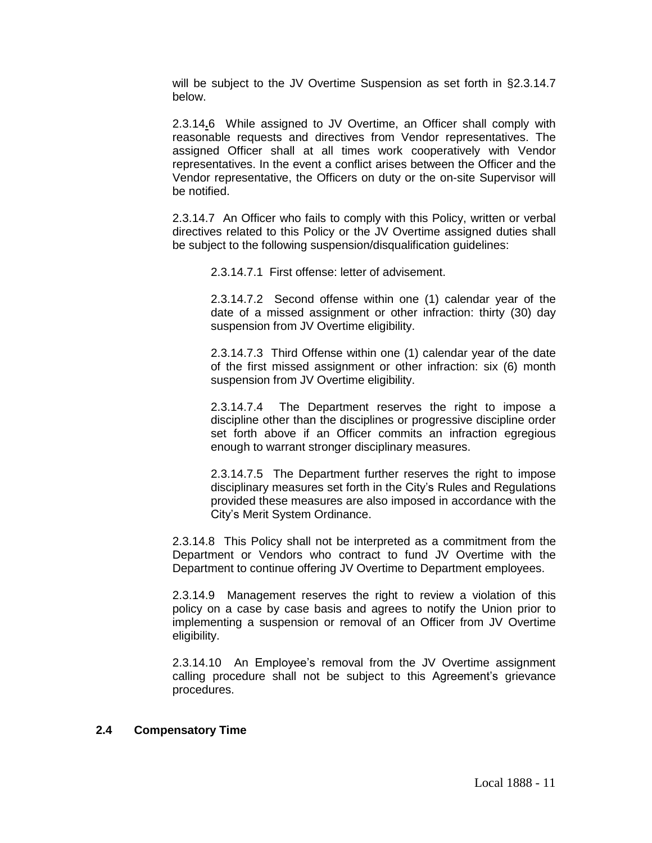will be subject to the JV Overtime Suspension as set forth in §2.3.14.7 below.

2.3.14**.**6 While assigned to JV Overtime, an Officer shall comply with reasonable requests and directives from Vendor representatives. The assigned Officer shall at all times work cooperatively with Vendor representatives. In the event a conflict arises between the Officer and the Vendor representative, the Officers on duty or the on-site Supervisor will be notified.

2.3.14.7 An Officer who fails to comply with this Policy, written or verbal directives related to this Policy or the JV Overtime assigned duties shall be subject to the following suspension/disqualification guidelines:

2.3.14.7.1 First offense: letter of advisement.

2.3.14.7.2 Second offense within one (1) calendar year of the date of a missed assignment or other infraction: thirty (30) day suspension from JV Overtime eligibility.

2.3.14.7.3 Third Offense within one (1) calendar year of the date of the first missed assignment or other infraction: six (6) month suspension from JV Overtime eligibility.

2.3.14.7.4 The Department reserves the right to impose a discipline other than the disciplines or progressive discipline order set forth above if an Officer commits an infraction egregious enough to warrant stronger disciplinary measures.

2.3.14.7.5 The Department further reserves the right to impose disciplinary measures set forth in the City's Rules and Regulations provided these measures are also imposed in accordance with the City's Merit System Ordinance.

2.3.14.8 This Policy shall not be interpreted as a commitment from the Department or Vendors who contract to fund JV Overtime with the Department to continue offering JV Overtime to Department employees.

2.3.14.9 Management reserves the right to review a violation of this policy on a case by case basis and agrees to notify the Union prior to implementing a suspension or removal of an Officer from JV Overtime eligibility.

2.3.14.10 An Employee's removal from the JV Overtime assignment calling procedure shall not be subject to this Agreement's grievance procedures.

#### **2.4 Compensatory Time**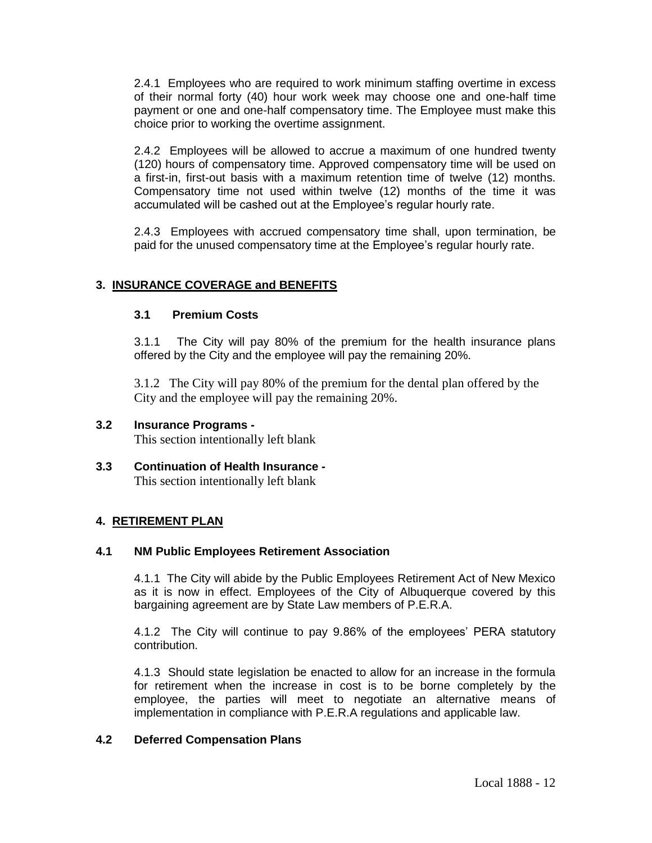2.4.1 Employees who are required to work minimum staffing overtime in excess of their normal forty (40) hour work week may choose one and one-half time payment or one and one-half compensatory time. The Employee must make this choice prior to working the overtime assignment.

2.4.2 Employees will be allowed to accrue a maximum of one hundred twenty (120) hours of compensatory time. Approved compensatory time will be used on a first-in, first-out basis with a maximum retention time of twelve (12) months. Compensatory time not used within twelve (12) months of the time it was accumulated will be cashed out at the Employee's regular hourly rate.

2.4.3 Employees with accrued compensatory time shall, upon termination, be paid for the unused compensatory time at the Employee's regular hourly rate.

# **3. INSURANCE COVERAGE and BENEFITS**

## **3.1 Premium Costs**

3.1.1 The City will pay 80% of the premium for the health insurance plans offered by the City and the employee will pay the remaining 20%.

3.1.2 The City will pay 80% of the premium for the dental plan offered by the City and the employee will pay the remaining 20%.

# **3.2 Insurance Programs -**

This section intentionally left blank

**3.3 Continuation of Health Insurance -** This section intentionally left blank

## **4. RETIREMENT PLAN**

# **4.1 NM Public Employees Retirement Association**

4.1.1 The City will abide by the Public Employees Retirement Act of New Mexico as it is now in effect. Employees of the City of Albuquerque covered by this bargaining agreement are by State Law members of P.E.R.A.

4.1.2 The City will continue to pay 9.86% of the employees' PERA statutory contribution.

4.1.3 Should state legislation be enacted to allow for an increase in the formula for retirement when the increase in cost is to be borne completely by the employee, the parties will meet to negotiate an alternative means of implementation in compliance with P.E.R.A regulations and applicable law.

## **4.2 Deferred Compensation Plans**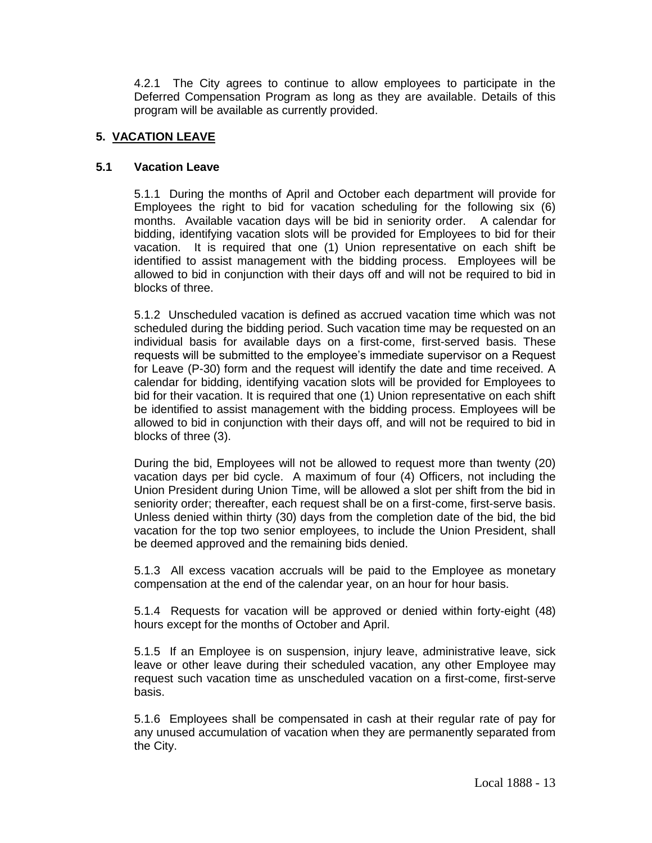4.2.1 The City agrees to continue to allow employees to participate in the Deferred Compensation Program as long as they are available. Details of this program will be available as currently provided.

# **5. VACATION LEAVE**

### **5.1 Vacation Leave**

5.1.1 During the months of April and October each department will provide for Employees the right to bid for vacation scheduling for the following six (6) months. Available vacation days will be bid in seniority order. A calendar for bidding, identifying vacation slots will be provided for Employees to bid for their vacation. It is required that one (1) Union representative on each shift be identified to assist management with the bidding process. Employees will be allowed to bid in conjunction with their days off and will not be required to bid in blocks of three.

5.1.2 Unscheduled vacation is defined as accrued vacation time which was not scheduled during the bidding period. Such vacation time may be requested on an individual basis for available days on a first-come, first-served basis. These requests will be submitted to the employee's immediate supervisor on a Request for Leave (P-30) form and the request will identify the date and time received. A calendar for bidding, identifying vacation slots will be provided for Employees to bid for their vacation. It is required that one (1) Union representative on each shift be identified to assist management with the bidding process. Employees will be allowed to bid in conjunction with their days off, and will not be required to bid in blocks of three (3).

During the bid, Employees will not be allowed to request more than twenty (20) vacation days per bid cycle. A maximum of four (4) Officers, not including the Union President during Union Time, will be allowed a slot per shift from the bid in seniority order; thereafter, each request shall be on a first-come, first-serve basis. Unless denied within thirty (30) days from the completion date of the bid, the bid vacation for the top two senior employees, to include the Union President, shall be deemed approved and the remaining bids denied.

5.1.3 All excess vacation accruals will be paid to the Employee as monetary compensation at the end of the calendar year, on an hour for hour basis.

5.1.4 Requests for vacation will be approved or denied within forty-eight (48) hours except for the months of October and April.

5.1.5 If an Employee is on suspension, injury leave, administrative leave, sick leave or other leave during their scheduled vacation, any other Employee may request such vacation time as unscheduled vacation on a first-come, first-serve basis.

5.1.6 Employees shall be compensated in cash at their regular rate of pay for any unused accumulation of vacation when they are permanently separated from the City.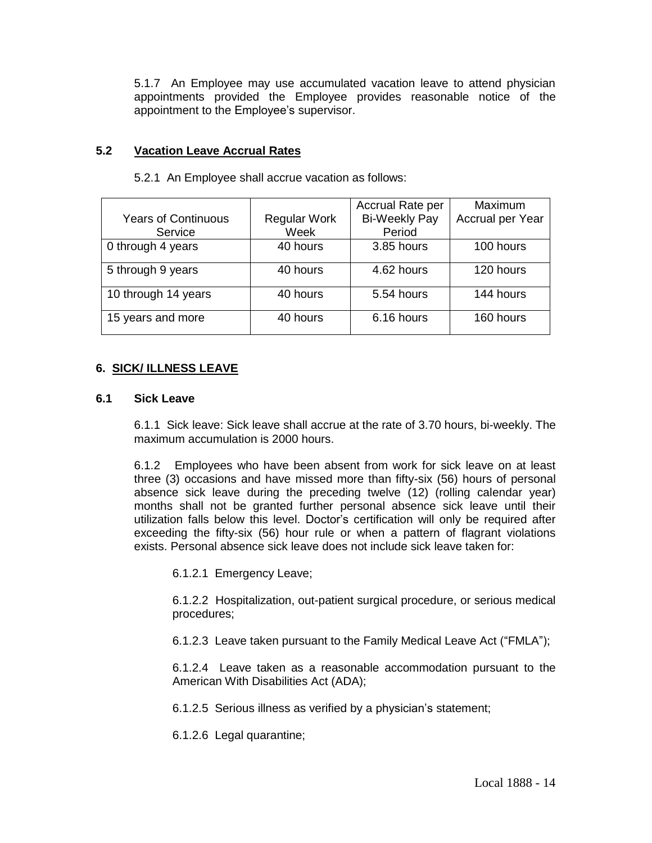5.1.7 An Employee may use accumulated vacation leave to attend physician appointments provided the Employee provides reasonable notice of the appointment to the Employee's supervisor.

### **5.2 Vacation Leave Accrual Rates**

|                            |                     | Accrual Rate per     | <b>Maximum</b>   |
|----------------------------|---------------------|----------------------|------------------|
| <b>Years of Continuous</b> | <b>Regular Work</b> | <b>Bi-Weekly Pay</b> | Accrual per Year |
| Service                    | Week                | Period               |                  |
| 0 through 4 years          | 40 hours            | 3.85 hours           | 100 hours        |
| 5 through 9 years          | 40 hours            | 4.62 hours           | 120 hours        |
| 10 through 14 years        | 40 hours            | 5.54 hours           | 144 hours        |
| 15 years and more          | 40 hours            | 6.16 hours           | 160 hours        |

5.2.1 An Employee shall accrue vacation as follows:

## **6. SICK/ ILLNESS LEAVE**

### **6.1 Sick Leave**

6.1.1 Sick leave: Sick leave shall accrue at the rate of 3.70 hours, bi-weekly. The maximum accumulation is 2000 hours.

6.1.2 Employees who have been absent from work for sick leave on at least three (3) occasions and have missed more than fifty-six (56) hours of personal absence sick leave during the preceding twelve (12) (rolling calendar year) months shall not be granted further personal absence sick leave until their utilization falls below this level. Doctor's certification will only be required after exceeding the fifty-six (56) hour rule or when a pattern of flagrant violations exists. Personal absence sick leave does not include sick leave taken for:

6.1.2.1 Emergency Leave;

6.1.2.2 Hospitalization, out-patient surgical procedure, or serious medical procedures;

6.1.2.3 Leave taken pursuant to the Family Medical Leave Act ("FMLA");

6.1.2.4 Leave taken as a reasonable accommodation pursuant to the American With Disabilities Act (ADA);

6.1.2.5 Serious illness as verified by a physician's statement;

6.1.2.6 Legal quarantine;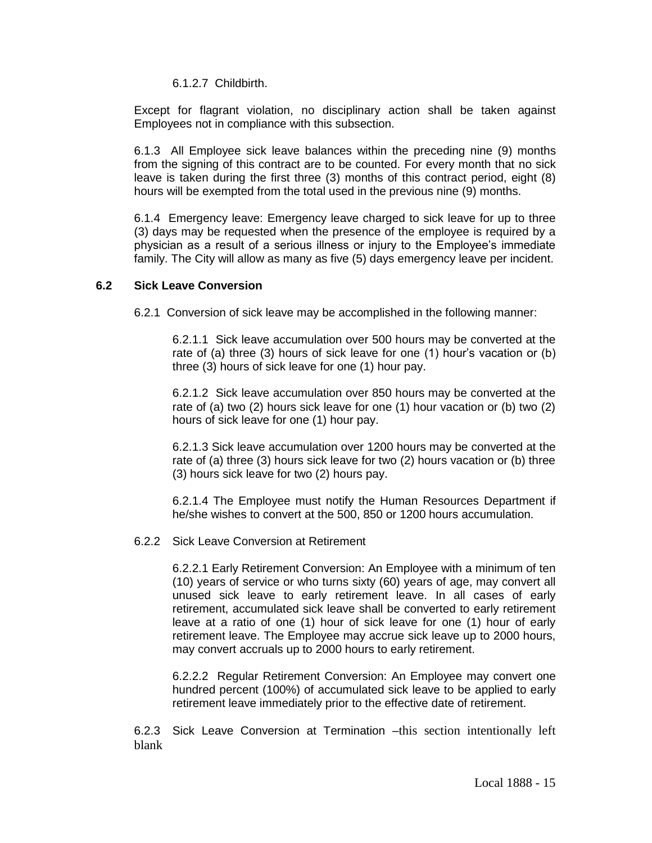6.1.2.7 Childbirth.

Except for flagrant violation, no disciplinary action shall be taken against Employees not in compliance with this subsection.

6.1.3 All Employee sick leave balances within the preceding nine (9) months from the signing of this contract are to be counted. For every month that no sick leave is taken during the first three (3) months of this contract period, eight (8) hours will be exempted from the total used in the previous nine (9) months.

6.1.4 Emergency leave: Emergency leave charged to sick leave for up to three (3) days may be requested when the presence of the employee is required by a physician as a result of a serious illness or injury to the Employee's immediate family. The City will allow as many as five (5) days emergency leave per incident.

### **6.2 Sick Leave Conversion**

6.2.1 Conversion of sick leave may be accomplished in the following manner:

6.2.1.1 Sick leave accumulation over 500 hours may be converted at the rate of (a) three (3) hours of sick leave for one (1) hour's vacation or (b) three (3) hours of sick leave for one (1) hour pay.

6.2.1.2 Sick leave accumulation over 850 hours may be converted at the rate of (a) two (2) hours sick leave for one (1) hour vacation or (b) two (2) hours of sick leave for one (1) hour pay.

6.2.1.3 Sick leave accumulation over 1200 hours may be converted at the rate of (a) three (3) hours sick leave for two (2) hours vacation or (b) three (3) hours sick leave for two (2) hours pay.

6.2.1.4 The Employee must notify the Human Resources Department if he/she wishes to convert at the 500, 850 or 1200 hours accumulation.

#### 6.2.2 Sick Leave Conversion at Retirement

6.2.2.1 Early Retirement Conversion: An Employee with a minimum of ten (10) years of service or who turns sixty (60) years of age, may convert all unused sick leave to early retirement leave. In all cases of early retirement, accumulated sick leave shall be converted to early retirement leave at a ratio of one (1) hour of sick leave for one (1) hour of early retirement leave. The Employee may accrue sick leave up to 2000 hours, may convert accruals up to 2000 hours to early retirement.

6.2.2.2 Regular Retirement Conversion: An Employee may convert one hundred percent (100%) of accumulated sick leave to be applied to early retirement leave immediately prior to the effective date of retirement.

6.2.3 Sick Leave Conversion at Termination –this section intentionally left blank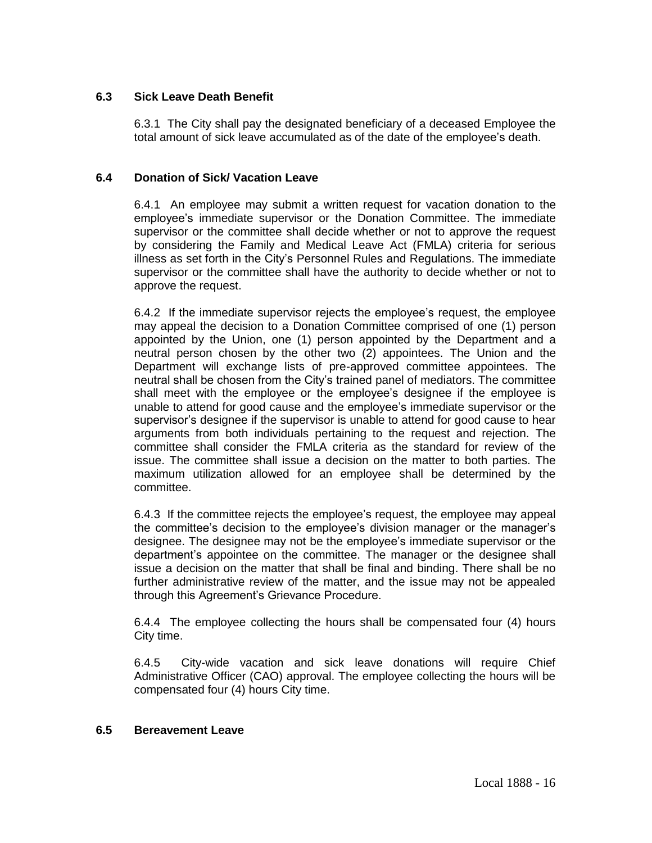# **6.3 Sick Leave Death Benefit**

6.3.1 The City shall pay the designated beneficiary of a deceased Employee the total amount of sick leave accumulated as of the date of the employee's death.

## **6.4 Donation of Sick/ Vacation Leave**

6.4.1 An employee may submit a written request for vacation donation to the employee's immediate supervisor or the Donation Committee. The immediate supervisor or the committee shall decide whether or not to approve the request by considering the Family and Medical Leave Act (FMLA) criteria for serious illness as set forth in the City's Personnel Rules and Regulations. The immediate supervisor or the committee shall have the authority to decide whether or not to approve the request.

6.4.2 If the immediate supervisor rejects the employee's request, the employee may appeal the decision to a Donation Committee comprised of one (1) person appointed by the Union, one (1) person appointed by the Department and a neutral person chosen by the other two (2) appointees. The Union and the Department will exchange lists of pre-approved committee appointees. The neutral shall be chosen from the City's trained panel of mediators. The committee shall meet with the employee or the employee's designee if the employee is unable to attend for good cause and the employee's immediate supervisor or the supervisor's designee if the supervisor is unable to attend for good cause to hear arguments from both individuals pertaining to the request and rejection. The committee shall consider the FMLA criteria as the standard for review of the issue. The committee shall issue a decision on the matter to both parties. The maximum utilization allowed for an employee shall be determined by the committee.

6.4.3 If the committee rejects the employee's request, the employee may appeal the committee's decision to the employee's division manager or the manager's designee. The designee may not be the employee's immediate supervisor or the department's appointee on the committee. The manager or the designee shall issue a decision on the matter that shall be final and binding. There shall be no further administrative review of the matter, and the issue may not be appealed through this Agreement's Grievance Procedure.

6.4.4 The employee collecting the hours shall be compensated four (4) hours City time.

6.4.5 City-wide vacation and sick leave donations will require Chief Administrative Officer (CAO) approval. The employee collecting the hours will be compensated four (4) hours City time.

#### **6.5 Bereavement Leave**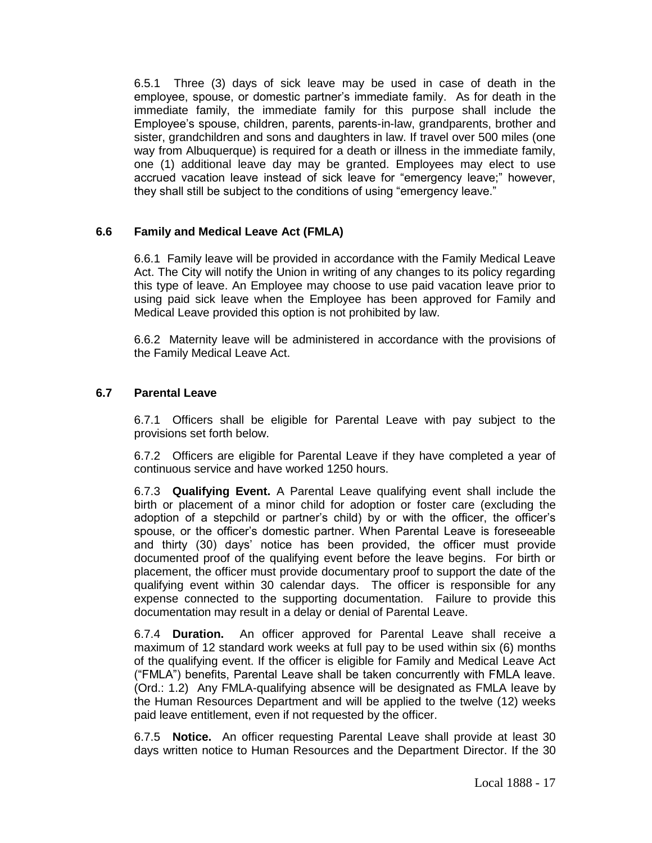6.5.1 Three (3) days of sick leave may be used in case of death in the employee, spouse, or domestic partner's immediate family.As for death in the immediate family, the immediate family for this purpose shall include the Employee's spouse, children, parents, parents-in-law, grandparents, brother and sister, grandchildren and sons and daughters in law. If travel over 500 miles (one way from Albuquerque) is required for a death or illness in the immediate family, one (1) additional leave day may be granted. Employees may elect to use accrued vacation leave instead of sick leave for "emergency leave;" however, they shall still be subject to the conditions of using "emergency leave."

## **6.6 Family and Medical Leave Act (FMLA)**

6.6.1 Family leave will be provided in accordance with the Family Medical Leave Act. The City will notify the Union in writing of any changes to its policy regarding this type of leave. An Employee may choose to use paid vacation leave prior to using paid sick leave when the Employee has been approved for Family and Medical Leave provided this option is not prohibited by law.

6.6.2 Maternity leave will be administered in accordance with the provisions of the Family Medical Leave Act.

## **6.7 Parental Leave**

6.7.1 Officers shall be eligible for Parental Leave with pay subject to the provisions set forth below.

6.7.2 Officers are eligible for Parental Leave if they have completed a year of continuous service and have worked 1250 hours.

6.7.3 **Qualifying Event.** A Parental Leave qualifying event shall include the birth or placement of a minor child for adoption or foster care (excluding the adoption of a stepchild or partner's child) by or with the officer, the officer's spouse, or the officer's domestic partner. When Parental Leave is foreseeable and thirty (30) days' notice has been provided, the officer must provide documented proof of the qualifying event before the leave begins. For birth or placement, the officer must provide documentary proof to support the date of the qualifying event within 30 calendar days. The officer is responsible for any expense connected to the supporting documentation. Failure to provide this documentation may result in a delay or denial of Parental Leave.

6.7.4 **Duration.** An officer approved for Parental Leave shall receive a maximum of 12 standard work weeks at full pay to be used within six (6) months of the qualifying event. If the officer is eligible for Family and Medical Leave Act ("FMLA") benefits, Parental Leave shall be taken concurrently with FMLA leave. (Ord.: 1.2) Any FMLA-qualifying absence will be designated as FMLA leave by the Human Resources Department and will be applied to the twelve (12) weeks paid leave entitlement, even if not requested by the officer.

6.7.5 **Notice.** An officer requesting Parental Leave shall provide at least 30 days written notice to Human Resources and the Department Director. If the 30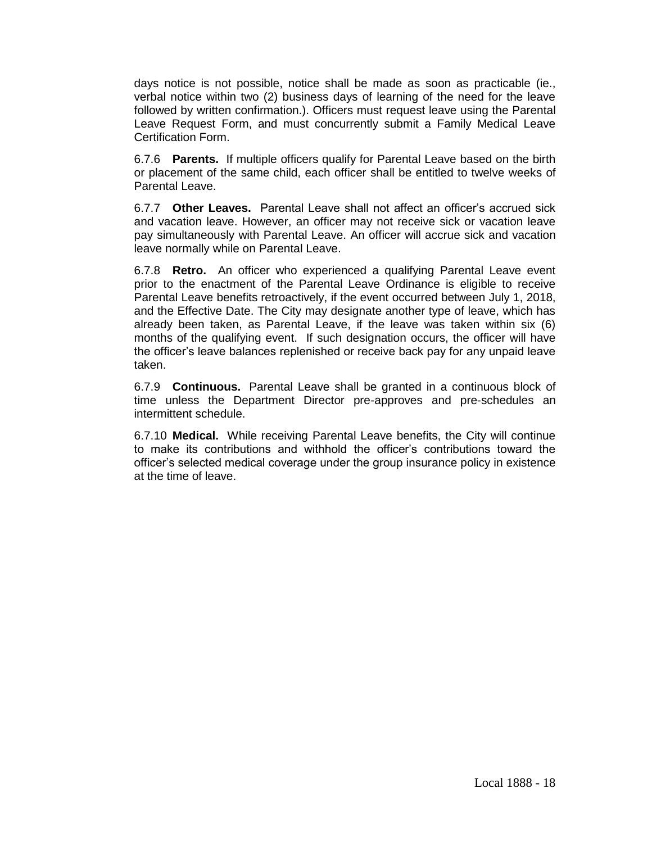days notice is not possible, notice shall be made as soon as practicable (ie., verbal notice within two (2) business days of learning of the need for the leave followed by written confirmation.). Officers must request leave using the Parental Leave Request Form, and must concurrently submit a Family Medical Leave Certification Form.

6.7.6 **Parents.** If multiple officers qualify for Parental Leave based on the birth or placement of the same child, each officer shall be entitled to twelve weeks of Parental Leave.

6.7.7 **Other Leaves.** Parental Leave shall not affect an officer's accrued sick and vacation leave. However, an officer may not receive sick or vacation leave pay simultaneously with Parental Leave. An officer will accrue sick and vacation leave normally while on Parental Leave.

6.7.8 **Retro.** An officer who experienced a qualifying Parental Leave event prior to the enactment of the Parental Leave Ordinance is eligible to receive Parental Leave benefits retroactively, if the event occurred between July 1, 2018, and the Effective Date. The City may designate another type of leave, which has already been taken, as Parental Leave, if the leave was taken within six (6) months of the qualifying event. If such designation occurs, the officer will have the officer's leave balances replenished or receive back pay for any unpaid leave taken.

6.7.9 **Continuous.** Parental Leave shall be granted in a continuous block of time unless the Department Director pre-approves and pre-schedules an intermittent schedule.

6.7.10 **Medical.** While receiving Parental Leave benefits, the City will continue to make its contributions and withhold the officer's contributions toward the officer's selected medical coverage under the group insurance policy in existence at the time of leave.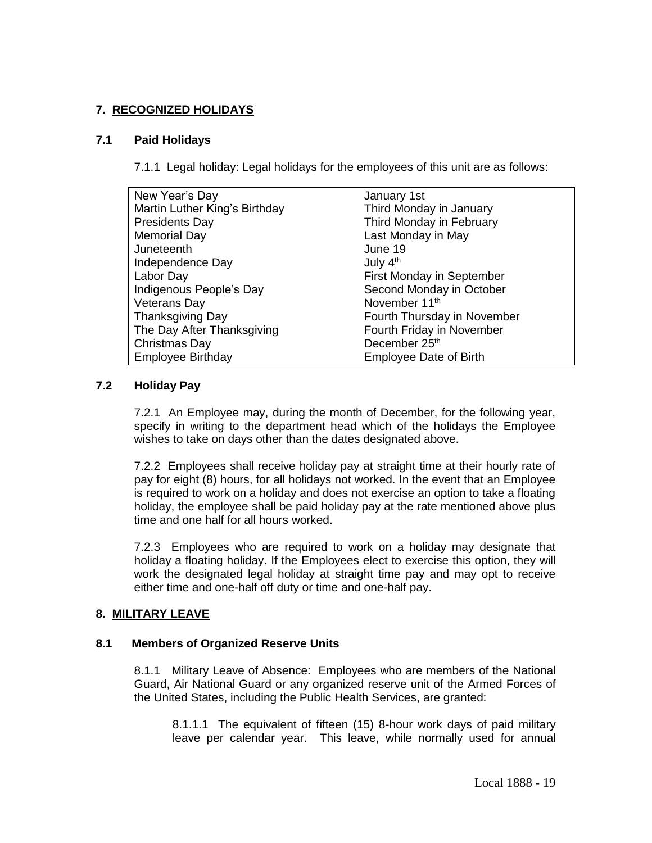# **7. RECOGNIZED HOLIDAYS**

### **7.1 Paid Holidays**

7.1.1 Legal holiday: Legal holidays for the employees of this unit are as follows:

| New Year's Day                | January 1st                      |
|-------------------------------|----------------------------------|
| Martin Luther King's Birthday | Third Monday in January          |
| <b>Presidents Day</b>         | Third Monday in February         |
| Memorial Day                  | Last Monday in May               |
| Juneteenth                    | June 19                          |
| Independence Day              | July 4 <sup>th</sup>             |
| Labor Day                     | <b>First Monday in September</b> |
| Indigenous People's Day       | Second Monday in October         |
| <b>Veterans Day</b>           | November 11 <sup>th</sup>        |
| <b>Thanksgiving Day</b>       | Fourth Thursday in November      |
| The Day After Thanksgiving    | Fourth Friday in November        |
| Christmas Day                 | December 25 <sup>th</sup>        |
| <b>Employee Birthday</b>      | <b>Employee Date of Birth</b>    |

## **7.2 Holiday Pay**

7.2.1 An Employee may, during the month of December, for the following year, specify in writing to the department head which of the holidays the Employee wishes to take on days other than the dates designated above.

7.2.2 Employees shall receive holiday pay at straight time at their hourly rate of pay for eight (8) hours, for all holidays not worked. In the event that an Employee is required to work on a holiday and does not exercise an option to take a floating holiday, the employee shall be paid holiday pay at the rate mentioned above plus time and one half for all hours worked.

7.2.3 Employees who are required to work on a holiday may designate that holiday a floating holiday. If the Employees elect to exercise this option, they will work the designated legal holiday at straight time pay and may opt to receive either time and one-half off duty or time and one-half pay.

## **8. MILITARY LEAVE**

## **8.1 Members of Organized Reserve Units**

8.1.1 Military Leave of Absence: Employees who are members of the National Guard, Air National Guard or any organized reserve unit of the Armed Forces of the United States, including the Public Health Services, are granted:

8.1.1.1 The equivalent of fifteen (15) 8-hour work days of paid military leave per calendar year. This leave, while normally used for annual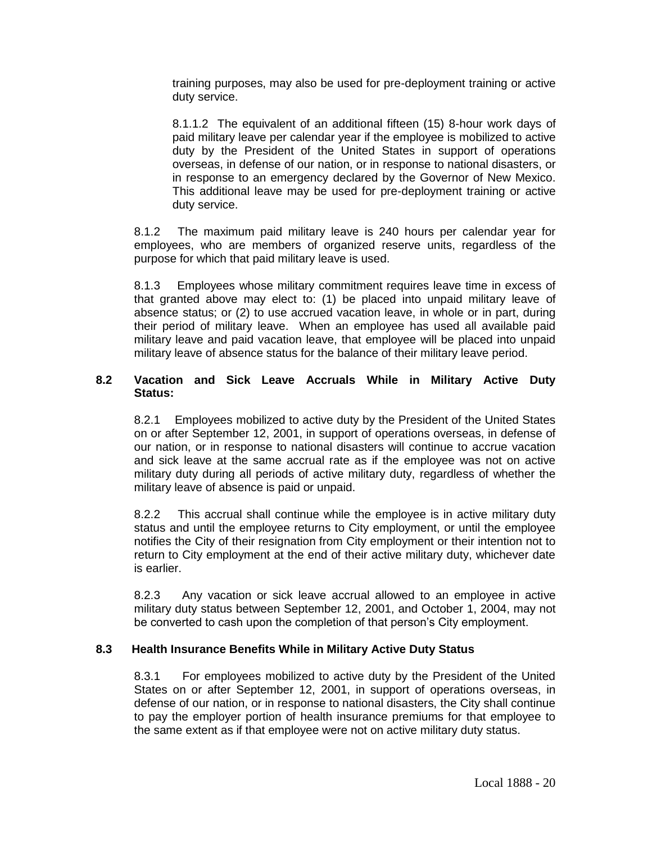training purposes, may also be used for pre-deployment training or active duty service.

8.1.1.2 The equivalent of an additional fifteen (15) 8-hour work days of paid military leave per calendar year if the employee is mobilized to active duty by the President of the United States in support of operations overseas, in defense of our nation, or in response to national disasters, or in response to an emergency declared by the Governor of New Mexico. This additional leave may be used for pre-deployment training or active duty service.

8.1.2 The maximum paid military leave is 240 hours per calendar year for employees, who are members of organized reserve units, regardless of the purpose for which that paid military leave is used.

8.1.3 Employees whose military commitment requires leave time in excess of that granted above may elect to: (1) be placed into unpaid military leave of absence status; or (2) to use accrued vacation leave, in whole or in part, during their period of military leave. When an employee has used all available paid military leave and paid vacation leave, that employee will be placed into unpaid military leave of absence status for the balance of their military leave period.

### **8.2 Vacation and Sick Leave Accruals While in Military Active Duty Status:**

8.2.1 Employees mobilized to active duty by the President of the United States on or after September 12, 2001, in support of operations overseas, in defense of our nation, or in response to national disasters will continue to accrue vacation and sick leave at the same accrual rate as if the employee was not on active military duty during all periods of active military duty, regardless of whether the military leave of absence is paid or unpaid.

8.2.2 This accrual shall continue while the employee is in active military duty status and until the employee returns to City employment, or until the employee notifies the City of their resignation from City employment or their intention not to return to City employment at the end of their active military duty, whichever date is earlier.

8.2.3 Any vacation or sick leave accrual allowed to an employee in active military duty status between September 12, 2001, and October 1, 2004, may not be converted to cash upon the completion of that person's City employment.

## **8.3 Health Insurance Benefits While in Military Active Duty Status**

8.3.1 For employees mobilized to active duty by the President of the United States on or after September 12, 2001, in support of operations overseas, in defense of our nation, or in response to national disasters, the City shall continue to pay the employer portion of health insurance premiums for that employee to the same extent as if that employee were not on active military duty status.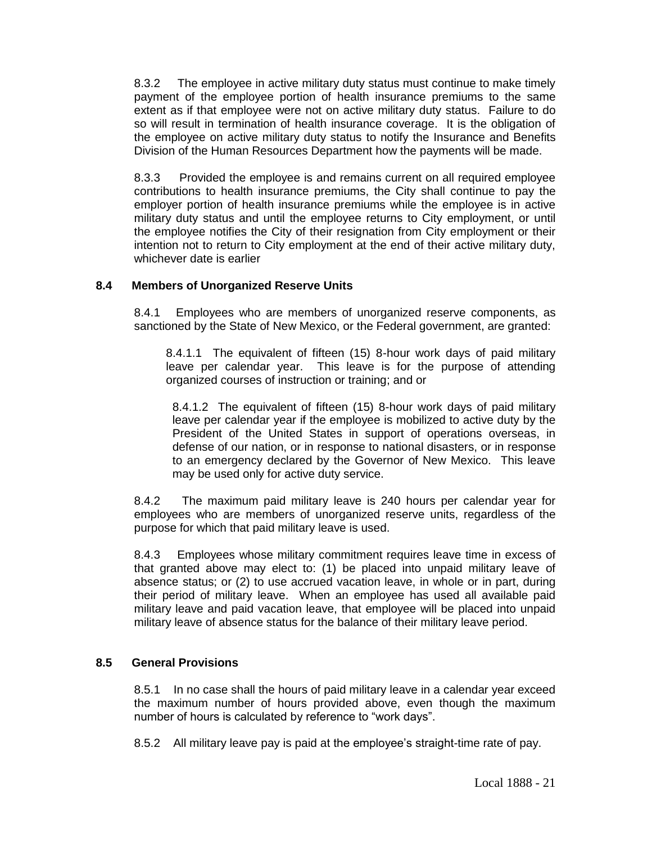8.3.2 The employee in active military duty status must continue to make timely payment of the employee portion of health insurance premiums to the same extent as if that employee were not on active military duty status. Failure to do so will result in termination of health insurance coverage. It is the obligation of the employee on active military duty status to notify the Insurance and Benefits Division of the Human Resources Department how the payments will be made.

8.3.3 Provided the employee is and remains current on all required employee contributions to health insurance premiums, the City shall continue to pay the employer portion of health insurance premiums while the employee is in active military duty status and until the employee returns to City employment, or until the employee notifies the City of their resignation from City employment or their intention not to return to City employment at the end of their active military duty, whichever date is earlier

# **8.4 Members of Unorganized Reserve Units**

8.4.1 Employees who are members of unorganized reserve components, as sanctioned by the State of New Mexico, or the Federal government, are granted:

8.4.1.1 The equivalent of fifteen (15) 8-hour work days of paid military leave per calendar year. This leave is for the purpose of attending organized courses of instruction or training; and or

8.4.1.2 The equivalent of fifteen (15) 8-hour work days of paid military leave per calendar year if the employee is mobilized to active duty by the President of the United States in support of operations overseas, in defense of our nation, or in response to national disasters, or in response to an emergency declared by the Governor of New Mexico. This leave may be used only for active duty service.

8.4.2 The maximum paid military leave is 240 hours per calendar year for employees who are members of unorganized reserve units, regardless of the purpose for which that paid military leave is used.

8.4.3 Employees whose military commitment requires leave time in excess of that granted above may elect to: (1) be placed into unpaid military leave of absence status; or (2) to use accrued vacation leave, in whole or in part, during their period of military leave. When an employee has used all available paid military leave and paid vacation leave, that employee will be placed into unpaid military leave of absence status for the balance of their military leave period.

## **8.5 General Provisions**

8.5.1 In no case shall the hours of paid military leave in a calendar year exceed the maximum number of hours provided above, even though the maximum number of hours is calculated by reference to "work days".

8.5.2 All military leave pay is paid at the employee's straight-time rate of pay.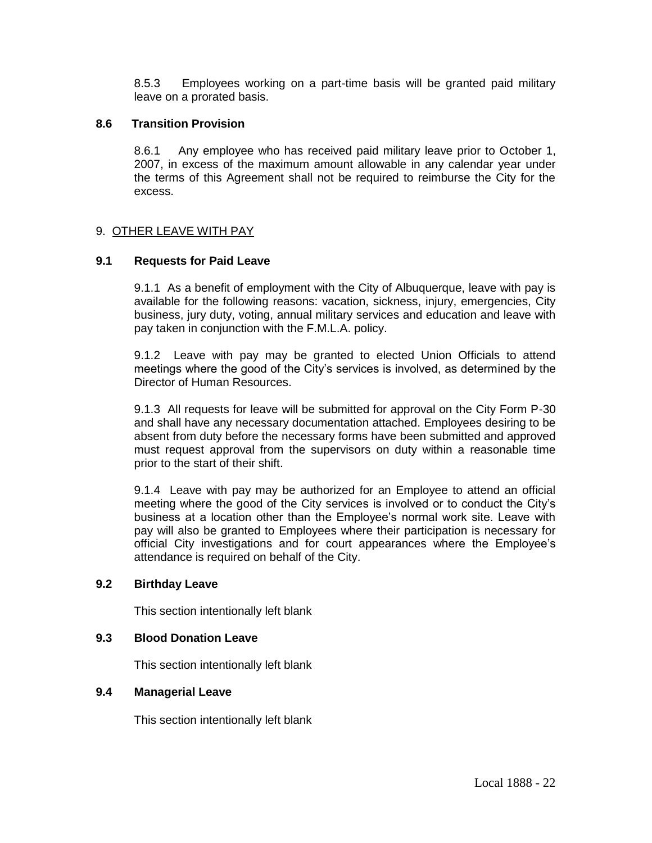8.5.3 Employees working on a part-time basis will be granted paid military leave on a prorated basis.

### **8.6 Transition Provision**

8.6.1 Any employee who has received paid military leave prior to October 1, 2007, in excess of the maximum amount allowable in any calendar year under the terms of this Agreement shall not be required to reimburse the City for the excess.

## 9. OTHER LEAVE WITH PAY

### **9.1 Requests for Paid Leave**

9.1.1 As a benefit of employment with the City of Albuquerque, leave with pay is available for the following reasons: vacation, sickness, injury, emergencies, City business, jury duty, voting, annual military services and education and leave with pay taken in conjunction with the F.M.L.A. policy.

9.1.2 Leave with pay may be granted to elected Union Officials to attend meetings where the good of the City's services is involved, as determined by the Director of Human Resources.

9.1.3 All requests for leave will be submitted for approval on the City Form P-30 and shall have any necessary documentation attached. Employees desiring to be absent from duty before the necessary forms have been submitted and approved must request approval from the supervisors on duty within a reasonable time prior to the start of their shift.

9.1.4 Leave with pay may be authorized for an Employee to attend an official meeting where the good of the City services is involved or to conduct the City's business at a location other than the Employee's normal work site. Leave with pay will also be granted to Employees where their participation is necessary for official City investigations and for court appearances where the Employee's attendance is required on behalf of the City.

#### **9.2 Birthday Leave**

This section intentionally left blank

## **9.3 Blood Donation Leave**

This section intentionally left blank

## **9.4 Managerial Leave**

This section intentionally left blank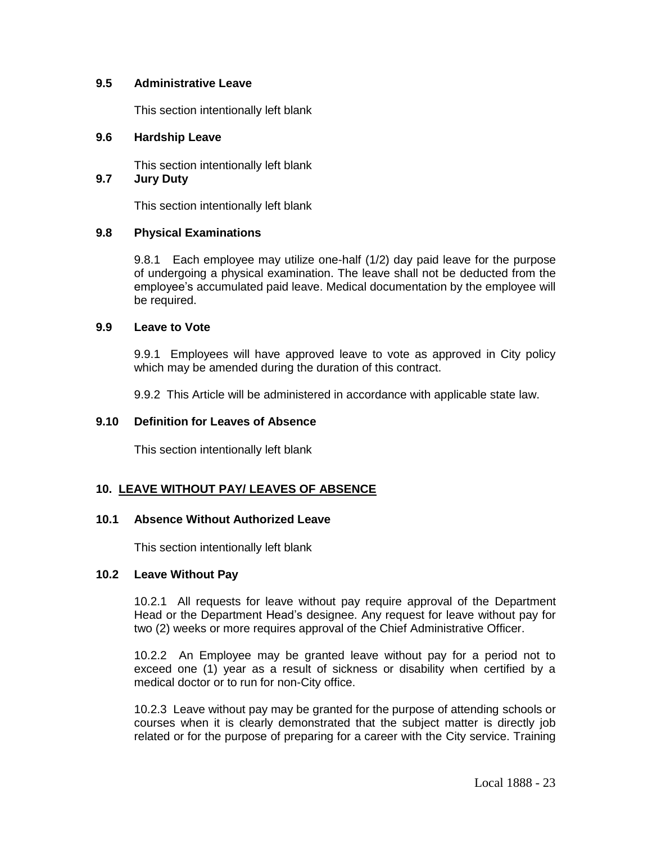### **9.5 Administrative Leave**

This section intentionally left blank

### **9.6 Hardship Leave**

This section intentionally left blank **9.7 Jury Duty** 

This section intentionally left blank

### **9.8 Physical Examinations**

9.8.1 Each employee may utilize one-half (1/2) day paid leave for the purpose of undergoing a physical examination. The leave shall not be deducted from the employee's accumulated paid leave. Medical documentation by the employee will be required.

#### **9.9 Leave to Vote**

9.9.1 Employees will have approved leave to vote as approved in City policy which may be amended during the duration of this contract.

9.9.2 This Article will be administered in accordance with applicable state law.

### **9.10 Definition for Leaves of Absence**

This section intentionally left blank

## **10. LEAVE WITHOUT PAY/ LEAVES OF ABSENCE**

#### **10.1 Absence Without Authorized Leave**

This section intentionally left blank

#### **10.2 Leave Without Pay**

10.2.1 All requests for leave without pay require approval of the Department Head or the Department Head's designee. Any request for leave without pay for two (2) weeks or more requires approval of the Chief Administrative Officer.

10.2.2 An Employee may be granted leave without pay for a period not to exceed one (1) year as a result of sickness or disability when certified by a medical doctor or to run for non-City office.

10.2.3 Leave without pay may be granted for the purpose of attending schools or courses when it is clearly demonstrated that the subject matter is directly job related or for the purpose of preparing for a career with the City service. Training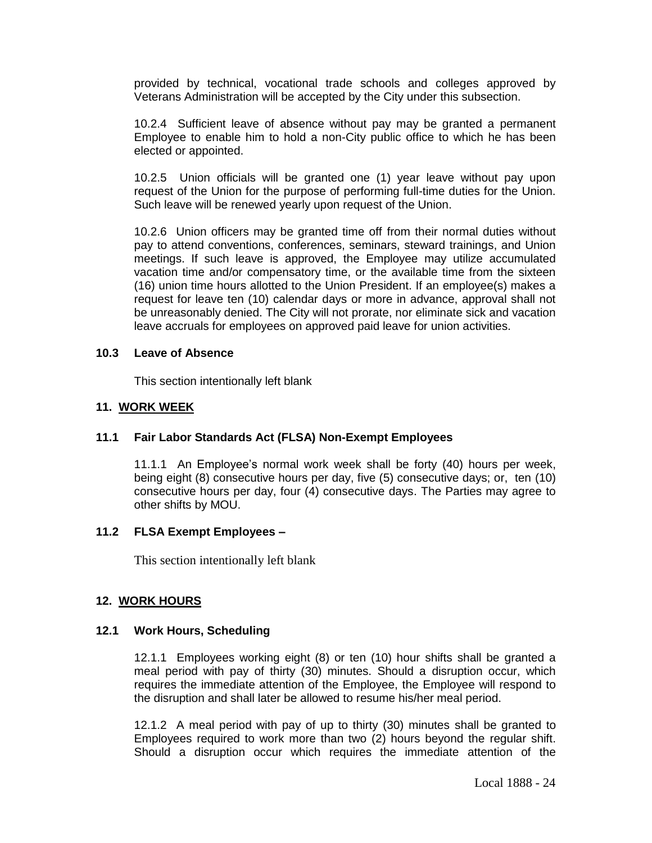provided by technical, vocational trade schools and colleges approved by Veterans Administration will be accepted by the City under this subsection.

10.2.4 Sufficient leave of absence without pay may be granted a permanent Employee to enable him to hold a non-City public office to which he has been elected or appointed.

10.2.5 Union officials will be granted one (1) year leave without pay upon request of the Union for the purpose of performing full-time duties for the Union. Such leave will be renewed yearly upon request of the Union.

10.2.6 Union officers may be granted time off from their normal duties without pay to attend conventions, conferences, seminars, steward trainings, and Union meetings. If such leave is approved, the Employee may utilize accumulated vacation time and/or compensatory time, or the available time from the sixteen (16) union time hours allotted to the Union President. If an employee(s) makes a request for leave ten (10) calendar days or more in advance, approval shall not be unreasonably denied. The City will not prorate, nor eliminate sick and vacation leave accruals for employees on approved paid leave for union activities.

### **10.3 Leave of Absence**

This section intentionally left blank

# **11. WORK WEEK**

## **11.1 Fair Labor Standards Act (FLSA) Non-Exempt Employees**

11.1.1 An Employee's normal work week shall be forty (40) hours per week, being eight (8) consecutive hours per day, five (5) consecutive days; or, ten (10) consecutive hours per day, four (4) consecutive days. The Parties may agree to other shifts by MOU.

## **11.2 FLSA Exempt Employees –**

This section intentionally left blank

## **12. WORK HOURS**

## **12.1 Work Hours, Scheduling**

12.1.1 Employees working eight (8) or ten (10) hour shifts shall be granted a meal period with pay of thirty (30) minutes. Should a disruption occur, which requires the immediate attention of the Employee, the Employee will respond to the disruption and shall later be allowed to resume his/her meal period.

12.1.2 A meal period with pay of up to thirty (30) minutes shall be granted to Employees required to work more than two (2) hours beyond the regular shift. Should a disruption occur which requires the immediate attention of the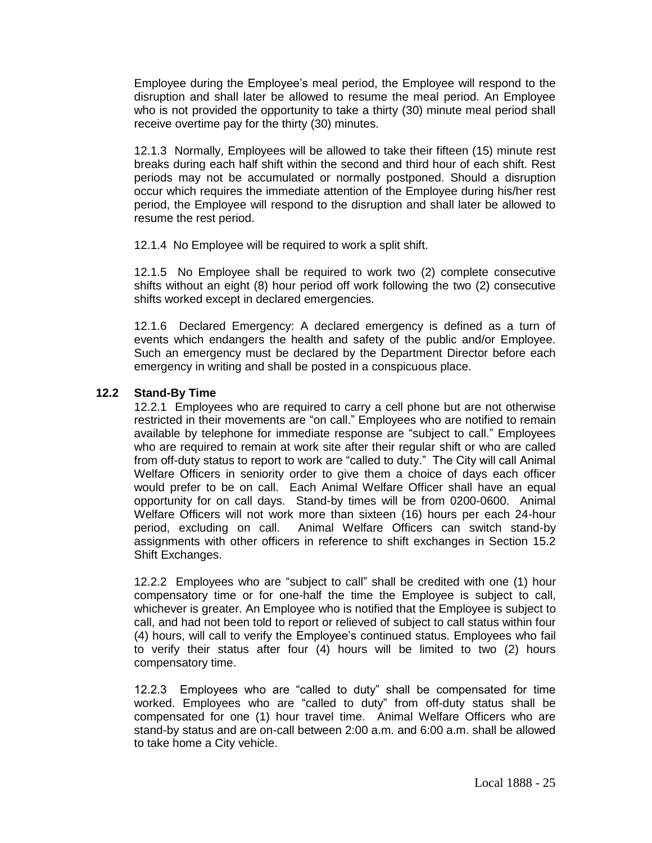Employee during the Employee's meal period, the Employee will respond to the disruption and shall later be allowed to resume the meal period. An Employee who is not provided the opportunity to take a thirty (30) minute meal period shall receive overtime pay for the thirty (30) minutes.

12.1.3 Normally, Employees will be allowed to take their fifteen (15) minute rest breaks during each half shift within the second and third hour of each shift. Rest periods may not be accumulated or normally postponed. Should a disruption occur which requires the immediate attention of the Employee during his/her rest period, the Employee will respond to the disruption and shall later be allowed to resume the rest period.

12.1.4 No Employee will be required to work a split shift.

12.1.5 No Employee shall be required to work two (2) complete consecutive shifts without an eight (8) hour period off work following the two (2) consecutive shifts worked except in declared emergencies.

12.1.6 Declared Emergency: A declared emergency is defined as a turn of events which endangers the health and safety of the public and/or Employee. Such an emergency must be declared by the Department Director before each emergency in writing and shall be posted in a conspicuous place.

# **12.2 Stand-By Time**

12.2.1 Employees who are required to carry a cell phone but are not otherwise restricted in their movements are "on call." Employees who are notified to remain available by telephone for immediate response are "subject to call." Employees who are required to remain at work site after their regular shift or who are called from off-duty status to report to work are "called to duty." The City will call Animal Welfare Officers in seniority order to give them a choice of days each officer would prefer to be on call. Each Animal Welfare Officer shall have an equal opportunity for on call days. Stand-by times will be from 0200-0600. Animal Welfare Officers will not work more than sixteen (16) hours per each 24-hour period, excluding on call. Animal Welfare Officers can switch stand-by assignments with other officers in reference to shift exchanges in Section 15.2 Shift Exchanges.

12.2.2 Employees who are "subject to call" shall be credited with one (1) hour compensatory time or for one-half the time the Employee is subject to call, whichever is greater. An Employee who is notified that the Employee is subject to call, and had not been told to report or relieved of subject to call status within four (4) hours, will call to verify the Employee's continued status. Employees who fail to verify their status after four (4) hours will be limited to two (2) hours compensatory time.

12.2.3 Employees who are "called to duty" shall be compensated for time worked. Employees who are "called to duty" from off-duty status shall be compensated for one (1) hour travel time. Animal Welfare Officers who are stand-by status and are on-call between 2:00 a.m. and 6:00 a.m. shall be allowed to take home a City vehicle.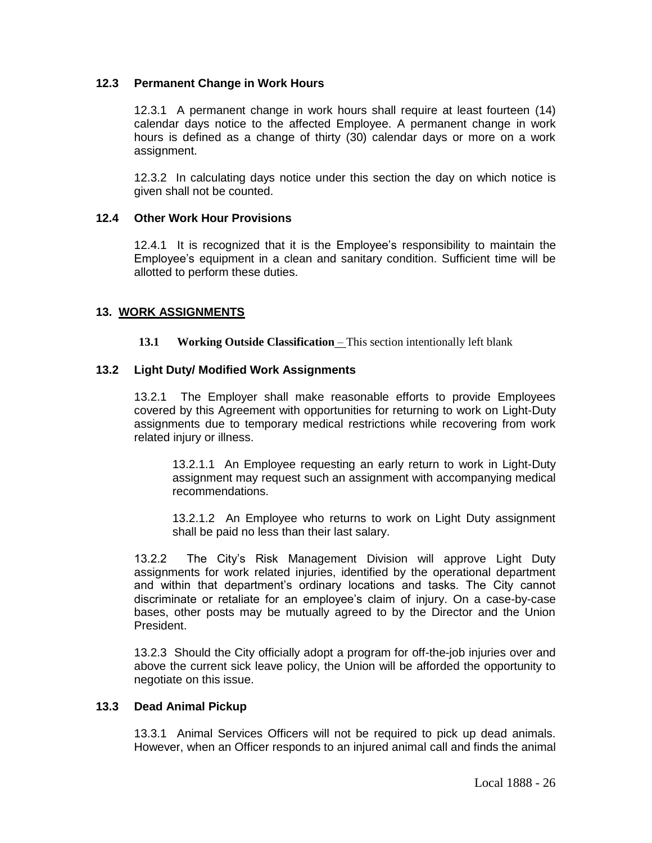## **12.3 Permanent Change in Work Hours**

12.3.1 A permanent change in work hours shall require at least fourteen (14) calendar days notice to the affected Employee. A permanent change in work hours is defined as a change of thirty (30) calendar days or more on a work assignment.

12.3.2 In calculating days notice under this section the day on which notice is given shall not be counted.

### **12.4 Other Work Hour Provisions**

12.4.1 It is recognized that it is the Employee's responsibility to maintain the Employee's equipment in a clean and sanitary condition. Sufficient time will be allotted to perform these duties.

## **13. WORK ASSIGNMENTS**

**13.1 Working Outside Classification** – This section intentionally left blank

### **13.2 Light Duty/ Modified Work Assignments**

13.2.1 The Employer shall make reasonable efforts to provide Employees covered by this Agreement with opportunities for returning to work on Light-Duty assignments due to temporary medical restrictions while recovering from work related injury or illness.

13.2.1.1 An Employee requesting an early return to work in Light-Duty assignment may request such an assignment with accompanying medical recommendations.

13.2.1.2 An Employee who returns to work on Light Duty assignment shall be paid no less than their last salary.

13.2.2 The City's Risk Management Division will approve Light Duty assignments for work related injuries, identified by the operational department and within that department's ordinary locations and tasks. The City cannot discriminate or retaliate for an employee's claim of injury. On a case-by-case bases, other posts may be mutually agreed to by the Director and the Union President.

13.2.3 Should the City officially adopt a program for off-the-job injuries over and above the current sick leave policy, the Union will be afforded the opportunity to negotiate on this issue.

#### **13.3 Dead Animal Pickup**

13.3.1 Animal Services Officers will not be required to pick up dead animals. However, when an Officer responds to an injured animal call and finds the animal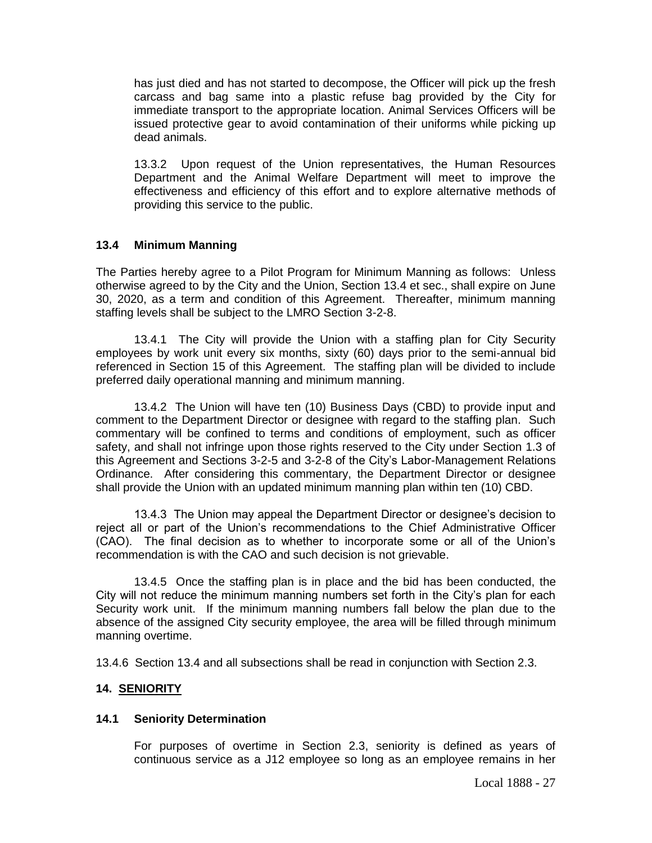has just died and has not started to decompose, the Officer will pick up the fresh carcass and bag same into a plastic refuse bag provided by the City for immediate transport to the appropriate location. Animal Services Officers will be issued protective gear to avoid contamination of their uniforms while picking up dead animals.

13.3.2 Upon request of the Union representatives, the Human Resources Department and the Animal Welfare Department will meet to improve the effectiveness and efficiency of this effort and to explore alternative methods of providing this service to the public.

### **13.4 Minimum Manning**

The Parties hereby agree to a Pilot Program for Minimum Manning as follows: Unless otherwise agreed to by the City and the Union, Section 13.4 et sec., shall expire on June 30, 2020, as a term and condition of this Agreement. Thereafter, minimum manning staffing levels shall be subject to the LMRO Section 3-2-8.

13.4.1 The City will provide the Union with a staffing plan for City Security employees by work unit every six months, sixty (60) days prior to the semi-annual bid referenced in Section 15 of this Agreement. The staffing plan will be divided to include preferred daily operational manning and minimum manning.

13.4.2 The Union will have ten (10) Business Days (CBD) to provide input and comment to the Department Director or designee with regard to the staffing plan. Such commentary will be confined to terms and conditions of employment, such as officer safety, and shall not infringe upon those rights reserved to the City under Section 1.3 of this Agreement and Sections 3-2-5 and 3-2-8 of the City's Labor-Management Relations Ordinance. After considering this commentary, the Department Director or designee shall provide the Union with an updated minimum manning plan within ten (10) CBD.

13.4.3 The Union may appeal the Department Director or designee's decision to reject all or part of the Union's recommendations to the Chief Administrative Officer (CAO). The final decision as to whether to incorporate some or all of the Union's recommendation is with the CAO and such decision is not grievable.

13.4.5 Once the staffing plan is in place and the bid has been conducted, the City will not reduce the minimum manning numbers set forth in the City's plan for each Security work unit. If the minimum manning numbers fall below the plan due to the absence of the assigned City security employee, the area will be filled through minimum manning overtime.

13.4.6 Section 13.4 and all subsections shall be read in conjunction with Section 2.3.

## **14. SENIORITY**

## **14.1 Seniority Determination**

For purposes of overtime in Section 2.3, seniority is defined as years of continuous service as a J12 employee so long as an employee remains in her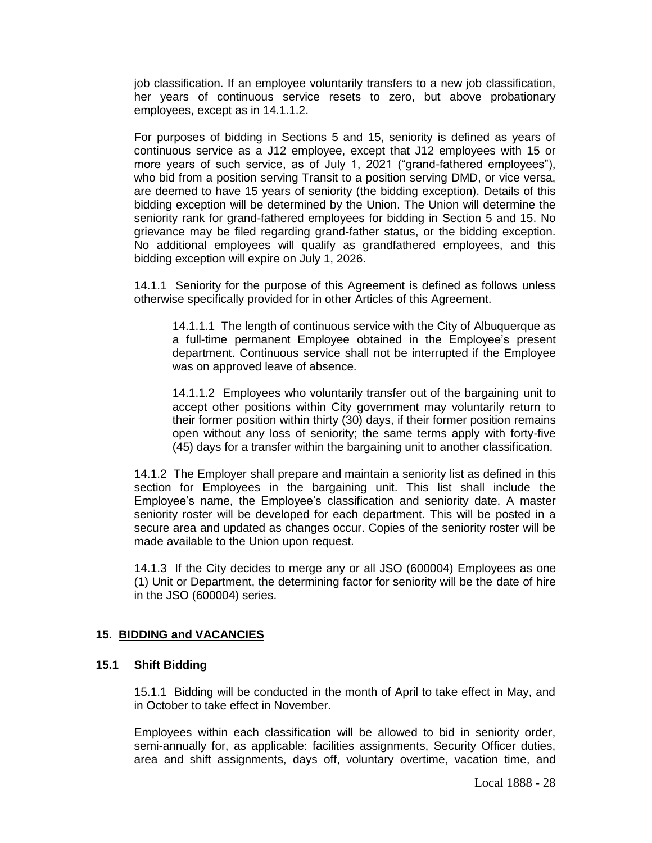job classification. If an employee voluntarily transfers to a new job classification, her years of continuous service resets to zero, but above probationary employees, except as in 14.1.1.2.

For purposes of bidding in Sections 5 and 15, seniority is defined as years of continuous service as a J12 employee, except that J12 employees with 15 or more years of such service, as of July 1, 2021 ("grand-fathered employees"), who bid from a position serving Transit to a position serving DMD, or vice versa, are deemed to have 15 years of seniority (the bidding exception). Details of this bidding exception will be determined by the Union. The Union will determine the seniority rank for grand-fathered employees for bidding in Section 5 and 15. No grievance may be filed regarding grand-father status, or the bidding exception. No additional employees will qualify as grandfathered employees, and this bidding exception will expire on July 1, 2026.

14.1.1 Seniority for the purpose of this Agreement is defined as follows unless otherwise specifically provided for in other Articles of this Agreement.

14.1.1.1 The length of continuous service with the City of Albuquerque as a full-time permanent Employee obtained in the Employee's present department. Continuous service shall not be interrupted if the Employee was on approved leave of absence.

14.1.1.2 Employees who voluntarily transfer out of the bargaining unit to accept other positions within City government may voluntarily return to their former position within thirty (30) days, if their former position remains open without any loss of seniority; the same terms apply with forty-five (45) days for a transfer within the bargaining unit to another classification.

14.1.2 The Employer shall prepare and maintain a seniority list as defined in this section for Employees in the bargaining unit. This list shall include the Employee's name, the Employee's classification and seniority date. A master seniority roster will be developed for each department. This will be posted in a secure area and updated as changes occur. Copies of the seniority roster will be made available to the Union upon request.

14.1.3 If the City decides to merge any or all JSO (600004) Employees as one (1) Unit or Department, the determining factor for seniority will be the date of hire in the JSO (600004) series.

## **15. BIDDING and VACANCIES**

### **15.1 Shift Bidding**

15.1.1 Bidding will be conducted in the month of April to take effect in May, and in October to take effect in November.

Employees within each classification will be allowed to bid in seniority order, semi-annually for, as applicable: facilities assignments, Security Officer duties, area and shift assignments, days off, voluntary overtime, vacation time, and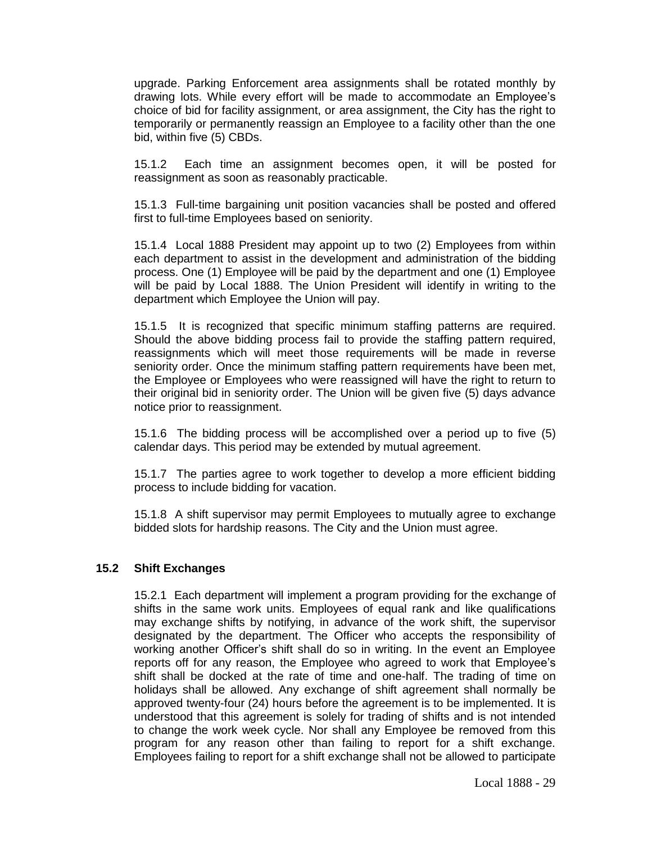upgrade. Parking Enforcement area assignments shall be rotated monthly by drawing lots. While every effort will be made to accommodate an Employee's choice of bid for facility assignment, or area assignment, the City has the right to temporarily or permanently reassign an Employee to a facility other than the one bid, within five (5) CBDs.

15.1.2 Each time an assignment becomes open, it will be posted for reassignment as soon as reasonably practicable.

15.1.3 Full-time bargaining unit position vacancies shall be posted and offered first to full-time Employees based on seniority.

15.1.4 Local 1888 President may appoint up to two (2) Employees from within each department to assist in the development and administration of the bidding process. One (1) Employee will be paid by the department and one (1) Employee will be paid by Local 1888. The Union President will identify in writing to the department which Employee the Union will pay.

15.1.5 It is recognized that specific minimum staffing patterns are required. Should the above bidding process fail to provide the staffing pattern required, reassignments which will meet those requirements will be made in reverse seniority order. Once the minimum staffing pattern requirements have been met, the Employee or Employees who were reassigned will have the right to return to their original bid in seniority order. The Union will be given five (5) days advance notice prior to reassignment.

15.1.6 The bidding process will be accomplished over a period up to five (5) calendar days. This period may be extended by mutual agreement.

15.1.7 The parties agree to work together to develop a more efficient bidding process to include bidding for vacation.

15.1.8 A shift supervisor may permit Employees to mutually agree to exchange bidded slots for hardship reasons. The City and the Union must agree.

#### **15.2 Shift Exchanges**

15.2.1 Each department will implement a program providing for the exchange of shifts in the same work units. Employees of equal rank and like qualifications may exchange shifts by notifying, in advance of the work shift, the supervisor designated by the department. The Officer who accepts the responsibility of working another Officer's shift shall do so in writing. In the event an Employee reports off for any reason, the Employee who agreed to work that Employee's shift shall be docked at the rate of time and one-half. The trading of time on holidays shall be allowed. Any exchange of shift agreement shall normally be approved twenty-four (24) hours before the agreement is to be implemented. It is understood that this agreement is solely for trading of shifts and is not intended to change the work week cycle. Nor shall any Employee be removed from this program for any reason other than failing to report for a shift exchange. Employees failing to report for a shift exchange shall not be allowed to participate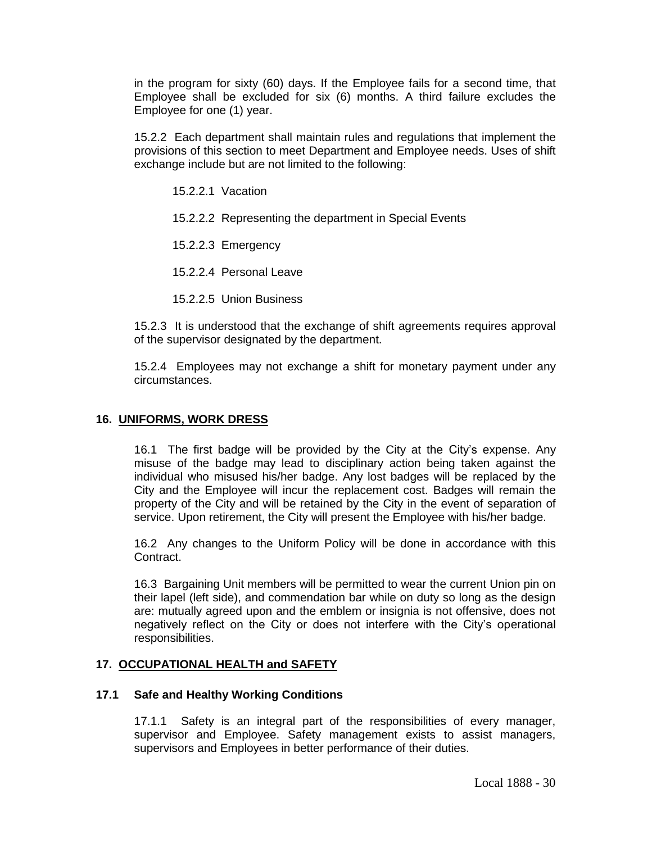in the program for sixty (60) days. If the Employee fails for a second time, that Employee shall be excluded for six (6) months. A third failure excludes the Employee for one (1) year.

15.2.2 Each department shall maintain rules and regulations that implement the provisions of this section to meet Department and Employee needs. Uses of shift exchange include but are not limited to the following:

15.2.2.1 Vacation

15.2.2.2 Representing the department in Special Events

15.2.2.3 Emergency

15.2.2.4 Personal Leave

15.2.2.5 Union Business

15.2.3 It is understood that the exchange of shift agreements requires approval of the supervisor designated by the department.

15.2.4 Employees may not exchange a shift for monetary payment under any circumstances.

#### **16. UNIFORMS, WORK DRESS**

16.1 The first badge will be provided by the City at the City's expense. Any misuse of the badge may lead to disciplinary action being taken against the individual who misused his/her badge. Any lost badges will be replaced by the City and the Employee will incur the replacement cost. Badges will remain the property of the City and will be retained by the City in the event of separation of service. Upon retirement, the City will present the Employee with his/her badge.

16.2 Any changes to the Uniform Policy will be done in accordance with this Contract.

16.3 Bargaining Unit members will be permitted to wear the current Union pin on their lapel (left side), and commendation bar while on duty so long as the design are: mutually agreed upon and the emblem or insignia is not offensive, does not negatively reflect on the City or does not interfere with the City's operational responsibilities.

#### **17. OCCUPATIONAL HEALTH and SAFETY**

#### **17.1 Safe and Healthy Working Conditions**

17.1.1 Safety is an integral part of the responsibilities of every manager, supervisor and Employee. Safety management exists to assist managers, supervisors and Employees in better performance of their duties.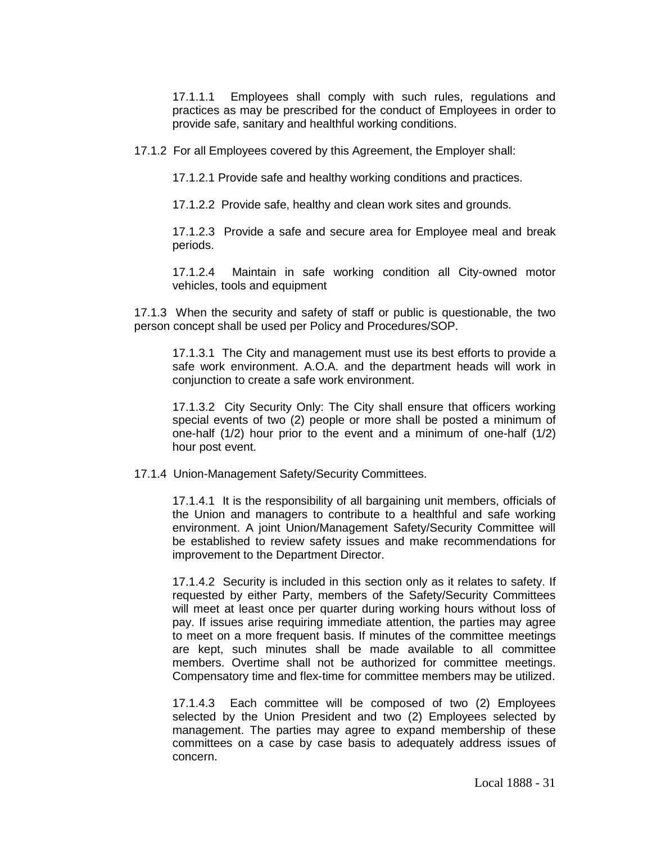17.1.1.1 Employees shall comply with such rules, regulations and practices as may be prescribed for the conduct of Employees in order to provide safe, sanitary and healthful working conditions.

17.1.2 For all Employees covered by this Agreement, the Employer shall:

17.1.2.1 Provide safe and healthy working conditions and practices.

17.1.2.2 Provide safe, healthy and clean work sites and grounds.

17.1.2.3 Provide a safe and secure area for Employee meal and break periods.

17.1.2.4 Maintain in safe working condition all City-owned motor vehicles, tools and equipment

17.1.3 When the security and safety of staff or public is questionable, the two person concept shall be used per Policy and Procedures/SOP.

17.1.3.1 The City and management must use its best efforts to provide a safe work environment. A.O.A. and the department heads will work in conjunction to create a safe work environment.

17.1.3.2 City Security Only: The City shall ensure that officers working special events of two (2) people or more shall be posted a minimum of one-half (1/2) hour prior to the event and a minimum of one-half (1/2) hour post event.

17.1.4 Union-Management Safety/Security Committees.

17.1.4.1 It is the responsibility of all bargaining unit members, officials of the Union and managers to contribute to a healthful and safe working environment. A joint Union/Management Safety/Security Committee will be established to review safety issues and make recommendations for improvement to the Department Director.

17.1.4.2 Security is included in this section only as it relates to safety. If requested by either Party, members of the Safety/Security Committees will meet at least once per quarter during working hours without loss of pay. If issues arise requiring immediate attention, the parties may agree to meet on a more frequent basis. If minutes of the committee meetings are kept, such minutes shall be made available to all committee members. Overtime shall not be authorized for committee meetings. Compensatory time and flex-time for committee members may be utilized.

17.1.4.3 Each committee will be composed of two (2) Employees selected by the Union President and two (2) Employees selected by management. The parties may agree to expand membership of these committees on a case by case basis to adequately address issues of concern.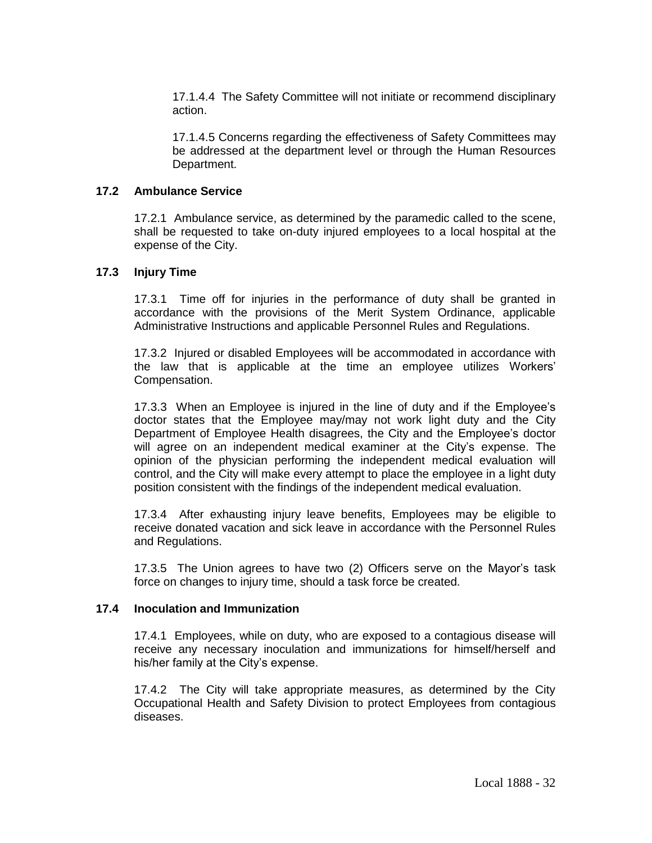17.1.4.4 The Safety Committee will not initiate or recommend disciplinary action.

17.1.4.5 Concerns regarding the effectiveness of Safety Committees may be addressed at the department level or through the Human Resources Department.

### **17.2 Ambulance Service**

17.2.1 Ambulance service, as determined by the paramedic called to the scene, shall be requested to take on-duty injured employees to a local hospital at the expense of the City.

#### **17.3 Injury Time**

17.3.1 Time off for injuries in the performance of duty shall be granted in accordance with the provisions of the Merit System Ordinance, applicable Administrative Instructions and applicable Personnel Rules and Regulations.

17.3.2 Injured or disabled Employees will be accommodated in accordance with the law that is applicable at the time an employee utilizes Workers' Compensation.

17.3.3 When an Employee is injured in the line of duty and if the Employee's doctor states that the Employee may/may not work light duty and the City Department of Employee Health disagrees, the City and the Employee's doctor will agree on an independent medical examiner at the City's expense. The opinion of the physician performing the independent medical evaluation will control, and the City will make every attempt to place the employee in a light duty position consistent with the findings of the independent medical evaluation.

17.3.4 After exhausting injury leave benefits, Employees may be eligible to receive donated vacation and sick leave in accordance with the Personnel Rules and Regulations.

17.3.5 The Union agrees to have two (2) Officers serve on the Mayor's task force on changes to injury time, should a task force be created.

### **17.4 Inoculation and Immunization**

17.4.1 Employees, while on duty, who are exposed to a contagious disease will receive any necessary inoculation and immunizations for himself/herself and his/her family at the City's expense.

17.4.2 The City will take appropriate measures, as determined by the City Occupational Health and Safety Division to protect Employees from contagious diseases.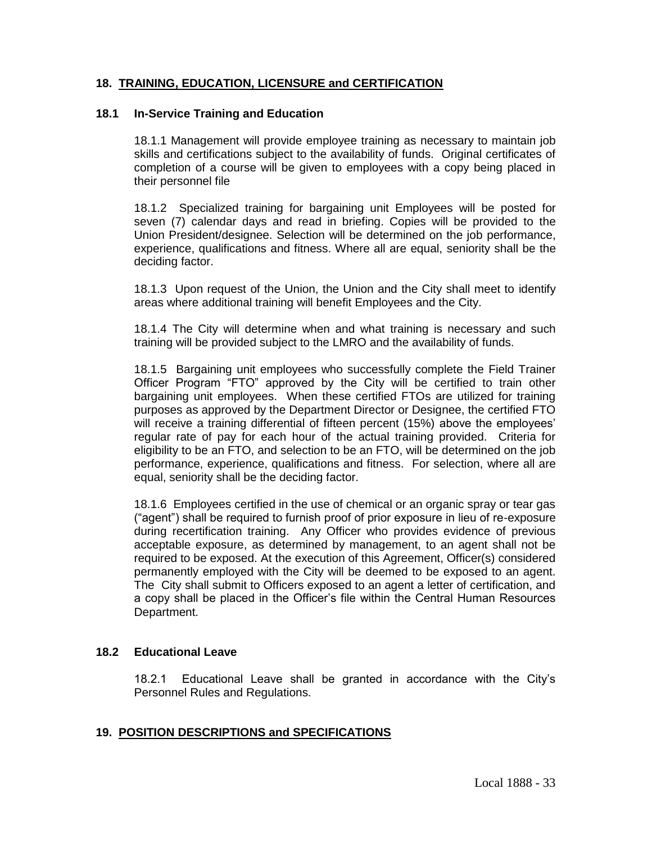## **18. TRAINING, EDUCATION, LICENSURE and CERTIFICATION**

## **18.1 In-Service Training and Education**

18.1.1 Management will provide employee training as necessary to maintain job skills and certifications subject to the availability of funds. Original certificates of completion of a course will be given to employees with a copy being placed in their personnel file

18.1.2 Specialized training for bargaining unit Employees will be posted for seven (7) calendar days and read in briefing. Copies will be provided to the Union President/designee. Selection will be determined on the job performance, experience, qualifications and fitness. Where all are equal, seniority shall be the deciding factor.

18.1.3 Upon request of the Union, the Union and the City shall meet to identify areas where additional training will benefit Employees and the City.

18.1.4 The City will determine when and what training is necessary and such training will be provided subject to the LMRO and the availability of funds.

18.1.5 Bargaining unit employees who successfully complete the Field Trainer Officer Program "FTO" approved by the City will be certified to train other bargaining unit employees. When these certified FTOs are utilized for training purposes as approved by the Department Director or Designee, the certified FTO will receive a training differential of fifteen percent (15%) above the employees' regular rate of pay for each hour of the actual training provided. Criteria for eligibility to be an FTO, and selection to be an FTO, will be determined on the job performance, experience, qualifications and fitness. For selection, where all are equal, seniority shall be the deciding factor.

18.1.6 Employees certified in the use of chemical or an organic spray or tear gas ("agent") shall be required to furnish proof of prior exposure in lieu of re-exposure during recertification training. Any Officer who provides evidence of previous acceptable exposure, as determined by management, to an agent shall not be required to be exposed. At the execution of this Agreement, Officer(s) considered permanently employed with the City will be deemed to be exposed to an agent. The City shall submit to Officers exposed to an agent a letter of certification, and a copy shall be placed in the Officer's file within the Central Human Resources Department.

## **18.2 Educational Leave**

18.2.1 Educational Leave shall be granted in accordance with the City's Personnel Rules and Regulations.

## **19. POSITION DESCRIPTIONS and SPECIFICATIONS**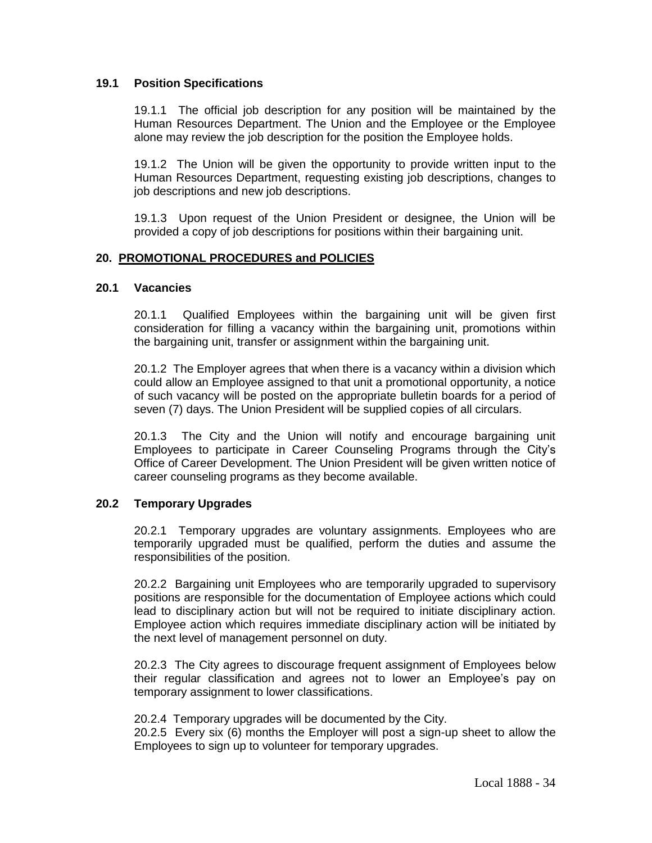### **19.1 Position Specifications**

19.1.1 The official job description for any position will be maintained by the Human Resources Department. The Union and the Employee or the Employee alone may review the job description for the position the Employee holds.

19.1.2 The Union will be given the opportunity to provide written input to the Human Resources Department, requesting existing job descriptions, changes to job descriptions and new job descriptions.

19.1.3 Upon request of the Union President or designee, the Union will be provided a copy of job descriptions for positions within their bargaining unit.

#### **20. PROMOTIONAL PROCEDURES and POLICIES**

#### **20.1 Vacancies**

20.1.1 Qualified Employees within the bargaining unit will be given first consideration for filling a vacancy within the bargaining unit, promotions within the bargaining unit, transfer or assignment within the bargaining unit.

20.1.2 The Employer agrees that when there is a vacancy within a division which could allow an Employee assigned to that unit a promotional opportunity, a notice of such vacancy will be posted on the appropriate bulletin boards for a period of seven (7) days. The Union President will be supplied copies of all circulars.

20.1.3 The City and the Union will notify and encourage bargaining unit Employees to participate in Career Counseling Programs through the City's Office of Career Development. The Union President will be given written notice of career counseling programs as they become available.

#### **20.2 Temporary Upgrades**

20.2.1 Temporary upgrades are voluntary assignments. Employees who are temporarily upgraded must be qualified, perform the duties and assume the responsibilities of the position.

20.2.2 Bargaining unit Employees who are temporarily upgraded to supervisory positions are responsible for the documentation of Employee actions which could lead to disciplinary action but will not be required to initiate disciplinary action. Employee action which requires immediate disciplinary action will be initiated by the next level of management personnel on duty.

20.2.3 The City agrees to discourage frequent assignment of Employees below their regular classification and agrees not to lower an Employee's pay on temporary assignment to lower classifications.

20.2.4 Temporary upgrades will be documented by the City.

20.2.5 Every six (6) months the Employer will post a sign-up sheet to allow the Employees to sign up to volunteer for temporary upgrades.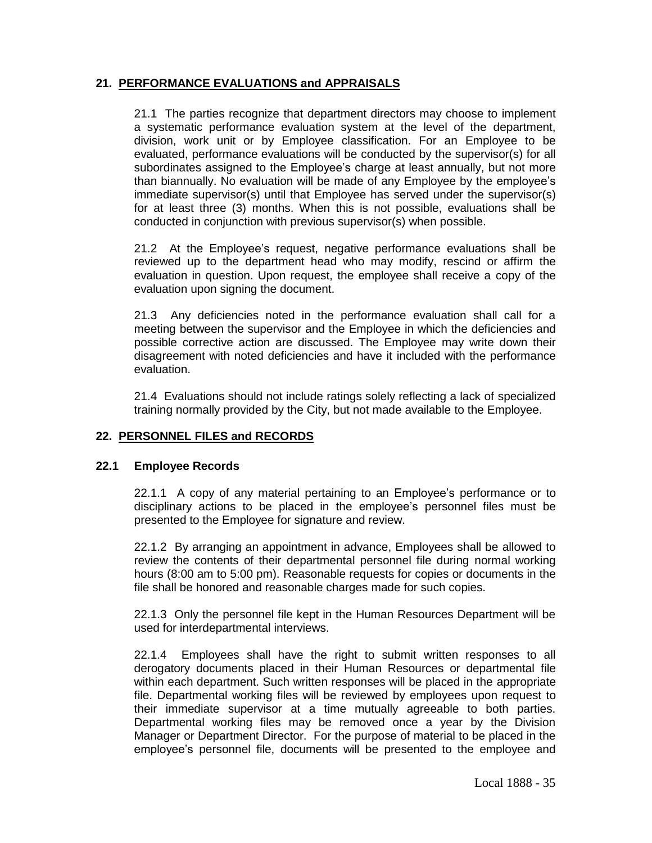# **21. PERFORMANCE EVALUATIONS and APPRAISALS**

21.1 The parties recognize that department directors may choose to implement a systematic performance evaluation system at the level of the department, division, work unit or by Employee classification. For an Employee to be evaluated, performance evaluations will be conducted by the supervisor(s) for all subordinates assigned to the Employee's charge at least annually, but not more than biannually. No evaluation will be made of any Employee by the employee's immediate supervisor(s) until that Employee has served under the supervisor(s) for at least three (3) months. When this is not possible, evaluations shall be conducted in conjunction with previous supervisor(s) when possible.

21.2 At the Employee's request, negative performance evaluations shall be reviewed up to the department head who may modify, rescind or affirm the evaluation in question. Upon request, the employee shall receive a copy of the evaluation upon signing the document.

21.3 Any deficiencies noted in the performance evaluation shall call for a meeting between the supervisor and the Employee in which the deficiencies and possible corrective action are discussed. The Employee may write down their disagreement with noted deficiencies and have it included with the performance evaluation.

21.4 Evaluations should not include ratings solely reflecting a lack of specialized training normally provided by the City, but not made available to the Employee.

## **22. PERSONNEL FILES and RECORDS**

## **22.1 Employee Records**

22.1.1 A copy of any material pertaining to an Employee's performance or to disciplinary actions to be placed in the employee's personnel files must be presented to the Employee for signature and review.

22.1.2 By arranging an appointment in advance, Employees shall be allowed to review the contents of their departmental personnel file during normal working hours (8:00 am to 5:00 pm). Reasonable requests for copies or documents in the file shall be honored and reasonable charges made for such copies.

22.1.3 Only the personnel file kept in the Human Resources Department will be used for interdepartmental interviews.

22.1.4 Employees shall have the right to submit written responses to all derogatory documents placed in their Human Resources or departmental file within each department. Such written responses will be placed in the appropriate file. Departmental working files will be reviewed by employees upon request to their immediate supervisor at a time mutually agreeable to both parties. Departmental working files may be removed once a year by the Division Manager or Department Director. For the purpose of material to be placed in the employee's personnel file, documents will be presented to the employee and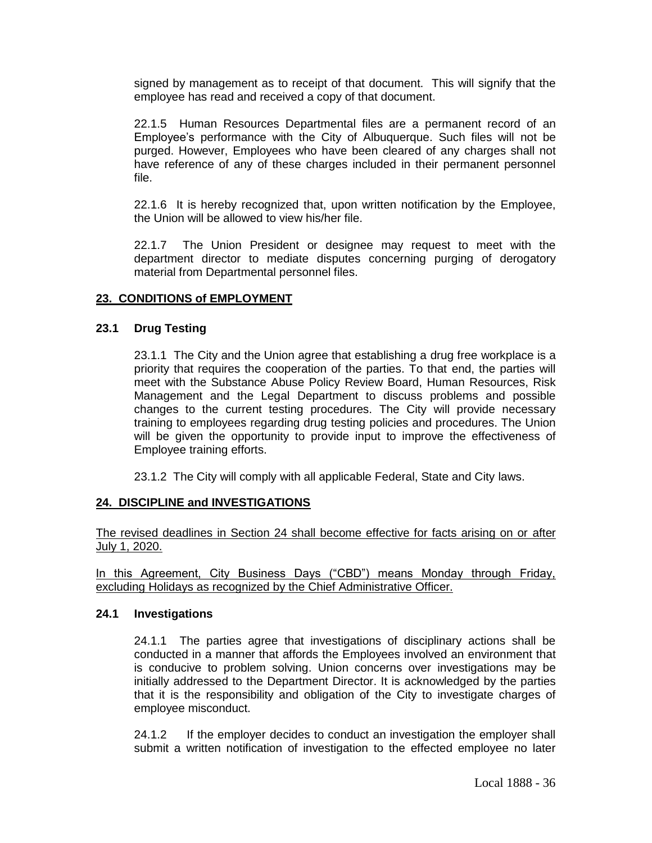signed by management as to receipt of that document. This will signify that the employee has read and received a copy of that document.

22.1.5 Human Resources Departmental files are a permanent record of an Employee's performance with the City of Albuquerque. Such files will not be purged. However, Employees who have been cleared of any charges shall not have reference of any of these charges included in their permanent personnel file.

22.1.6 It is hereby recognized that, upon written notification by the Employee, the Union will be allowed to view his/her file.

22.1.7 The Union President or designee may request to meet with the department director to mediate disputes concerning purging of derogatory material from Departmental personnel files.

## **23. CONDITIONS of EMPLOYMENT**

### **23.1 Drug Testing**

23.1.1 The City and the Union agree that establishing a drug free workplace is a priority that requires the cooperation of the parties. To that end, the parties will meet with the Substance Abuse Policy Review Board, Human Resources, Risk Management and the Legal Department to discuss problems and possible changes to the current testing procedures. The City will provide necessary training to employees regarding drug testing policies and procedures. The Union will be given the opportunity to provide input to improve the effectiveness of Employee training efforts.

23.1.2 The City will comply with all applicable Federal, State and City laws.

## **24. DISCIPLINE and INVESTIGATIONS**

The revised deadlines in Section 24 shall become effective for facts arising on or after July 1, 2020.

In this Agreement, City Business Days ("CBD") means Monday through Friday, excluding Holidays as recognized by the Chief Administrative Officer.

#### **24.1 Investigations**

24.1.1 The parties agree that investigations of disciplinary actions shall be conducted in a manner that affords the Employees involved an environment that is conducive to problem solving. Union concerns over investigations may be initially addressed to the Department Director. It is acknowledged by the parties that it is the responsibility and obligation of the City to investigate charges of employee misconduct.

24.1.2 If the employer decides to conduct an investigation the employer shall submit a written notification of investigation to the effected employee no later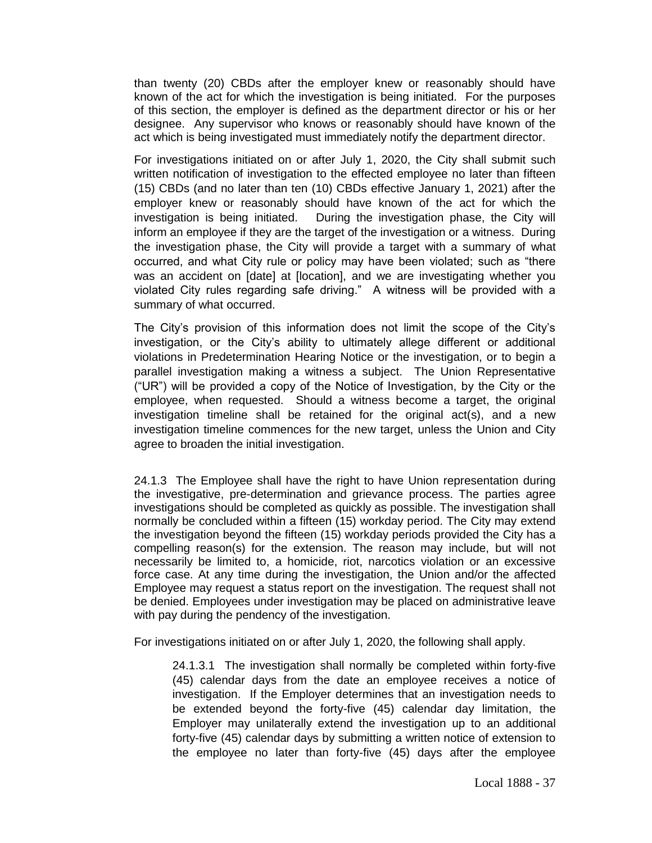than twenty (20) CBDs after the employer knew or reasonably should have known of the act for which the investigation is being initiated. For the purposes of this section, the employer is defined as the department director or his or her designee. Any supervisor who knows or reasonably should have known of the act which is being investigated must immediately notify the department director.

For investigations initiated on or after July 1, 2020, the City shall submit such written notification of investigation to the effected employee no later than fifteen (15) CBDs (and no later than ten (10) CBDs effective January 1, 2021) after the employer knew or reasonably should have known of the act for which the investigation is being initiated. During the investigation phase, the City will inform an employee if they are the target of the investigation or a witness. During the investigation phase, the City will provide a target with a summary of what occurred, and what City rule or policy may have been violated; such as "there was an accident on [date] at [location], and we are investigating whether you violated City rules regarding safe driving." A witness will be provided with a summary of what occurred.

The City's provision of this information does not limit the scope of the City's investigation, or the City's ability to ultimately allege different or additional violations in Predetermination Hearing Notice or the investigation, or to begin a parallel investigation making a witness a subject. The Union Representative ("UR") will be provided a copy of the Notice of Investigation, by the City or the employee, when requested. Should a witness become a target, the original investigation timeline shall be retained for the original act(s), and a new investigation timeline commences for the new target, unless the Union and City agree to broaden the initial investigation.

24.1.3 The Employee shall have the right to have Union representation during the investigative, pre-determination and grievance process. The parties agree investigations should be completed as quickly as possible. The investigation shall normally be concluded within a fifteen (15) workday period. The City may extend the investigation beyond the fifteen (15) workday periods provided the City has a compelling reason(s) for the extension. The reason may include, but will not necessarily be limited to, a homicide, riot, narcotics violation or an excessive force case. At any time during the investigation, the Union and/or the affected Employee may request a status report on the investigation. The request shall not be denied. Employees under investigation may be placed on administrative leave with pay during the pendency of the investigation.

For investigations initiated on or after July 1, 2020, the following shall apply.

24.1.3.1 The investigation shall normally be completed within forty-five (45) calendar days from the date an employee receives a notice of investigation. If the Employer determines that an investigation needs to be extended beyond the forty-five (45) calendar day limitation, the Employer may unilaterally extend the investigation up to an additional forty-five (45) calendar days by submitting a written notice of extension to the employee no later than forty-five (45) days after the employee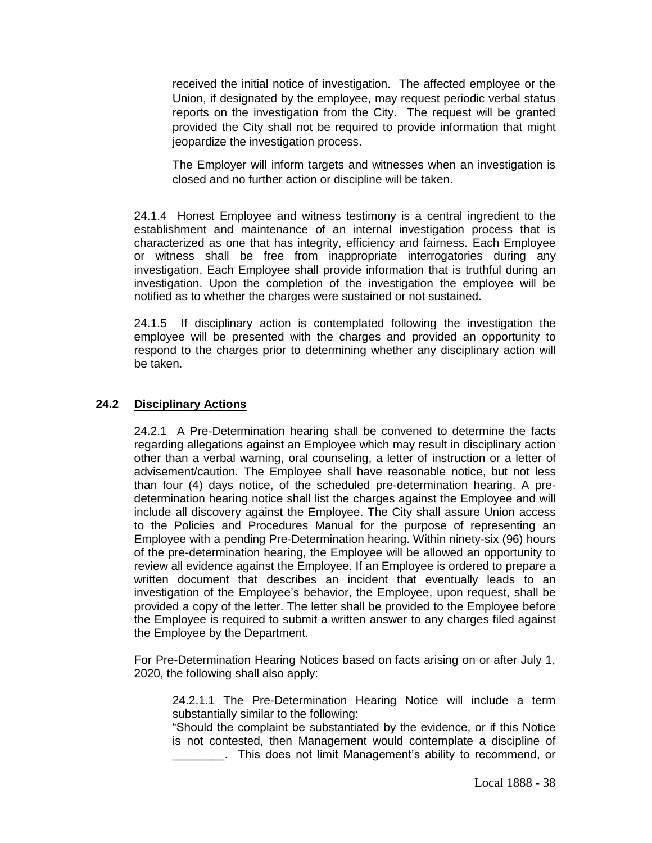received the initial notice of investigation. The affected employee or the Union, if designated by the employee, may request periodic verbal status reports on the investigation from the City. The request will be granted provided the City shall not be required to provide information that might jeopardize the investigation process.

The Employer will inform targets and witnesses when an investigation is closed and no further action or discipline will be taken.

24.1.4 Honest Employee and witness testimony is a central ingredient to the establishment and maintenance of an internal investigation process that is characterized as one that has integrity, efficiency and fairness. Each Employee or witness shall be free from inappropriate interrogatories during any investigation. Each Employee shall provide information that is truthful during an investigation. Upon the completion of the investigation the employee will be notified as to whether the charges were sustained or not sustained.

24.1.5 If disciplinary action is contemplated following the investigation the employee will be presented with the charges and provided an opportunity to respond to the charges prior to determining whether any disciplinary action will be taken.

## **24.2 Disciplinary Actions**

24.2.1 A Pre-Determination hearing shall be convened to determine the facts regarding allegations against an Employee which may result in disciplinary action other than a verbal warning, oral counseling, a letter of instruction or a letter of advisement/caution. The Employee shall have reasonable notice, but not less than four (4) days notice, of the scheduled pre-determination hearing. A predetermination hearing notice shall list the charges against the Employee and will include all discovery against the Employee. The City shall assure Union access to the Policies and Procedures Manual for the purpose of representing an Employee with a pending Pre-Determination hearing. Within ninety-six (96) hours of the pre-determination hearing, the Employee will be allowed an opportunity to review all evidence against the Employee. If an Employee is ordered to prepare a written document that describes an incident that eventually leads to an investigation of the Employee's behavior, the Employee, upon request, shall be provided a copy of the letter. The letter shall be provided to the Employee before the Employee is required to submit a written answer to any charges filed against the Employee by the Department.

For Pre-Determination Hearing Notices based on facts arising on or after July 1, 2020, the following shall also apply:

24.2.1.1 The Pre-Determination Hearing Notice will include a term substantially similar to the following:

"Should the complaint be substantiated by the evidence, or if this Notice is not contested, then Management would contemplate a discipline of . This does not limit Management's ability to recommend, or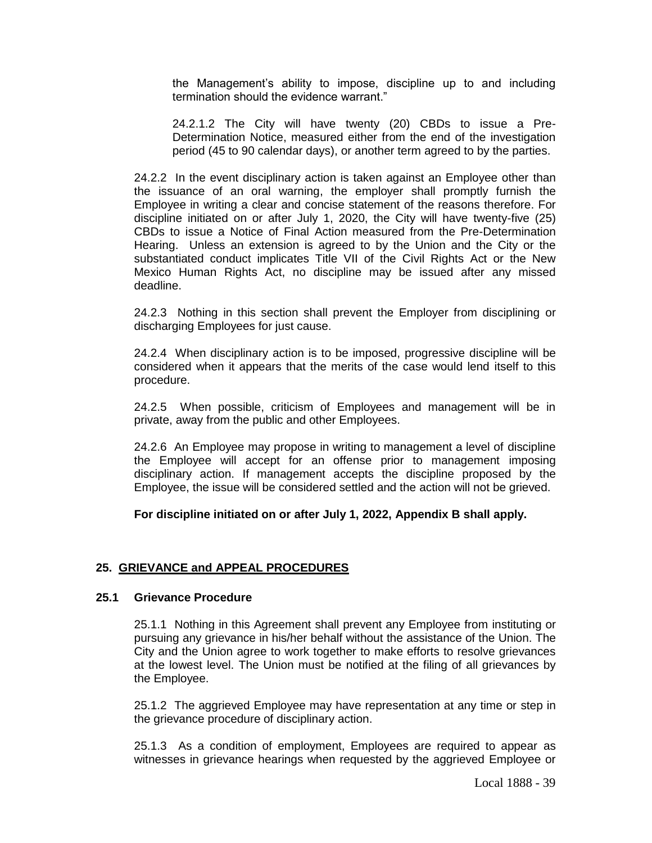the Management's ability to impose, discipline up to and including termination should the evidence warrant."

24.2.1.2 The City will have twenty (20) CBDs to issue a Pre-Determination Notice, measured either from the end of the investigation period (45 to 90 calendar days), or another term agreed to by the parties.

24.2.2 In the event disciplinary action is taken against an Employee other than the issuance of an oral warning, the employer shall promptly furnish the Employee in writing a clear and concise statement of the reasons therefore. For discipline initiated on or after July 1, 2020, the City will have twenty-five (25) CBDs to issue a Notice of Final Action measured from the Pre-Determination Hearing. Unless an extension is agreed to by the Union and the City or the substantiated conduct implicates Title VII of the Civil Rights Act or the New Mexico Human Rights Act, no discipline may be issued after any missed deadline.

24.2.3 Nothing in this section shall prevent the Employer from disciplining or discharging Employees for just cause.

24.2.4 When disciplinary action is to be imposed, progressive discipline will be considered when it appears that the merits of the case would lend itself to this procedure.

24.2.5 When possible, criticism of Employees and management will be in private, away from the public and other Employees.

24.2.6 An Employee may propose in writing to management a level of discipline the Employee will accept for an offense prior to management imposing disciplinary action. If management accepts the discipline proposed by the Employee, the issue will be considered settled and the action will not be grieved.

**For discipline initiated on or after July 1, 2022, Appendix B shall apply.** 

## **25. GRIEVANCE and APPEAL PROCEDURES**

### **25.1 Grievance Procedure**

25.1.1 Nothing in this Agreement shall prevent any Employee from instituting or pursuing any grievance in his/her behalf without the assistance of the Union. The City and the Union agree to work together to make efforts to resolve grievances at the lowest level. The Union must be notified at the filing of all grievances by the Employee.

25.1.2 The aggrieved Employee may have representation at any time or step in the grievance procedure of disciplinary action.

25.1.3 As a condition of employment, Employees are required to appear as witnesses in grievance hearings when requested by the aggrieved Employee or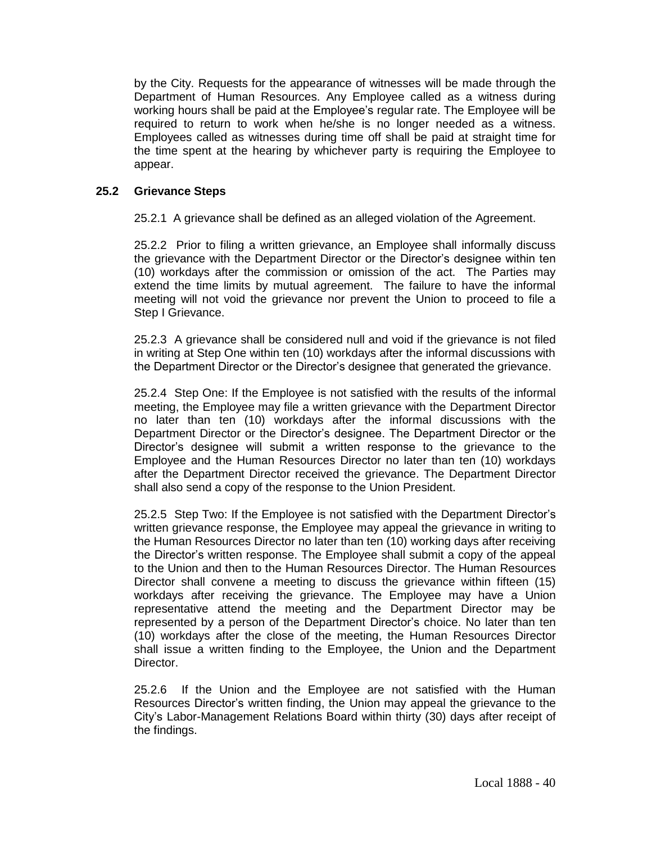by the City. Requests for the appearance of witnesses will be made through the Department of Human Resources. Any Employee called as a witness during working hours shall be paid at the Employee's regular rate. The Employee will be required to return to work when he/she is no longer needed as a witness. Employees called as witnesses during time off shall be paid at straight time for the time spent at the hearing by whichever party is requiring the Employee to appear.

### **25.2 Grievance Steps**

25.2.1 A grievance shall be defined as an alleged violation of the Agreement.

25.2.2 Prior to filing a written grievance, an Employee shall informally discuss the grievance with the Department Director or the Director's designee within ten (10) workdays after the commission or omission of the act. The Parties may extend the time limits by mutual agreement. The failure to have the informal meeting will not void the grievance nor prevent the Union to proceed to file a Step I Grievance.

25.2.3 A grievance shall be considered null and void if the grievance is not filed in writing at Step One within ten (10) workdays after the informal discussions with the Department Director or the Director's designee that generated the grievance.

25.2.4 Step One: If the Employee is not satisfied with the results of the informal meeting, the Employee may file a written grievance with the Department Director no later than ten (10) workdays after the informal discussions with the Department Director or the Director's designee. The Department Director or the Director's designee will submit a written response to the grievance to the Employee and the Human Resources Director no later than ten (10) workdays after the Department Director received the grievance. The Department Director shall also send a copy of the response to the Union President.

25.2.5 Step Two: If the Employee is not satisfied with the Department Director's written grievance response, the Employee may appeal the grievance in writing to the Human Resources Director no later than ten (10) working days after receiving the Director's written response. The Employee shall submit a copy of the appeal to the Union and then to the Human Resources Director. The Human Resources Director shall convene a meeting to discuss the grievance within fifteen (15) workdays after receiving the grievance. The Employee may have a Union representative attend the meeting and the Department Director may be represented by a person of the Department Director's choice. No later than ten (10) workdays after the close of the meeting, the Human Resources Director shall issue a written finding to the Employee, the Union and the Department Director.

25.2.6 If the Union and the Employee are not satisfied with the Human Resources Director's written finding, the Union may appeal the grievance to the City's Labor-Management Relations Board within thirty (30) days after receipt of the findings.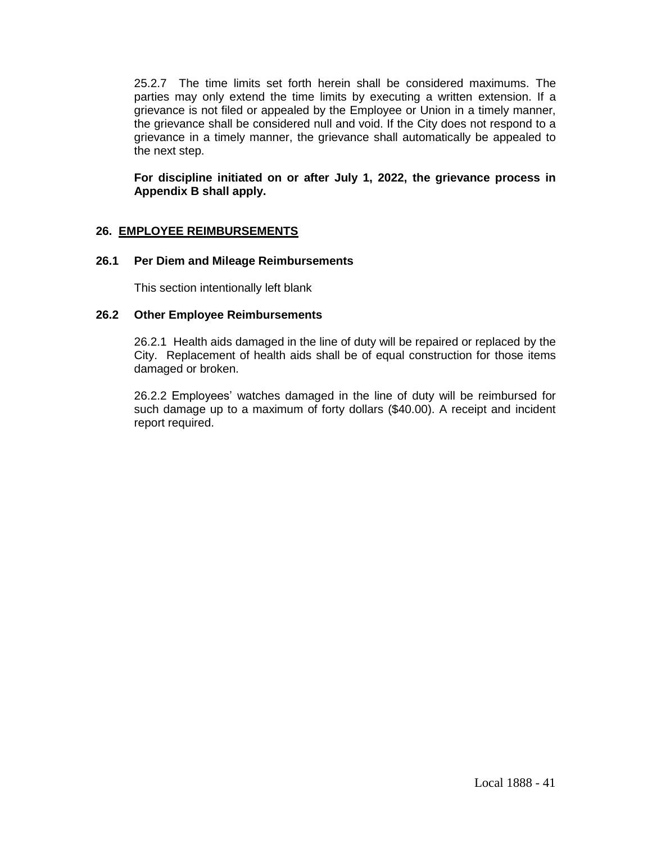25.2.7 The time limits set forth herein shall be considered maximums. The parties may only extend the time limits by executing a written extension. If a grievance is not filed or appealed by the Employee or Union in a timely manner, the grievance shall be considered null and void. If the City does not respond to a grievance in a timely manner, the grievance shall automatically be appealed to the next step.

**For discipline initiated on or after July 1, 2022, the grievance process in Appendix B shall apply.** 

# **26. EMPLOYEE REIMBURSEMENTS**

## **26.1 Per Diem and Mileage Reimbursements**

This section intentionally left blank

## **26.2 Other Employee Reimbursements**

26.2.1 Health aids damaged in the line of duty will be repaired or replaced by the City. Replacement of health aids shall be of equal construction for those items damaged or broken.

26.2.2 Employees' watches damaged in the line of duty will be reimbursed for such damage up to a maximum of forty dollars (\$40.00). A receipt and incident report required.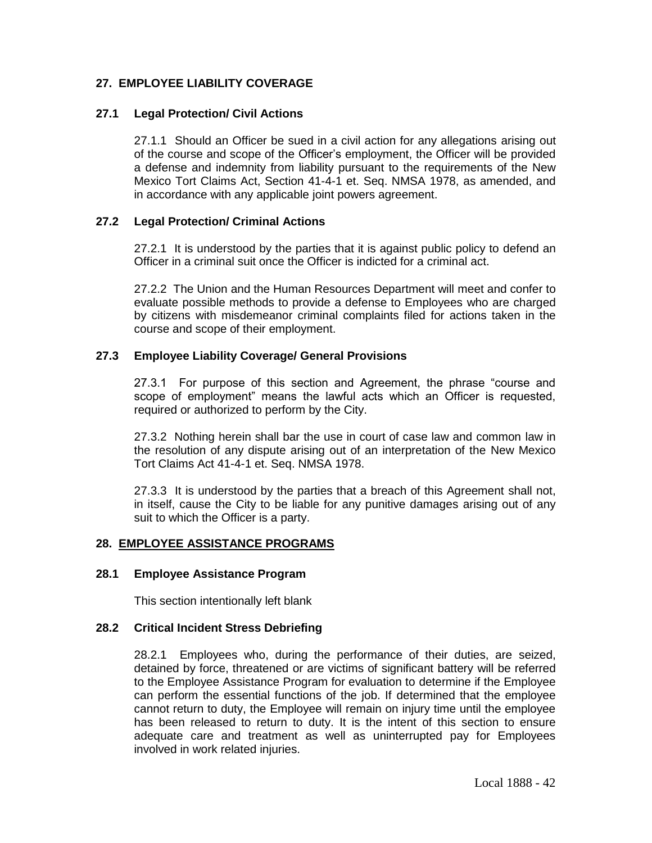# **27. EMPLOYEE LIABILITY COVERAGE**

### **27.1 Legal Protection/ Civil Actions**

27.1.1 Should an Officer be sued in a civil action for any allegations arising out of the course and scope of the Officer's employment, the Officer will be provided a defense and indemnity from liability pursuant to the requirements of the New Mexico Tort Claims Act, Section 41-4-1 et. Seq. NMSA 1978, as amended, and in accordance with any applicable joint powers agreement.

### **27.2 Legal Protection/ Criminal Actions**

27.2.1 It is understood by the parties that it is against public policy to defend an Officer in a criminal suit once the Officer is indicted for a criminal act.

27.2.2 The Union and the Human Resources Department will meet and confer to evaluate possible methods to provide a defense to Employees who are charged by citizens with misdemeanor criminal complaints filed for actions taken in the course and scope of their employment.

### **27.3 Employee Liability Coverage/ General Provisions**

27.3.1 For purpose of this section and Agreement, the phrase "course and scope of employment" means the lawful acts which an Officer is requested, required or authorized to perform by the City.

27.3.2 Nothing herein shall bar the use in court of case law and common law in the resolution of any dispute arising out of an interpretation of the New Mexico Tort Claims Act 41-4-1 et. Seq. NMSA 1978.

27.3.3 It is understood by the parties that a breach of this Agreement shall not, in itself, cause the City to be liable for any punitive damages arising out of any suit to which the Officer is a party.

#### **28. EMPLOYEE ASSISTANCE PROGRAMS**

#### **28.1 Employee Assistance Program**

This section intentionally left blank

### **28.2 Critical Incident Stress Debriefing**

28.2.1 Employees who, during the performance of their duties, are seized, detained by force, threatened or are victims of significant battery will be referred to the Employee Assistance Program for evaluation to determine if the Employee can perform the essential functions of the job. If determined that the employee cannot return to duty, the Employee will remain on injury time until the employee has been released to return to duty. It is the intent of this section to ensure adequate care and treatment as well as uninterrupted pay for Employees involved in work related injuries.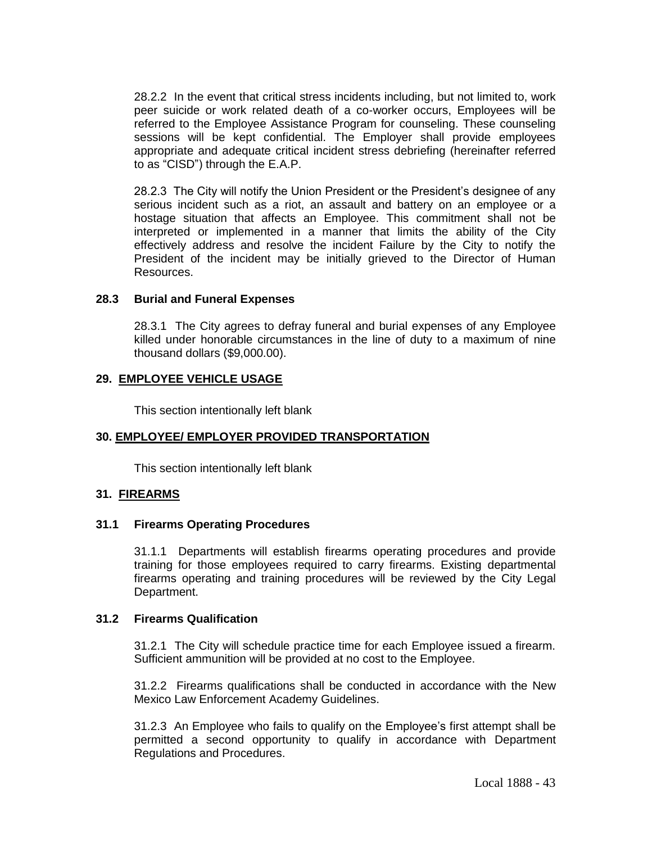28.2.2 In the event that critical stress incidents including, but not limited to, work peer suicide or work related death of a co-worker occurs, Employees will be referred to the Employee Assistance Program for counseling. These counseling sessions will be kept confidential. The Employer shall provide employees appropriate and adequate critical incident stress debriefing (hereinafter referred to as "CISD") through the E.A.P.

28.2.3 The City will notify the Union President or the President's designee of any serious incident such as a riot, an assault and battery on an employee or a hostage situation that affects an Employee. This commitment shall not be interpreted or implemented in a manner that limits the ability of the City effectively address and resolve the incident Failure by the City to notify the President of the incident may be initially grieved to the Director of Human Resources.

#### **28.3 Burial and Funeral Expenses**

28.3.1 The City agrees to defray funeral and burial expenses of any Employee killed under honorable circumstances in the line of duty to a maximum of nine thousand dollars (\$9,000.00).

### **29. EMPLOYEE VEHICLE USAGE**

This section intentionally left blank

## **30. EMPLOYEE/ EMPLOYER PROVIDED TRANSPORTATION**

This section intentionally left blank

## **31. FIREARMS**

#### **31.1 Firearms Operating Procedures**

31.1.1 Departments will establish firearms operating procedures and provide training for those employees required to carry firearms. Existing departmental firearms operating and training procedures will be reviewed by the City Legal Department.

### **31.2 Firearms Qualification**

31.2.1 The City will schedule practice time for each Employee issued a firearm. Sufficient ammunition will be provided at no cost to the Employee.

31.2.2 Firearms qualifications shall be conducted in accordance with the New Mexico Law Enforcement Academy Guidelines.

31.2.3 An Employee who fails to qualify on the Employee's first attempt shall be permitted a second opportunity to qualify in accordance with Department Regulations and Procedures.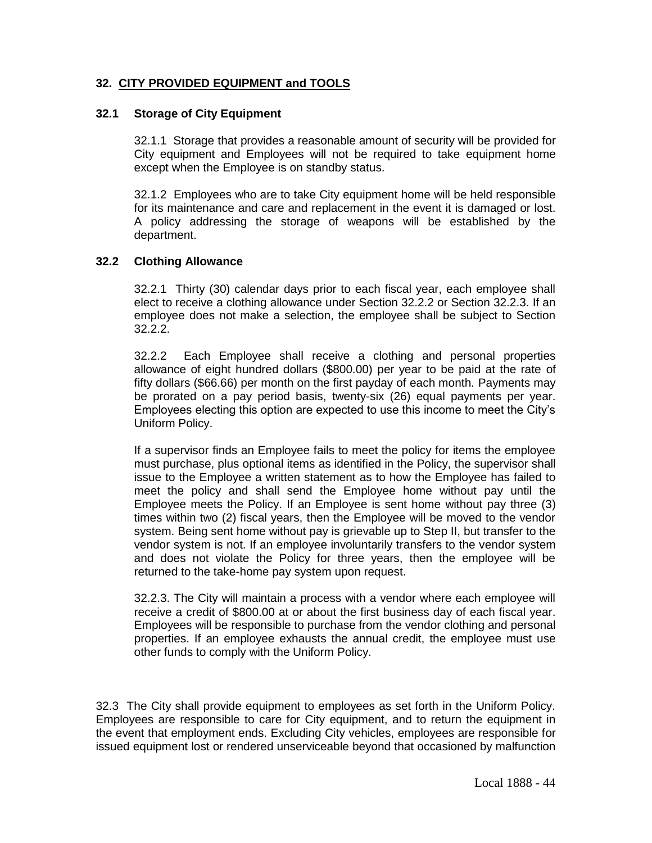# **32. CITY PROVIDED EQUIPMENT and TOOLS**

### **32.1 Storage of City Equipment**

32.1.1 Storage that provides a reasonable amount of security will be provided for City equipment and Employees will not be required to take equipment home except when the Employee is on standby status.

32.1.2 Employees who are to take City equipment home will be held responsible for its maintenance and care and replacement in the event it is damaged or lost. A policy addressing the storage of weapons will be established by the department.

### **32.2 Clothing Allowance**

32.2.1 Thirty (30) calendar days prior to each fiscal year, each employee shall elect to receive a clothing allowance under Section 32.2.2 or Section 32.2.3. If an employee does not make a selection, the employee shall be subject to Section 32.2.2.

32.2.2 Each Employee shall receive a clothing and personal properties allowance of eight hundred dollars (\$800.00) per year to be paid at the rate of fifty dollars (\$66.66) per month on the first payday of each month. Payments may be prorated on a pay period basis, twenty-six (26) equal payments per year. Employees electing this option are expected to use this income to meet the City's Uniform Policy.

If a supervisor finds an Employee fails to meet the policy for items the employee must purchase, plus optional items as identified in the Policy, the supervisor shall issue to the Employee a written statement as to how the Employee has failed to meet the policy and shall send the Employee home without pay until the Employee meets the Policy. If an Employee is sent home without pay three (3) times within two (2) fiscal years, then the Employee will be moved to the vendor system. Being sent home without pay is grievable up to Step II, but transfer to the vendor system is not. If an employee involuntarily transfers to the vendor system and does not violate the Policy for three years, then the employee will be returned to the take-home pay system upon request.

32.2.3. The City will maintain a process with a vendor where each employee will receive a credit of \$800.00 at or about the first business day of each fiscal year. Employees will be responsible to purchase from the vendor clothing and personal properties. If an employee exhausts the annual credit, the employee must use other funds to comply with the Uniform Policy.

32.3 The City shall provide equipment to employees as set forth in the Uniform Policy. Employees are responsible to care for City equipment, and to return the equipment in the event that employment ends. Excluding City vehicles, employees are responsible for issued equipment lost or rendered unserviceable beyond that occasioned by malfunction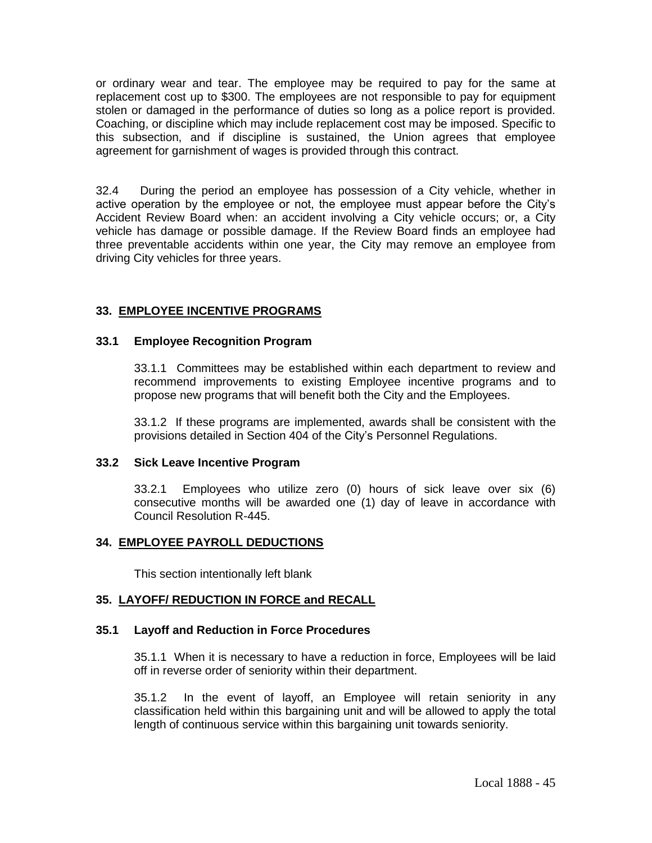or ordinary wear and tear. The employee may be required to pay for the same at replacement cost up to \$300. The employees are not responsible to pay for equipment stolen or damaged in the performance of duties so long as a police report is provided. Coaching, or discipline which may include replacement cost may be imposed. Specific to this subsection, and if discipline is sustained, the Union agrees that employee agreement for garnishment of wages is provided through this contract.

32.4 During the period an employee has possession of a City vehicle, whether in active operation by the employee or not, the employee must appear before the City's Accident Review Board when: an accident involving a City vehicle occurs; or, a City vehicle has damage or possible damage. If the Review Board finds an employee had three preventable accidents within one year, the City may remove an employee from driving City vehicles for three years.

# **33. EMPLOYEE INCENTIVE PROGRAMS**

### **33.1 Employee Recognition Program**

33.1.1 Committees may be established within each department to review and recommend improvements to existing Employee incentive programs and to propose new programs that will benefit both the City and the Employees.

33.1.2 If these programs are implemented, awards shall be consistent with the provisions detailed in Section 404 of the City's Personnel Regulations.

### **33.2 Sick Leave Incentive Program**

33.2.1 Employees who utilize zero (0) hours of sick leave over six (6) consecutive months will be awarded one (1) day of leave in accordance with Council Resolution R-445.

## **34. EMPLOYEE PAYROLL DEDUCTIONS**

This section intentionally left blank

## **35. LAYOFF/ REDUCTION IN FORCE and RECALL**

#### **35.1 Layoff and Reduction in Force Procedures**

35.1.1 When it is necessary to have a reduction in force, Employees will be laid off in reverse order of seniority within their department.

35.1.2 In the event of layoff, an Employee will retain seniority in any classification held within this bargaining unit and will be allowed to apply the total length of continuous service within this bargaining unit towards seniority.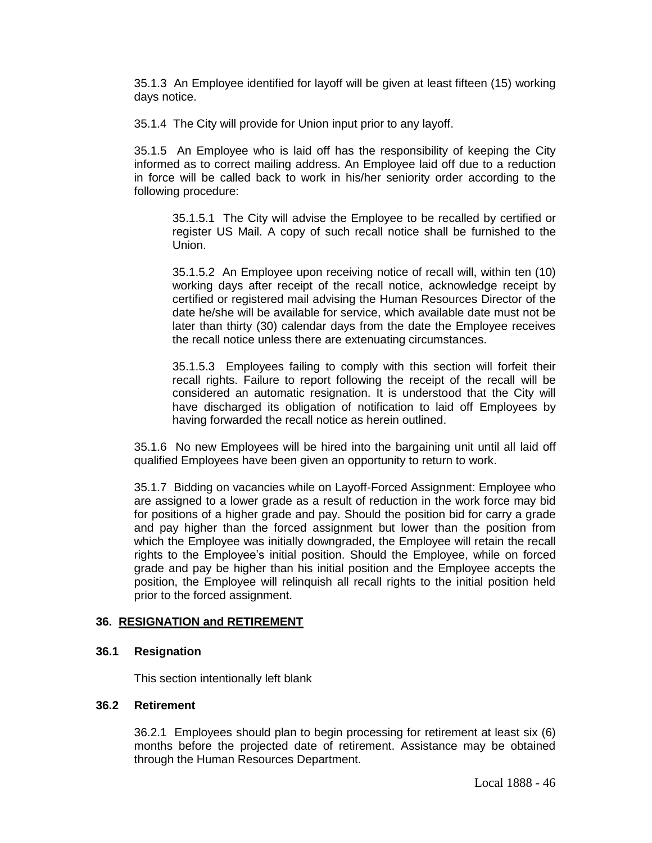35.1.3 An Employee identified for layoff will be given at least fifteen (15) working days notice.

35.1.4 The City will provide for Union input prior to any layoff.

35.1.5 An Employee who is laid off has the responsibility of keeping the City informed as to correct mailing address. An Employee laid off due to a reduction in force will be called back to work in his/her seniority order according to the following procedure:

35.1.5.1 The City will advise the Employee to be recalled by certified or register US Mail. A copy of such recall notice shall be furnished to the Union.

35.1.5.2 An Employee upon receiving notice of recall will, within ten (10) working days after receipt of the recall notice, acknowledge receipt by certified or registered mail advising the Human Resources Director of the date he/she will be available for service, which available date must not be later than thirty (30) calendar days from the date the Employee receives the recall notice unless there are extenuating circumstances.

35.1.5.3 Employees failing to comply with this section will forfeit their recall rights. Failure to report following the receipt of the recall will be considered an automatic resignation. It is understood that the City will have discharged its obligation of notification to laid off Employees by having forwarded the recall notice as herein outlined.

35.1.6 No new Employees will be hired into the bargaining unit until all laid off qualified Employees have been given an opportunity to return to work.

35.1.7 Bidding on vacancies while on Layoff-Forced Assignment: Employee who are assigned to a lower grade as a result of reduction in the work force may bid for positions of a higher grade and pay. Should the position bid for carry a grade and pay higher than the forced assignment but lower than the position from which the Employee was initially downgraded, the Employee will retain the recall rights to the Employee's initial position. Should the Employee, while on forced grade and pay be higher than his initial position and the Employee accepts the position, the Employee will relinquish all recall rights to the initial position held prior to the forced assignment.

#### **36. RESIGNATION and RETIREMENT**

### **36.1 Resignation**

This section intentionally left blank

#### **36.2 Retirement**

36.2.1 Employees should plan to begin processing for retirement at least six (6) months before the projected date of retirement. Assistance may be obtained through the Human Resources Department.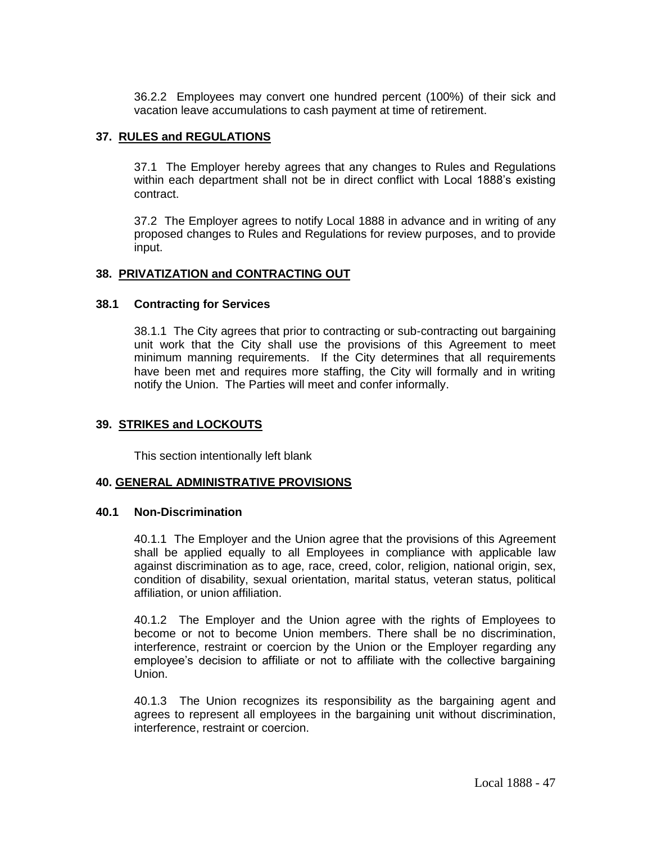36.2.2 Employees may convert one hundred percent (100%) of their sick and vacation leave accumulations to cash payment at time of retirement.

## **37. RULES and REGULATIONS**

37.1 The Employer hereby agrees that any changes to Rules and Regulations within each department shall not be in direct conflict with Local 1888's existing contract.

37.2 The Employer agrees to notify Local 1888 in advance and in writing of any proposed changes to Rules and Regulations for review purposes, and to provide input.

## **38. PRIVATIZATION and CONTRACTING OUT**

### **38.1 Contracting for Services**

38.1.1 The City agrees that prior to contracting or sub-contracting out bargaining unit work that the City shall use the provisions of this Agreement to meet minimum manning requirements. If the City determines that all requirements have been met and requires more staffing, the City will formally and in writing notify the Union. The Parties will meet and confer informally.

## **39. STRIKES and LOCKOUTS**

This section intentionally left blank

## **40. GENERAL ADMINISTRATIVE PROVISIONS**

#### **40.1 Non-Discrimination**

40.1.1 The Employer and the Union agree that the provisions of this Agreement shall be applied equally to all Employees in compliance with applicable law against discrimination as to age, race, creed, color, religion, national origin, sex, condition of disability, sexual orientation, marital status, veteran status, political affiliation, or union affiliation.

40.1.2 The Employer and the Union agree with the rights of Employees to become or not to become Union members. There shall be no discrimination, interference, restraint or coercion by the Union or the Employer regarding any employee's decision to affiliate or not to affiliate with the collective bargaining Union.

40.1.3 The Union recognizes its responsibility as the bargaining agent and agrees to represent all employees in the bargaining unit without discrimination, interference, restraint or coercion.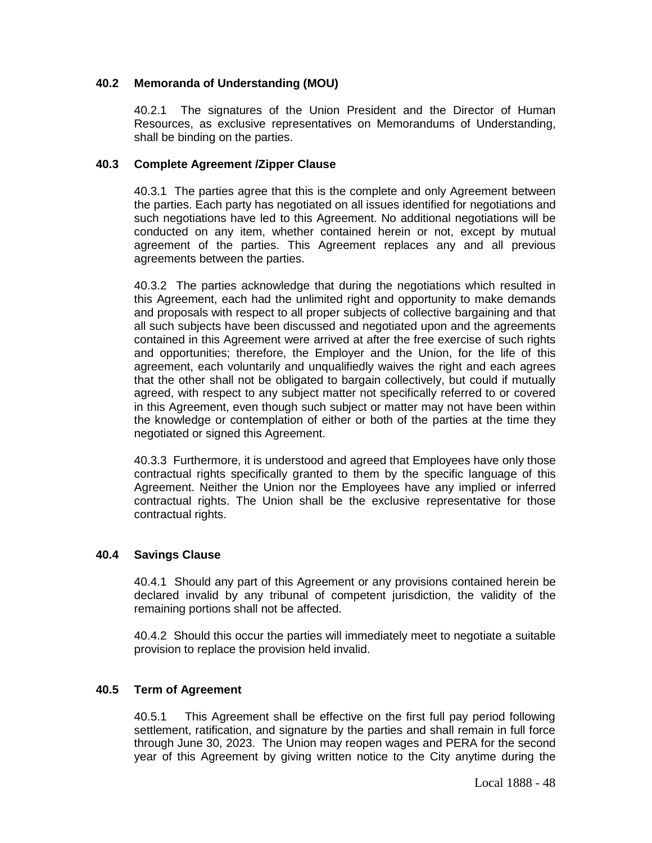## **40.2 Memoranda of Understanding (MOU)**

40.2.1 The signatures of the Union President and the Director of Human Resources, as exclusive representatives on Memorandums of Understanding, shall be binding on the parties.

## **40.3 Complete Agreement /Zipper Clause**

40.3.1 The parties agree that this is the complete and only Agreement between the parties. Each party has negotiated on all issues identified for negotiations and such negotiations have led to this Agreement. No additional negotiations will be conducted on any item, whether contained herein or not, except by mutual agreement of the parties. This Agreement replaces any and all previous agreements between the parties.

40.3.2 The parties acknowledge that during the negotiations which resulted in this Agreement, each had the unlimited right and opportunity to make demands and proposals with respect to all proper subjects of collective bargaining and that all such subjects have been discussed and negotiated upon and the agreements contained in this Agreement were arrived at after the free exercise of such rights and opportunities; therefore, the Employer and the Union, for the life of this agreement, each voluntarily and unqualifiedly waives the right and each agrees that the other shall not be obligated to bargain collectively, but could if mutually agreed, with respect to any subject matter not specifically referred to or covered in this Agreement, even though such subject or matter may not have been within the knowledge or contemplation of either or both of the parties at the time they negotiated or signed this Agreement.

40.3.3 Furthermore, it is understood and agreed that Employees have only those contractual rights specifically granted to them by the specific language of this Agreement. Neither the Union nor the Employees have any implied or inferred contractual rights. The Union shall be the exclusive representative for those contractual rights.

#### **40.4 Savings Clause**

40.4.1 Should any part of this Agreement or any provisions contained herein be declared invalid by any tribunal of competent jurisdiction, the validity of the remaining portions shall not be affected.

40.4.2 Should this occur the parties will immediately meet to negotiate a suitable provision to replace the provision held invalid.

#### **40.5 Term of Agreement**

40.5.1 This Agreement shall be effective on the first full pay period following settlement, ratification, and signature by the parties and shall remain in full force through June 30, 2023. The Union may reopen wages and PERA for the second year of this Agreement by giving written notice to the City anytime during the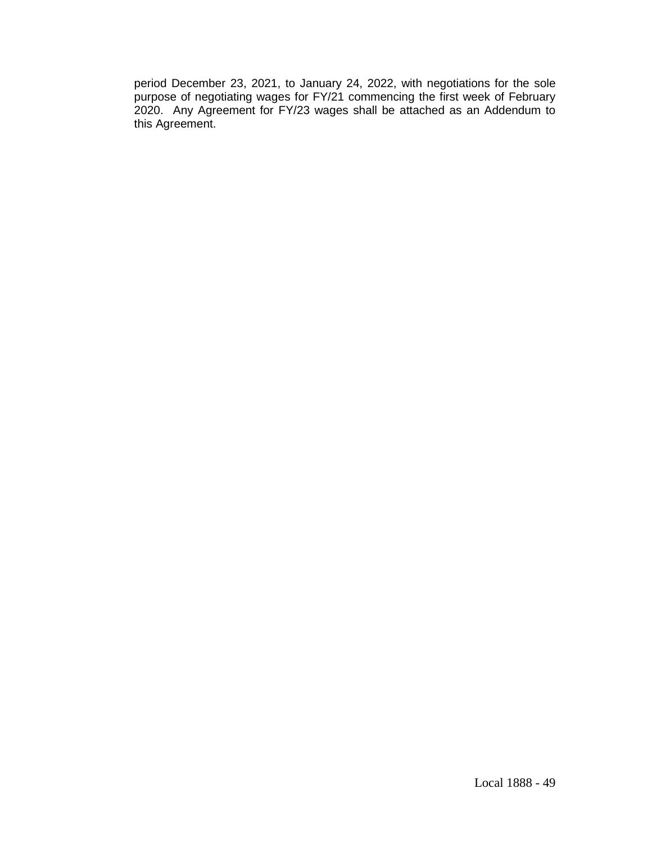period December 23, 2021, to January 24, 2022, with negotiations for the sole purpose of negotiating wages for FY/21 commencing the first week of February 2020. Any Agreement for FY/23 wages shall be attached as an Addendum to this Agreement.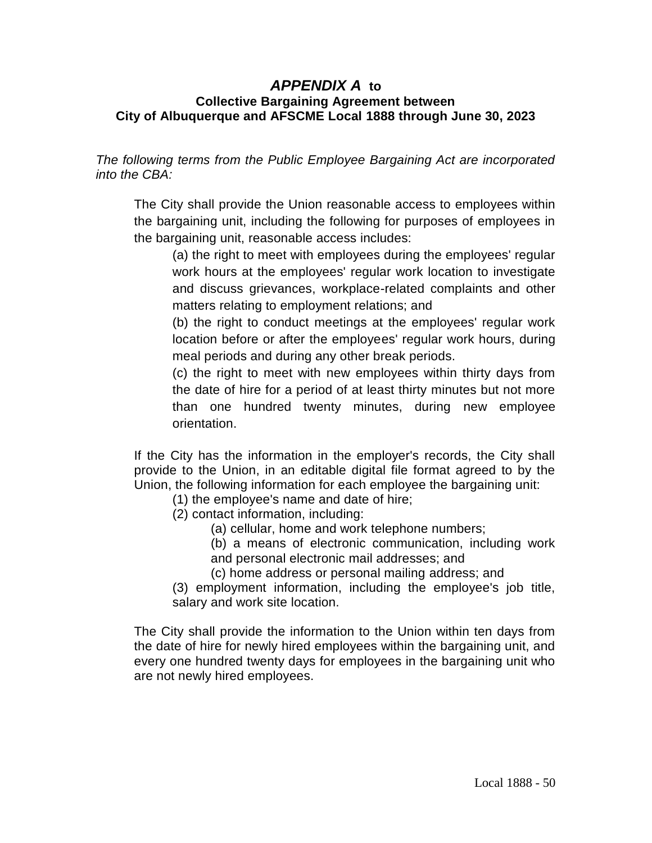# *APPENDIX A* **to Collective Bargaining Agreement between City of Albuquerque and AFSCME Local 1888 through June 30, 2023**

*The following terms from the Public Employee Bargaining Act are incorporated into the CBA:*

The City shall provide the Union reasonable access to employees within the bargaining unit, including the following for purposes of employees in the bargaining unit, reasonable access includes:

(a) the right to meet with employees during the employees' regular work hours at the employees' regular work location to investigate and discuss grievances, workplace-related complaints and other matters relating to employment relations; and

(b) the right to conduct meetings at the employees' regular work location before or after the employees' regular work hours, during meal periods and during any other break periods.

(c) the right to meet with new employees within thirty days from the date of hire for a period of at least thirty minutes but not more than one hundred twenty minutes, during new employee orientation.

If the City has the information in the employer's records, the City shall provide to the Union, in an editable digital file format agreed to by the Union, the following information for each employee the bargaining unit:

(1) the employee's name and date of hire;

- (2) contact information, including:
	- (a) cellular, home and work telephone numbers;
	- (b) a means of electronic communication, including work and personal electronic mail addresses; and
	- (c) home address or personal mailing address; and
- (3) employment information, including the employee's job title, salary and work site location.

The City shall provide the information to the Union within ten days from the date of hire for newly hired employees within the bargaining unit, and every one hundred twenty days for employees in the bargaining unit who are not newly hired employees.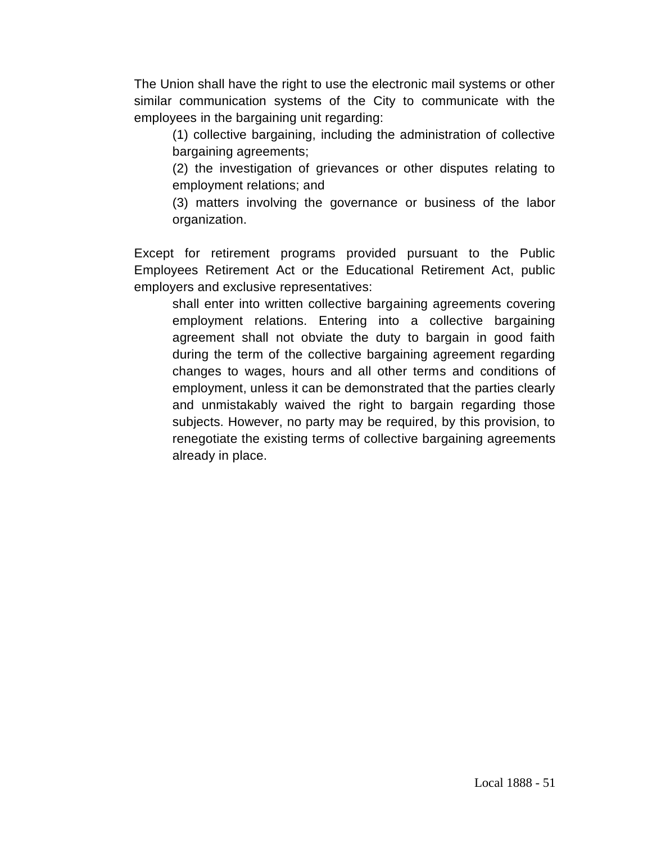The Union shall have the right to use the electronic mail systems or other similar communication systems of the City to communicate with the employees in the bargaining unit regarding:

(1) collective bargaining, including the administration of collective bargaining agreements;

(2) the investigation of grievances or other disputes relating to employment relations; and

(3) matters involving the governance or business of the labor organization.

Except for retirement programs provided pursuant to the Public Employees Retirement Act or the Educational Retirement Act, public employers and exclusive representatives:

shall enter into written collective bargaining agreements covering employment relations. Entering into a collective bargaining agreement shall not obviate the duty to bargain in good faith during the term of the collective bargaining agreement regarding changes to wages, hours and all other terms and conditions of employment, unless it can be demonstrated that the parties clearly and unmistakably waived the right to bargain regarding those subjects. However, no party may be required, by this provision, to renegotiate the existing terms of collective bargaining agreements already in place.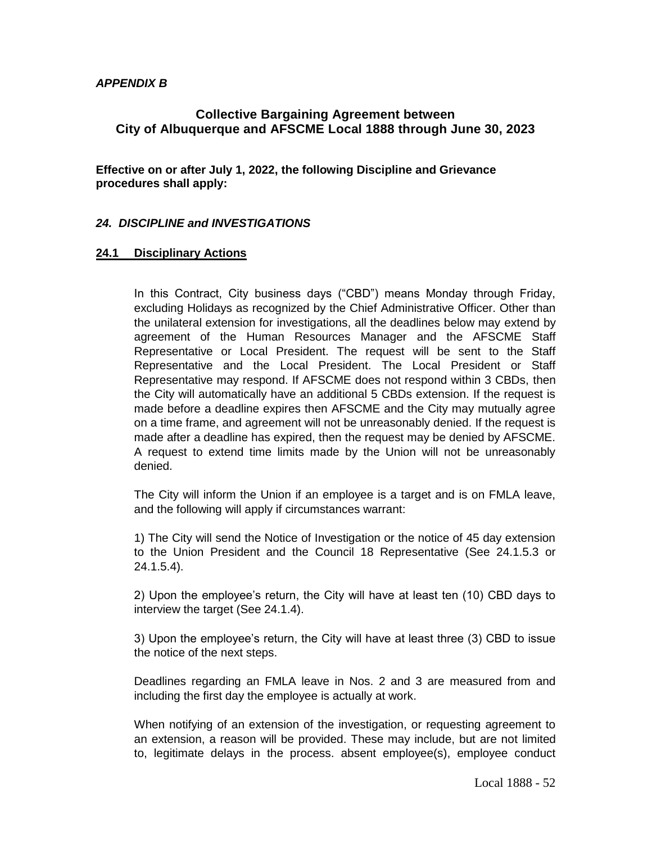## *APPENDIX B*

# **Collective Bargaining Agreement between City of Albuquerque and AFSCME Local 1888 through June 30, 2023**

**Effective on or after July 1, 2022, the following Discipline and Grievance procedures shall apply:**

## *24. DISCIPLINE and INVESTIGATIONS*

### **24.1 Disciplinary Actions**

In this Contract, City business days ("CBD") means Monday through Friday, excluding Holidays as recognized by the Chief Administrative Officer. Other than the unilateral extension for investigations, all the deadlines below may extend by agreement of the Human Resources Manager and the AFSCME Staff Representative or Local President. The request will be sent to the Staff Representative and the Local President. The Local President or Staff Representative may respond. If AFSCME does not respond within 3 CBDs, then the City will automatically have an additional 5 CBDs extension. If the request is made before a deadline expires then AFSCME and the City may mutually agree on a time frame, and agreement will not be unreasonably denied. If the request is made after a deadline has expired, then the request may be denied by AFSCME. A request to extend time limits made by the Union will not be unreasonably denied.

The City will inform the Union if an employee is a target and is on FMLA leave, and the following will apply if circumstances warrant:

1) The City will send the Notice of Investigation or the notice of 45 day extension to the Union President and the Council 18 Representative (See 24.1.5.3 or 24.1.5.4).

2) Upon the employee's return, the City will have at least ten (10) CBD days to interview the target (See 24.1.4).

3) Upon the employee's return, the City will have at least three (3) CBD to issue the notice of the next steps.

Deadlines regarding an FMLA leave in Nos. 2 and 3 are measured from and including the first day the employee is actually at work.

When notifying of an extension of the investigation, or requesting agreement to an extension, a reason will be provided. These may include, but are not limited to, legitimate delays in the process. absent employee(s), employee conduct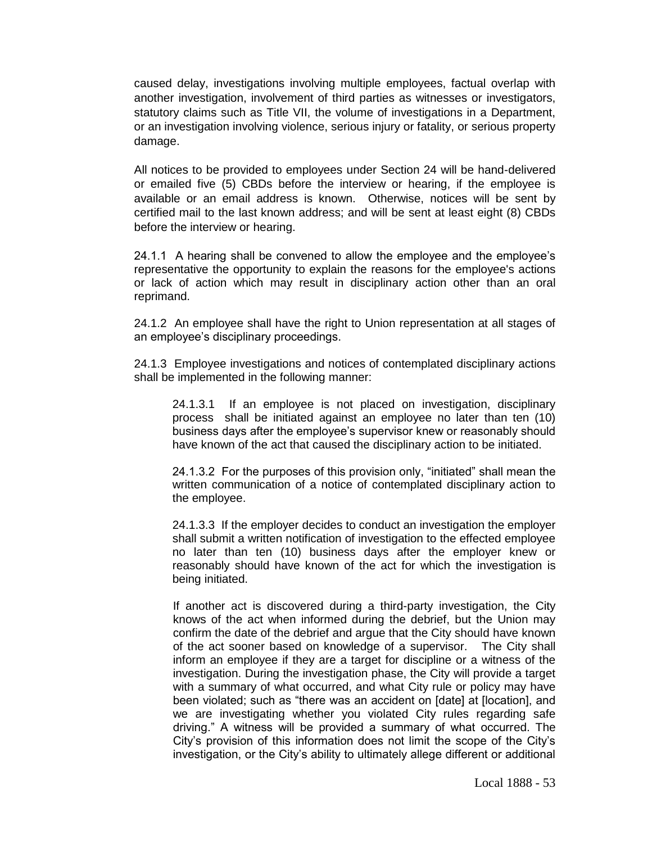caused delay, investigations involving multiple employees, factual overlap with another investigation, involvement of third parties as witnesses or investigators, statutory claims such as Title VII, the volume of investigations in a Department, or an investigation involving violence, serious injury or fatality, or serious property damage.

All notices to be provided to employees under Section 24 will be hand-delivered or emailed five (5) CBDs before the interview or hearing, if the employee is available or an email address is known. Otherwise, notices will be sent by certified mail to the last known address; and will be sent at least eight (8) CBDs before the interview or hearing.

24.1.1 A hearing shall be convened to allow the employee and the employee's representative the opportunity to explain the reasons for the employee's actions or lack of action which may result in disciplinary action other than an oral reprimand.

24.1.2 An employee shall have the right to Union representation at all stages of an employee's disciplinary proceedings.

24.1.3 Employee investigations and notices of contemplated disciplinary actions shall be implemented in the following manner:

24.1.3.1 If an employee is not placed on investigation, disciplinary process shall be initiated against an employee no later than ten (10) business days after the employee's supervisor knew or reasonably should have known of the act that caused the disciplinary action to be initiated.

24.1.3.2 For the purposes of this provision only, "initiated" shall mean the written communication of a notice of contemplated disciplinary action to the employee.

24.1.3.3 If the employer decides to conduct an investigation the employer shall submit a written notification of investigation to the effected employee no later than ten (10) business days after the employer knew or reasonably should have known of the act for which the investigation is being initiated.

If another act is discovered during a third-party investigation, the City knows of the act when informed during the debrief, but the Union may confirm the date of the debrief and argue that the City should have known of the act sooner based on knowledge of a supervisor. The City shall inform an employee if they are a target for discipline or a witness of the investigation. During the investigation phase, the City will provide a target with a summary of what occurred, and what City rule or policy may have been violated; such as "there was an accident on [date] at [location], and we are investigating whether you violated City rules regarding safe driving." A witness will be provided a summary of what occurred. The City's provision of this information does not limit the scope of the City's investigation, or the City's ability to ultimately allege different or additional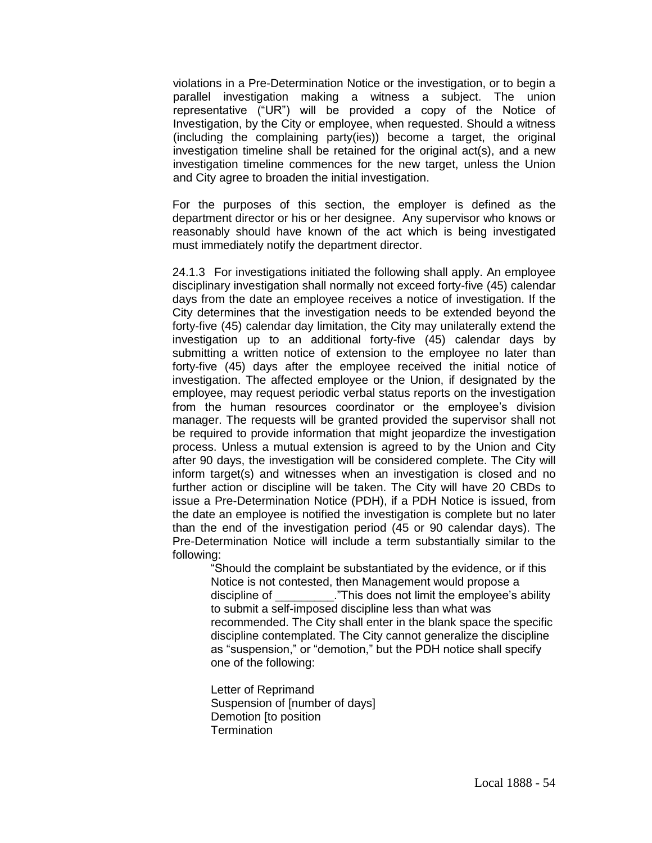violations in a Pre-Determination Notice or the investigation, or to begin a parallel investigation making a witness a subject. The union representative ("UR") will be provided a copy of the Notice of Investigation, by the City or employee, when requested. Should a witness (including the complaining party(ies)) become a target, the original investigation timeline shall be retained for the original act(s), and a new investigation timeline commences for the new target, unless the Union and City agree to broaden the initial investigation.

For the purposes of this section, the employer is defined as the department director or his or her designee. Any supervisor who knows or reasonably should have known of the act which is being investigated must immediately notify the department director.

24.1.3 For investigations initiated the following shall apply. An employee disciplinary investigation shall normally not exceed forty-five (45) calendar days from the date an employee receives a notice of investigation. If the City determines that the investigation needs to be extended beyond the forty-five (45) calendar day limitation, the City may unilaterally extend the investigation up to an additional forty-five (45) calendar days by submitting a written notice of extension to the employee no later than forty-five (45) days after the employee received the initial notice of investigation. The affected employee or the Union, if designated by the employee, may request periodic verbal status reports on the investigation from the human resources coordinator or the employee's division manager. The requests will be granted provided the supervisor shall not be required to provide information that might jeopardize the investigation process. Unless a mutual extension is agreed to by the Union and City after 90 days, the investigation will be considered complete. The City will inform target(s) and witnesses when an investigation is closed and no further action or discipline will be taken. The City will have 20 CBDs to issue a Pre-Determination Notice (PDH), if a PDH Notice is issued, from the date an employee is notified the investigation is complete but no later than the end of the investigation period (45 or 90 calendar days). The Pre-Determination Notice will include a term substantially similar to the following:

"Should the complaint be substantiated by the evidence, or if this Notice is not contested, then Management would propose a discipline of This does not limit the employee's ability to submit a self-imposed discipline less than what was recommended. The City shall enter in the blank space the specific discipline contemplated. The City cannot generalize the discipline as "suspension," or "demotion," but the PDH notice shall specify one of the following:

Letter of Reprimand Suspension of [number of days] Demotion [to position **Termination**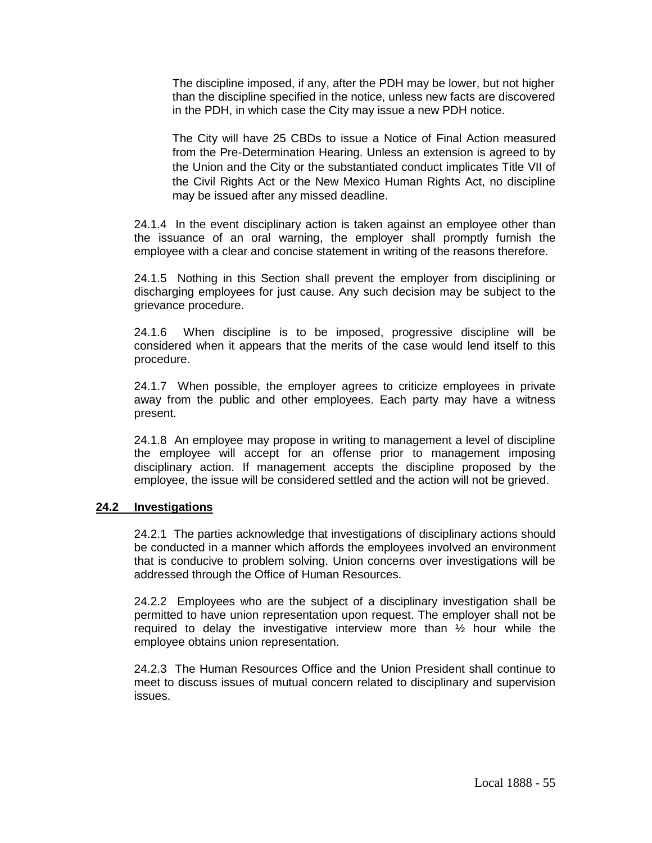The discipline imposed, if any, after the PDH may be lower, but not higher than the discipline specified in the notice, unless new facts are discovered in the PDH, in which case the City may issue a new PDH notice.

The City will have 25 CBDs to issue a Notice of Final Action measured from the Pre-Determination Hearing. Unless an extension is agreed to by the Union and the City or the substantiated conduct implicates Title VII of the Civil Rights Act or the New Mexico Human Rights Act, no discipline may be issued after any missed deadline.

24.1.4 In the event disciplinary action is taken against an employee other than the issuance of an oral warning, the employer shall promptly furnish the employee with a clear and concise statement in writing of the reasons therefore.

24.1.5 Nothing in this Section shall prevent the employer from disciplining or discharging employees for just cause. Any such decision may be subject to the grievance procedure.

24.1.6 When discipline is to be imposed, progressive discipline will be considered when it appears that the merits of the case would lend itself to this procedure.

24.1.7 When possible, the employer agrees to criticize employees in private away from the public and other employees. Each party may have a witness present.

24.1.8 An employee may propose in writing to management a level of discipline the employee will accept for an offense prior to management imposing disciplinary action. If management accepts the discipline proposed by the employee, the issue will be considered settled and the action will not be grieved.

#### **24.2 Investigations**

24.2.1 The parties acknowledge that investigations of disciplinary actions should be conducted in a manner which affords the employees involved an environment that is conducive to problem solving. Union concerns over investigations will be addressed through the Office of Human Resources.

24.2.2 Employees who are the subject of a disciplinary investigation shall be permitted to have union representation upon request. The employer shall not be required to delay the investigative interview more than  $\frac{1}{2}$  hour while the employee obtains union representation.

24.2.3 The Human Resources Office and the Union President shall continue to meet to discuss issues of mutual concern related to disciplinary and supervision issues.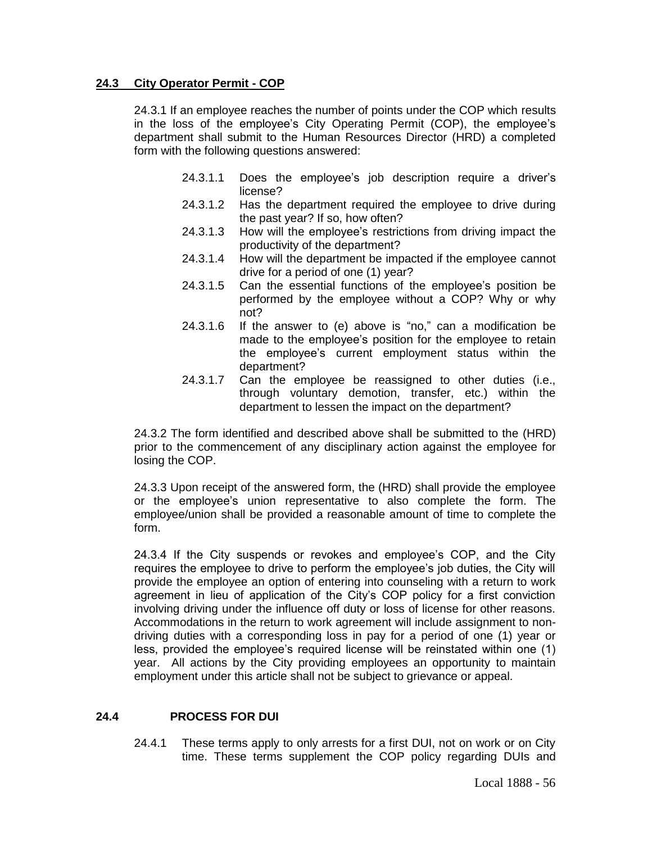### **24.3 City Operator Permit - COP**

24.3.1 If an employee reaches the number of points under the COP which results in the loss of the employee's City Operating Permit (COP), the employee's department shall submit to the Human Resources Director (HRD) a completed form with the following questions answered:

- 24.3.1.1 Does the employee's job description require a driver's license?
- 24.3.1.2 Has the department required the employee to drive during the past year? If so, how often?
- 24.3.1.3 How will the employee's restrictions from driving impact the productivity of the department?
- 24.3.1.4 How will the department be impacted if the employee cannot drive for a period of one (1) year?
- 24.3.1.5 Can the essential functions of the employee's position be performed by the employee without a COP? Why or why not?
- 24.3.1.6 If the answer to (e) above is "no," can a modification be made to the employee's position for the employee to retain the employee's current employment status within the department?
- 24.3.1.7 Can the employee be reassigned to other duties (i.e., through voluntary demotion, transfer, etc.) within the department to lessen the impact on the department?

24.3.2 The form identified and described above shall be submitted to the (HRD) prior to the commencement of any disciplinary action against the employee for losing the COP.

24.3.3 Upon receipt of the answered form, the (HRD) shall provide the employee or the employee's union representative to also complete the form. The employee/union shall be provided a reasonable amount of time to complete the form.

24.3.4 If the City suspends or revokes and employee's COP, and the City requires the employee to drive to perform the employee's job duties, the City will provide the employee an option of entering into counseling with a return to work agreement in lieu of application of the City's COP policy for a first conviction involving driving under the influence off duty or loss of license for other reasons. Accommodations in the return to work agreement will include assignment to nondriving duties with a corresponding loss in pay for a period of one (1) year or less, provided the employee's required license will be reinstated within one (1) year. All actions by the City providing employees an opportunity to maintain employment under this article shall not be subject to grievance or appeal.

## **24.4 PROCESS FOR DUI**

24.4.1 These terms apply to only arrests for a first DUI, not on work or on City time. These terms supplement the COP policy regarding DUIs and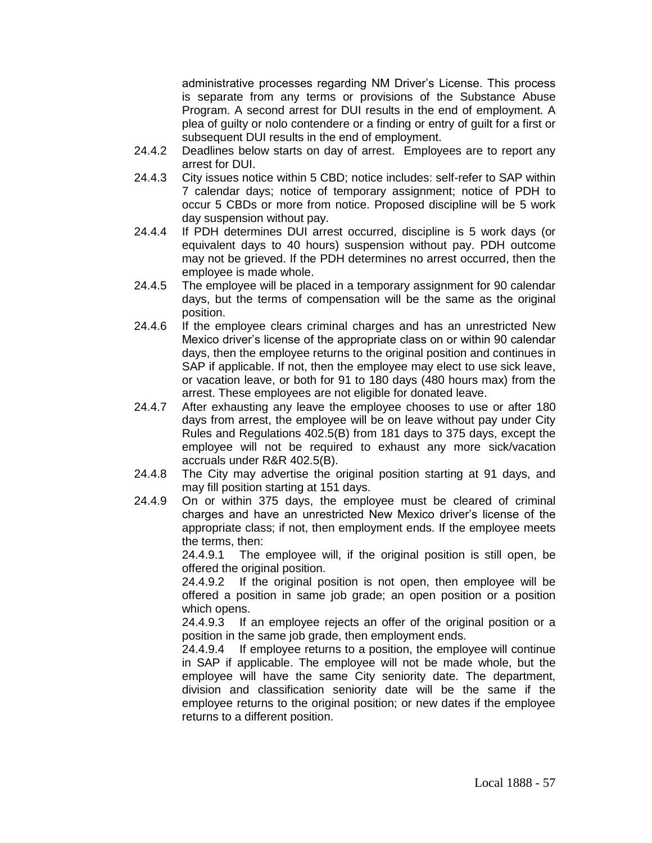administrative processes regarding NM Driver's License. This process is separate from any terms or provisions of the Substance Abuse Program. A second arrest for DUI results in the end of employment. A plea of guilty or nolo contendere or a finding or entry of guilt for a first or subsequent DUI results in the end of employment.

- 24.4.2 Deadlines below starts on day of arrest. Employees are to report any arrest for DUI.
- 24.4.3 City issues notice within 5 CBD; notice includes: self-refer to SAP within 7 calendar days; notice of temporary assignment; notice of PDH to occur 5 CBDs or more from notice. Proposed discipline will be 5 work day suspension without pay.
- 24.4.4 If PDH determines DUI arrest occurred, discipline is 5 work days (or equivalent days to 40 hours) suspension without pay. PDH outcome may not be grieved. If the PDH determines no arrest occurred, then the employee is made whole.
- 24.4.5 The employee will be placed in a temporary assignment for 90 calendar days, but the terms of compensation will be the same as the original position.
- 24.4.6 If the employee clears criminal charges and has an unrestricted New Mexico driver's license of the appropriate class on or within 90 calendar days, then the employee returns to the original position and continues in SAP if applicable. If not, then the employee may elect to use sick leave, or vacation leave, or both for 91 to 180 days (480 hours max) from the arrest. These employees are not eligible for donated leave.
- 24.4.7 After exhausting any leave the employee chooses to use or after 180 days from arrest, the employee will be on leave without pay under City Rules and Regulations 402.5(B) from 181 days to 375 days, except the employee will not be required to exhaust any more sick/vacation accruals under R&R 402.5(B).
- 24.4.8 The City may advertise the original position starting at 91 days, and may fill position starting at 151 days.
- 24.4.9 On or within 375 days, the employee must be cleared of criminal charges and have an unrestricted New Mexico driver's license of the appropriate class; if not, then employment ends. If the employee meets the terms, then:

24.4.9.1 The employee will, if the original position is still open, be offered the original position.

24.4.9.2 If the original position is not open, then employee will be offered a position in same job grade; an open position or a position which opens.

24.4.9.3 If an employee rejects an offer of the original position or a position in the same job grade, then employment ends.

24.4.9.4 If employee returns to a position, the employee will continue in SAP if applicable. The employee will not be made whole, but the employee will have the same City seniority date. The department, division and classification seniority date will be the same if the employee returns to the original position; or new dates if the employee returns to a different position.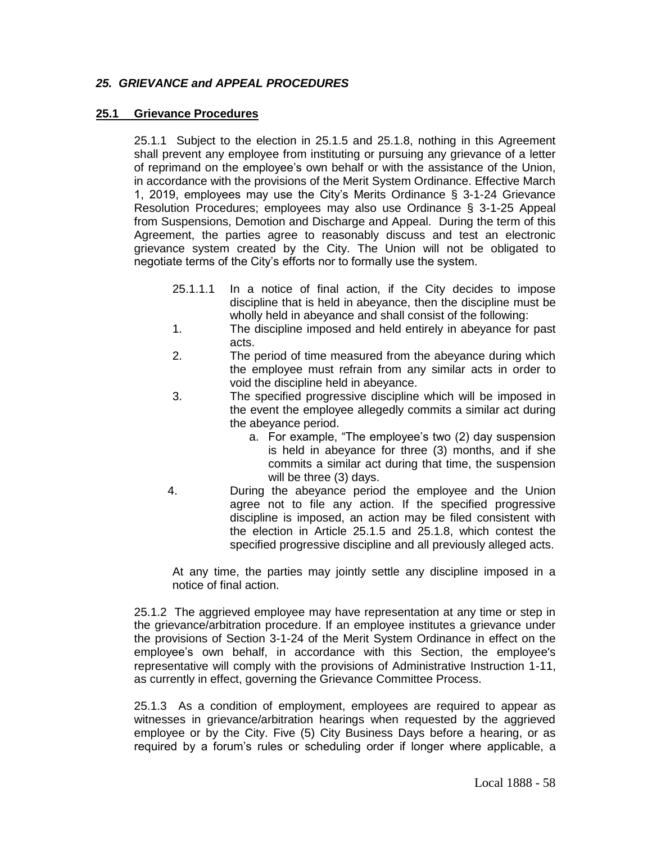# *25. GRIEVANCE and APPEAL PROCEDURES*

### **25.1 Grievance Procedures**

25.1.1 Subject to the election in 25.1.5 and 25.1.8, nothing in this Agreement shall prevent any employee from instituting or pursuing any grievance of a letter of reprimand on the employee's own behalf or with the assistance of the Union, in accordance with the provisions of the Merit System Ordinance. Effective March 1, 2019, employees may use the City's Merits Ordinance § 3-1-24 Grievance Resolution Procedures; employees may also use Ordinance § 3-1-25 Appeal from Suspensions, Demotion and Discharge and Appeal. During the term of this Agreement, the parties agree to reasonably discuss and test an electronic grievance system created by the City. The Union will not be obligated to negotiate terms of the City's efforts nor to formally use the system.

- 25.1.1.1 In a notice of final action, if the City decides to impose discipline that is held in abeyance, then the discipline must be wholly held in abeyance and shall consist of the following:
- 1. The discipline imposed and held entirely in abeyance for past acts.
- 2. The period of time measured from the abeyance during which the employee must refrain from any similar acts in order to void the discipline held in abeyance.
- 3. The specified progressive discipline which will be imposed in the event the employee allegedly commits a similar act during the abeyance period.
	- a. For example, "The employee's two (2) day suspension is held in abeyance for three (3) months, and if she commits a similar act during that time, the suspension will be three (3) days.
- 4. During the abeyance period the employee and the Union agree not to file any action. If the specified progressive discipline is imposed, an action may be filed consistent with the election in Article 25.1.5 and 25.1.8, which contest the specified progressive discipline and all previously alleged acts.

At any time, the parties may jointly settle any discipline imposed in a notice of final action.

25.1.2 The aggrieved employee may have representation at any time or step in the grievance/arbitration procedure. If an employee institutes a grievance under the provisions of Section 3-1-24 of the Merit System Ordinance in effect on the employee's own behalf, in accordance with this Section, the employee's representative will comply with the provisions of Administrative Instruction 1-11, as currently in effect, governing the Grievance Committee Process.

25.1.3 As a condition of employment, employees are required to appear as witnesses in grievance/arbitration hearings when requested by the aggrieved employee or by the City. Five (5) City Business Days before a hearing, or as required by a forum's rules or scheduling order if longer where applicable, a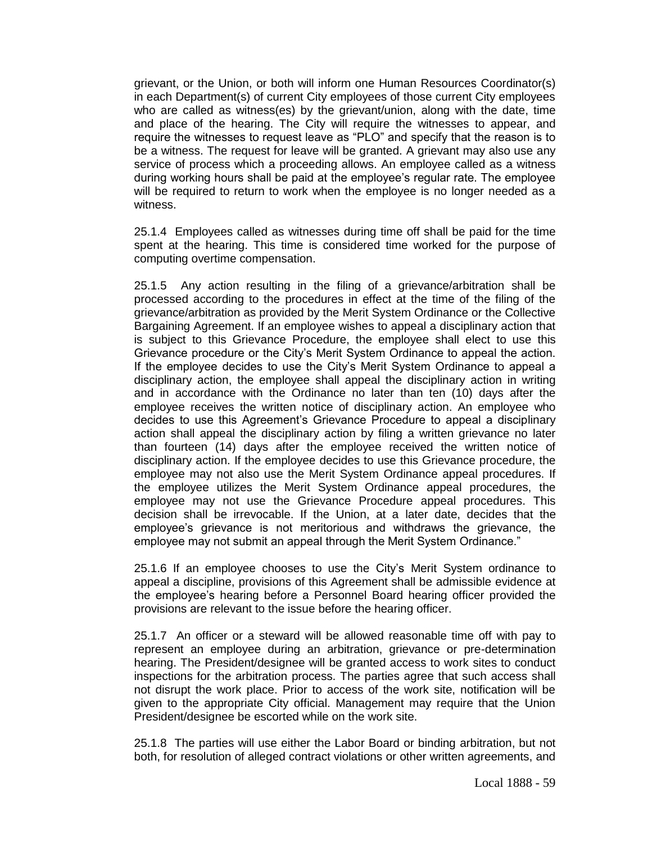grievant, or the Union, or both will inform one Human Resources Coordinator(s) in each Department(s) of current City employees of those current City employees who are called as witness(es) by the grievant/union, along with the date, time and place of the hearing. The City will require the witnesses to appear, and require the witnesses to request leave as "PLO" and specify that the reason is to be a witness. The request for leave will be granted. A grievant may also use any service of process which a proceeding allows. An employee called as a witness during working hours shall be paid at the employee's regular rate. The employee will be required to return to work when the employee is no longer needed as a witness.

25.1.4 Employees called as witnesses during time off shall be paid for the time spent at the hearing. This time is considered time worked for the purpose of computing overtime compensation.

25.1.5 Any action resulting in the filing of a grievance/arbitration shall be processed according to the procedures in effect at the time of the filing of the grievance/arbitration as provided by the Merit System Ordinance or the Collective Bargaining Agreement. If an employee wishes to appeal a disciplinary action that is subject to this Grievance Procedure, the employee shall elect to use this Grievance procedure or the City's Merit System Ordinance to appeal the action. If the employee decides to use the City's Merit System Ordinance to appeal a disciplinary action, the employee shall appeal the disciplinary action in writing and in accordance with the Ordinance no later than ten (10) days after the employee receives the written notice of disciplinary action. An employee who decides to use this Agreement's Grievance Procedure to appeal a disciplinary action shall appeal the disciplinary action by filing a written grievance no later than fourteen (14) days after the employee received the written notice of disciplinary action. If the employee decides to use this Grievance procedure, the employee may not also use the Merit System Ordinance appeal procedures. If the employee utilizes the Merit System Ordinance appeal procedures, the employee may not use the Grievance Procedure appeal procedures. This decision shall be irrevocable. If the Union, at a later date, decides that the employee's grievance is not meritorious and withdraws the grievance, the employee may not submit an appeal through the Merit System Ordinance."

25.1.6 If an employee chooses to use the City's Merit System ordinance to appeal a discipline, provisions of this Agreement shall be admissible evidence at the employee's hearing before a Personnel Board hearing officer provided the provisions are relevant to the issue before the hearing officer.

25.1.7 An officer or a steward will be allowed reasonable time off with pay to represent an employee during an arbitration, grievance or pre-determination hearing. The President/designee will be granted access to work sites to conduct inspections for the arbitration process. The parties agree that such access shall not disrupt the work place. Prior to access of the work site, notification will be given to the appropriate City official. Management may require that the Union President/designee be escorted while on the work site.

25.1.8 The parties will use either the Labor Board or binding arbitration, but not both, for resolution of alleged contract violations or other written agreements, and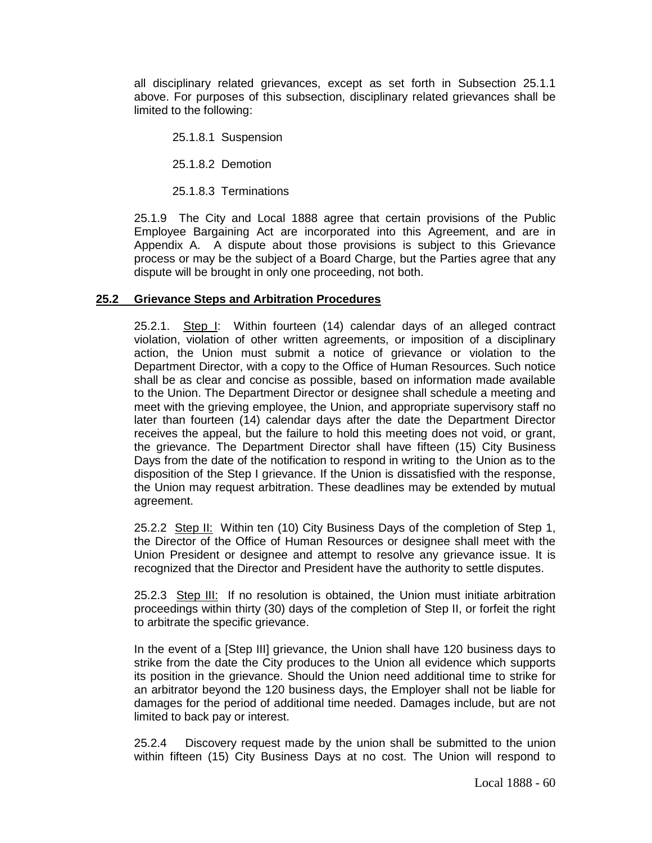all disciplinary related grievances, except as set forth in Subsection 25.1.1 above. For purposes of this subsection, disciplinary related grievances shall be limited to the following:

25.1.8.1 Suspension

25.1.8.2 Demotion

25.1.8.3 Terminations

25.1.9 The City and Local 1888 agree that certain provisions of the Public Employee Bargaining Act are incorporated into this Agreement, and are in Appendix A. A dispute about those provisions is subject to this Grievance process or may be the subject of a Board Charge, but the Parties agree that any dispute will be brought in only one proceeding, not both.

### **25.2 Grievance Steps and Arbitration Procedures**

25.2.1. Step I: Within fourteen (14) calendar days of an alleged contract violation, violation of other written agreements, or imposition of a disciplinary action, the Union must submit a notice of grievance or violation to the Department Director, with a copy to the Office of Human Resources. Such notice shall be as clear and concise as possible, based on information made available to the Union. The Department Director or designee shall schedule a meeting and meet with the grieving employee, the Union, and appropriate supervisory staff no later than fourteen (14) calendar days after the date the Department Director receives the appeal, but the failure to hold this meeting does not void, or grant, the grievance. The Department Director shall have fifteen (15) City Business Days from the date of the notification to respond in writing to the Union as to the disposition of the Step I grievance. If the Union is dissatisfied with the response, the Union may request arbitration. These deadlines may be extended by mutual agreement.

25.2.2 Step II: Within ten (10) City Business Days of the completion of Step 1, the Director of the Office of Human Resources or designee shall meet with the Union President or designee and attempt to resolve any grievance issue. It is recognized that the Director and President have the authority to settle disputes.

25.2.3 Step III: If no resolution is obtained, the Union must initiate arbitration proceedings within thirty (30) days of the completion of Step II, or forfeit the right to arbitrate the specific grievance.

In the event of a [Step III] grievance, the Union shall have 120 business days to strike from the date the City produces to the Union all evidence which supports its position in the grievance. Should the Union need additional time to strike for an arbitrator beyond the 120 business days, the Employer shall not be liable for damages for the period of additional time needed. Damages include, but are not limited to back pay or interest.

25.2.4 Discovery request made by the union shall be submitted to the union within fifteen (15) City Business Days at no cost. The Union will respond to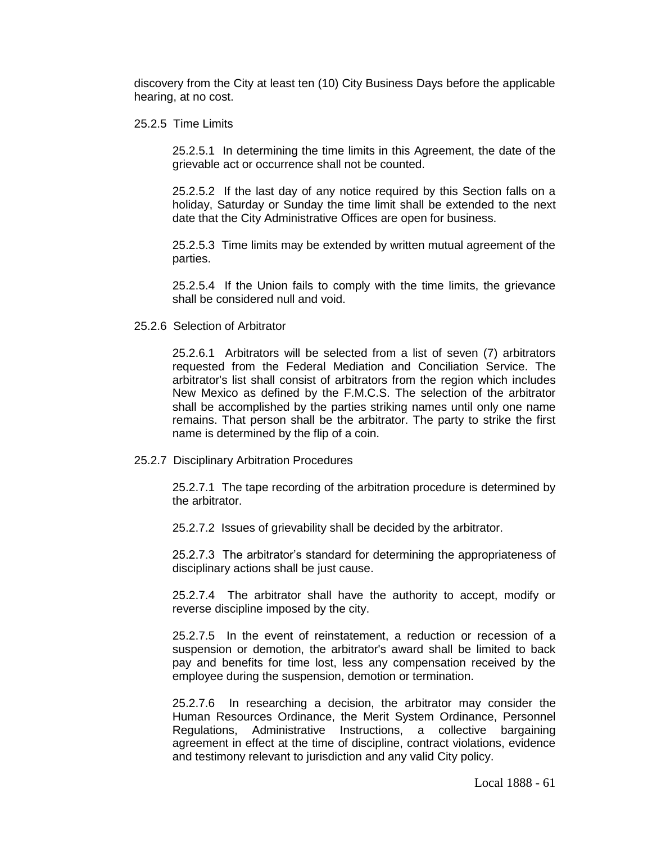discovery from the City at least ten (10) City Business Days before the applicable hearing, at no cost.

25.2.5 Time Limits

25.2.5.1 In determining the time limits in this Agreement, the date of the grievable act or occurrence shall not be counted.

25.2.5.2 If the last day of any notice required by this Section falls on a holiday, Saturday or Sunday the time limit shall be extended to the next date that the City Administrative Offices are open for business.

25.2.5.3 Time limits may be extended by written mutual agreement of the parties.

25.2.5.4 If the Union fails to comply with the time limits, the grievance shall be considered null and void.

25.2.6 Selection of Arbitrator

25.2.6.1 Arbitrators will be selected from a list of seven (7) arbitrators requested from the Federal Mediation and Conciliation Service. The arbitrator's list shall consist of arbitrators from the region which includes New Mexico as defined by the F.M.C.S. The selection of the arbitrator shall be accomplished by the parties striking names until only one name remains. That person shall be the arbitrator. The party to strike the first name is determined by the flip of a coin.

25.2.7 Disciplinary Arbitration Procedures

25.2.7.1 The tape recording of the arbitration procedure is determined by the arbitrator.

25.2.7.2 Issues of grievability shall be decided by the arbitrator.

25.2.7.3 The arbitrator's standard for determining the appropriateness of disciplinary actions shall be just cause.

25.2.7.4 The arbitrator shall have the authority to accept, modify or reverse discipline imposed by the city.

25.2.7.5 In the event of reinstatement, a reduction or recession of a suspension or demotion, the arbitrator's award shall be limited to back pay and benefits for time lost, less any compensation received by the employee during the suspension, demotion or termination.

25.2.7.6 In researching a decision, the arbitrator may consider the Human Resources Ordinance, the Merit System Ordinance, Personnel Regulations, Administrative Instructions, a collective bargaining agreement in effect at the time of discipline, contract violations, evidence and testimony relevant to jurisdiction and any valid City policy.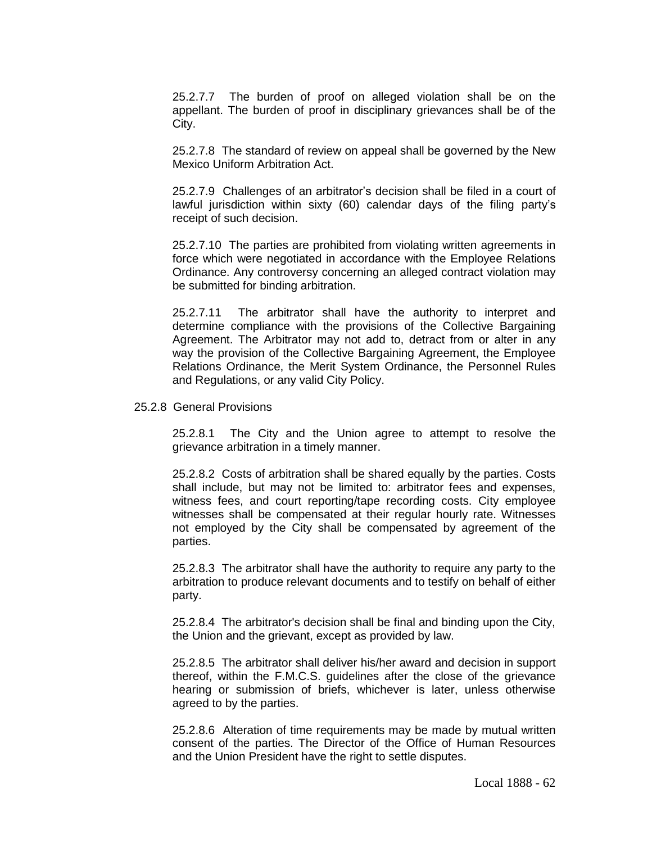25.2.7.7 The burden of proof on alleged violation shall be on the appellant. The burden of proof in disciplinary grievances shall be of the City.

25.2.7.8 The standard of review on appeal shall be governed by the New Mexico Uniform Arbitration Act.

25.2.7.9 Challenges of an arbitrator's decision shall be filed in a court of lawful jurisdiction within sixty (60) calendar days of the filing party's receipt of such decision.

25.2.7.10 The parties are prohibited from violating written agreements in force which were negotiated in accordance with the Employee Relations Ordinance. Any controversy concerning an alleged contract violation may be submitted for binding arbitration.

25.2.7.11 The arbitrator shall have the authority to interpret and determine compliance with the provisions of the Collective Bargaining Agreement. The Arbitrator may not add to, detract from or alter in any way the provision of the Collective Bargaining Agreement, the Employee Relations Ordinance, the Merit System Ordinance, the Personnel Rules and Regulations, or any valid City Policy.

#### 25.2.8 General Provisions

25.2.8.1 The City and the Union agree to attempt to resolve the grievance arbitration in a timely manner.

25.2.8.2 Costs of arbitration shall be shared equally by the parties. Costs shall include, but may not be limited to: arbitrator fees and expenses, witness fees, and court reporting/tape recording costs. City employee witnesses shall be compensated at their regular hourly rate. Witnesses not employed by the City shall be compensated by agreement of the parties.

25.2.8.3 The arbitrator shall have the authority to require any party to the arbitration to produce relevant documents and to testify on behalf of either party.

25.2.8.4 The arbitrator's decision shall be final and binding upon the City, the Union and the grievant, except as provided by law.

25.2.8.5 The arbitrator shall deliver his/her award and decision in support thereof, within the F.M.C.S. guidelines after the close of the grievance hearing or submission of briefs, whichever is later, unless otherwise agreed to by the parties.

25.2.8.6 Alteration of time requirements may be made by mutual written consent of the parties. The Director of the Office of Human Resources and the Union President have the right to settle disputes.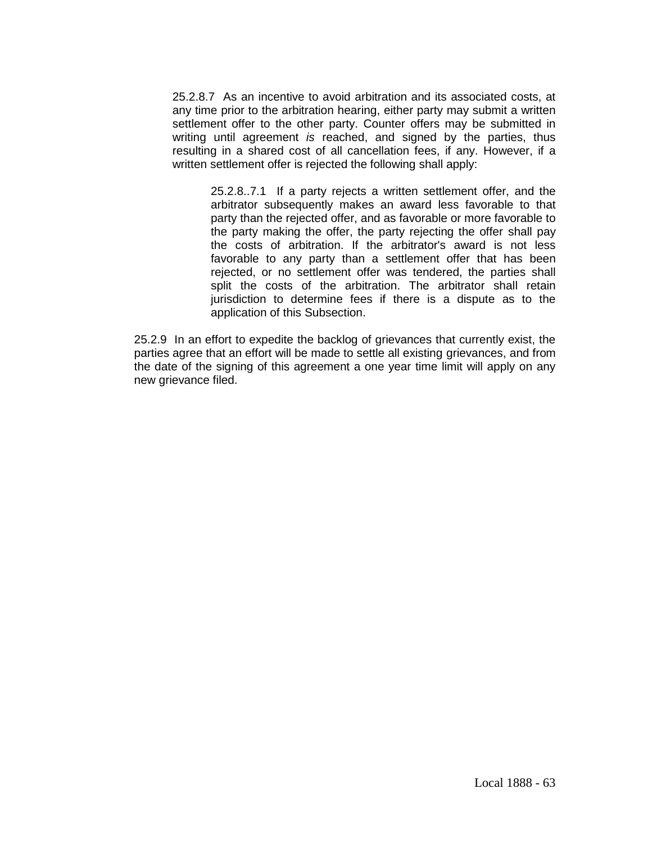25.2.8.7 As an incentive to avoid arbitration and its associated costs, at any time prior to the arbitration hearing, either party may submit a written settlement offer to the other party. Counter offers may be submitted in writing until agreement *is* reached, and signed by the parties, thus resulting in a shared cost of all cancellation fees, if any. However, if a written settlement offer is rejected the following shall apply:

25.2.8..7.1 If a party rejects a written settlement offer, and the arbitrator subsequently makes an award less favorable to that party than the rejected offer, and as favorable or more favorable to the party making the offer, the party rejecting the offer shall pay the costs of arbitration. If the arbitrator's award is not less favorable to any party than a settlement offer that has been rejected, or no settlement offer was tendered, the parties shall split the costs of the arbitration. The arbitrator shall retain jurisdiction to determine fees if there is a dispute as to the application of this Subsection.

25.2.9 In an effort to expedite the backlog of grievances that currently exist, the parties agree that an effort will be made to settle all existing grievances, and from the date of the signing of this agreement a one year time limit will apply on any new grievance filed.